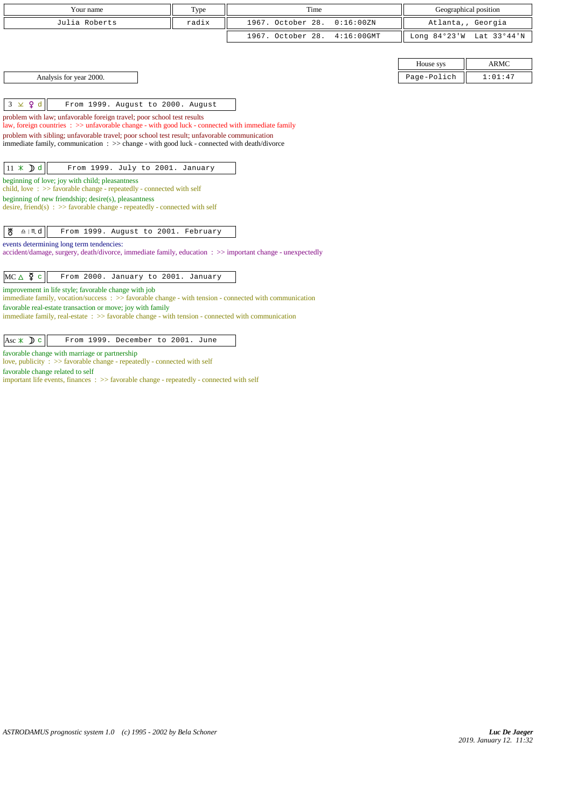| Your name                                                                                                                                                                     | Type  | Time                               |             | Geographical position    |
|-------------------------------------------------------------------------------------------------------------------------------------------------------------------------------|-------|------------------------------------|-------------|--------------------------|
| Julia Roberts                                                                                                                                                                 | radix | 1967. October 28.<br>0:16:00 ZN    |             | Atlanta,, Georgia        |
|                                                                                                                                                                               |       | 1967. October 28.<br>$4:16:00$ GMT |             | Long 84°23'W Lat 33°44'N |
|                                                                                                                                                                               |       |                                    |             |                          |
|                                                                                                                                                                               |       |                                    | House sys   | <b>ARMC</b>              |
| Analysis for year 2000.                                                                                                                                                       |       |                                    | Page-Polich | 1:01:47                  |
|                                                                                                                                                                               |       |                                    |             |                          |
| $3 \times 9d$<br>From 1999. August to 2000. August                                                                                                                            |       |                                    |             |                          |
| problem with law; unfavorable foreign travel; poor school test results<br>law, foreign countries : >> unfavorable change - with good luck - connected with immediate family   |       |                                    |             |                          |
| problem with sibling; unfavorable travel; poor school test result; unfavorable communication                                                                                  |       |                                    |             |                          |
| immediate family, communication : >> change - with good luck - connected with death/divorce                                                                                   |       |                                    |             |                          |
|                                                                                                                                                                               |       |                                    |             |                          |
| $11 \times Dd$<br>From 1999. July to 2001. January                                                                                                                            |       |                                    |             |                          |
| beginning of love; joy with child; pleasantness<br>child, love $\Rightarrow$ Savorable change - repeatedly - connected with self                                              |       |                                    |             |                          |
| beginning of new friendship; desire(s), pleasantness<br>desire, friend(s) : $\gg$ favorable change - repeatedly - connected with self                                         |       |                                    |             |                          |
|                                                                                                                                                                               |       |                                    |             |                          |
| ₩<br>$\underline{\mathbf{a}}$   $\mathbf{m}$ d<br>From 1999. August to 2001. February                                                                                         |       |                                    |             |                          |
| events determining long term tendencies:                                                                                                                                      |       |                                    |             |                          |
| accident/damage, surgery, death/divorce, immediate family, education : >> important change - unexpectedly                                                                     |       |                                    |             |                          |
| $MC \triangle \n\overline{2}$ c<br>From 2000. January to 2001. January                                                                                                        |       |                                    |             |                          |
| improvement in life style; favorable change with job                                                                                                                          |       |                                    |             |                          |
| immediate family, vocation/success $\Rightarrow$ favorable change - with tension - connected with communication<br>favorable real-estate transaction or move; joy with family |       |                                    |             |                          |
| immediate family, real-estate $\therefore$ >> favorable change - with tension - connected with communication                                                                  |       |                                    |             |                          |
|                                                                                                                                                                               |       |                                    |             |                          |
| Asc $\ast$ D c<br>From 1999. December to 2001. June                                                                                                                           |       |                                    |             |                          |
| favorable change with marriage or partnership<br>love, publicity : >> favorable change - repeatedly - connected with self                                                     |       |                                    |             |                          |

favorable change related to self

important life events, finances : >> favorable change - repeatedly - connected with self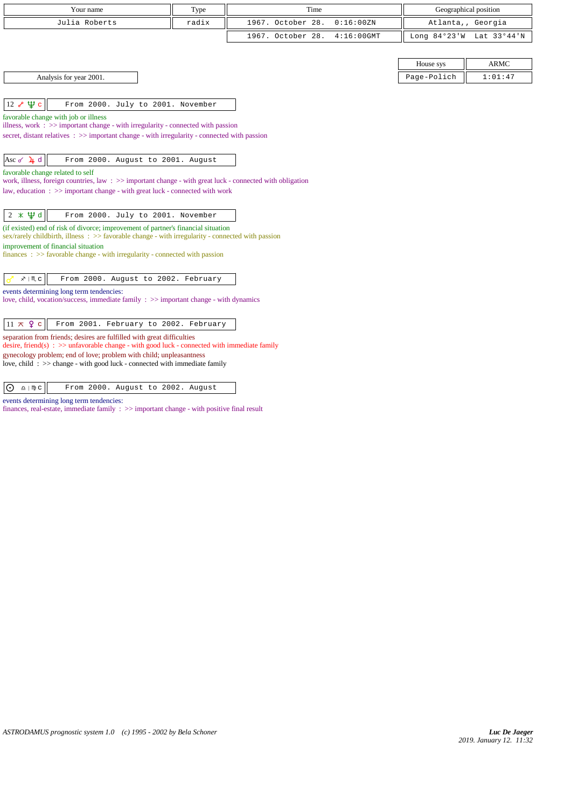| Your name                                                                                                                                                                                           | Type  | Time                               |             | Geographical position    |
|-----------------------------------------------------------------------------------------------------------------------------------------------------------------------------------------------------|-------|------------------------------------|-------------|--------------------------|
| Julia Roberts                                                                                                                                                                                       | radix | 1967. October 28.<br>0:16:00 ZN    |             | Atlanta,, Georgia        |
|                                                                                                                                                                                                     |       | 1967. October 28.<br>$4:16:00$ GMT |             | Long 84°23'W Lat 33°44'N |
|                                                                                                                                                                                                     |       |                                    |             |                          |
|                                                                                                                                                                                                     |       |                                    | House sys   | <b>ARMC</b>              |
| Analysis for year 2001.                                                                                                                                                                             |       |                                    | Page-Polich | 1:01:47                  |
|                                                                                                                                                                                                     |       |                                    |             |                          |
| Ψс<br>$12\sigma$<br>From 2000. July to 2001. November                                                                                                                                               |       |                                    |             |                          |
| favorable change with job or illness                                                                                                                                                                |       |                                    |             |                          |
| illness, work $\Rightarrow$ important change - with irregularity - connected with passion<br>secret, distant relatives : >> important change - with irregularity - connected with passion           |       |                                    |             |                          |
|                                                                                                                                                                                                     |       |                                    |             |                          |
| Asc of $\frac{1}{4}d$<br>From 2000. August to 2001. August                                                                                                                                          |       |                                    |             |                          |
| favorable change related to self                                                                                                                                                                    |       |                                    |             |                          |
| work, illness, foreign countries, law $\Rightarrow$ > important change - with great luck - connected with obligation<br>law, education: >> important change - with great luck - connected with work |       |                                    |             |                          |
|                                                                                                                                                                                                     |       |                                    |             |                          |
| $2 \times \Psi d$<br>From 2000. July to 2001. November                                                                                                                                              |       |                                    |             |                          |
| (if existed) end of risk of divorce; improvement of partner's financial situation                                                                                                                   |       |                                    |             |                          |
| sex/rarely childbirth, illness $\therefore$ >> favorable change - with irregularity - connected with passion<br>improvement of financial situation                                                  |       |                                    |             |                          |
| finances: >> favorable change - with irregularity - connected with passion                                                                                                                          |       |                                    |             |                          |
|                                                                                                                                                                                                     |       |                                    |             |                          |
| $x \mid \mathbb{M}$ C<br>From 2000. August to 2002. February                                                                                                                                        |       |                                    |             |                          |
| events determining long term tendencies:                                                                                                                                                            |       |                                    |             |                          |
| love, child, vocation/success, immediate family : >> important change - with dynamics                                                                                                               |       |                                    |             |                          |
| $11 \times 9$ c<br>From 2001. February to 2002. February                                                                                                                                            |       |                                    |             |                          |
| separation from friends; desires are fulfilled with great difficulties                                                                                                                              |       |                                    |             |                          |
| desire, friend(s) : $\gg$ unfavorable change - with good luck - connected with immediate family<br>gynecology problem; end of love; problem with child; unpleasantness                              |       |                                    |             |                          |

love, child : >> change - with good luck - connected with immediate family

 $\boxed{O \triangle + \mathfrak{m} \circ}$  From 2000. August to 2002. August

events determining long term tendencies:

finances, real-estate, immediate family : >> important change - with positive final result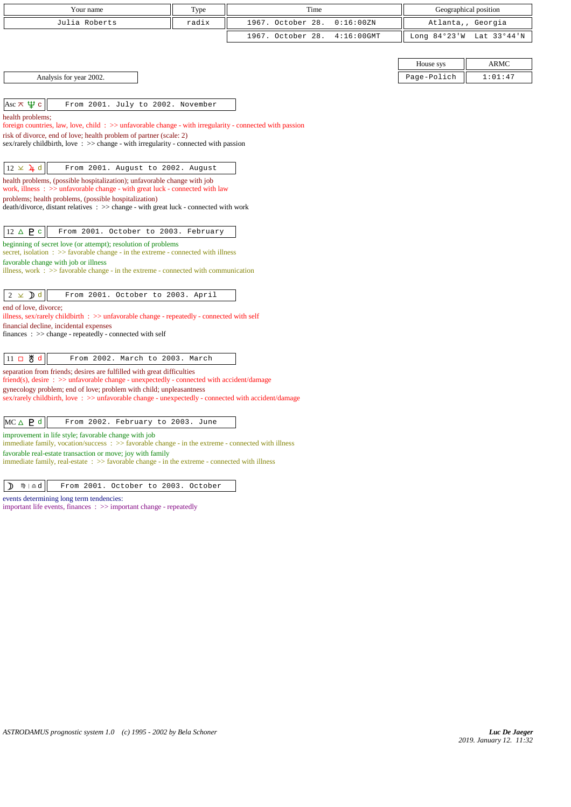| Your name                                                                                                                                                                         | Type  | Time              |               |             | Geographical position    |
|-----------------------------------------------------------------------------------------------------------------------------------------------------------------------------------|-------|-------------------|---------------|-------------|--------------------------|
| Julia Roberts                                                                                                                                                                     | radix | 1967. October 28. | 0:16:00 ZN    |             | Atlanta,, Georgia        |
|                                                                                                                                                                                   |       | 1967. October 28. | $4:16:00$ GMT |             | Long 84°23'W Lat 33°44'N |
|                                                                                                                                                                                   |       |                   |               |             |                          |
|                                                                                                                                                                                   |       |                   |               | House sys   | <b>ARMC</b>              |
| Analysis for year 2002.                                                                                                                                                           |       |                   |               | Page-Polich | 1:01:47                  |
|                                                                                                                                                                                   |       |                   |               |             |                          |
| Asc $\pi \psi$ c<br>From 2001. July to 2002. November                                                                                                                             |       |                   |               |             |                          |
| health problems;<br>foreign countries, law, love, child: >> unfavorable change - with irregularity - connected with passion                                                       |       |                   |               |             |                          |
| risk of divorce, end of love; health problem of partner (scale: 2)<br>sex/rarely childbirth, love $\Rightarrow$ $\Rightarrow$ change - with irregularity - connected with passion |       |                   |               |             |                          |
|                                                                                                                                                                                   |       |                   |               |             |                          |
| $12 \times 4$ d<br>From 2001. August to 2002. August                                                                                                                              |       |                   |               |             |                          |
| health problems, (possible hospitalization); unfavorable change with job<br>work, illness $\Rightarrow$ >> unfavorable change - with great luck - connected with law              |       |                   |               |             |                          |
| problems; health problems, (possible hospitalization)                                                                                                                             |       |                   |               |             |                          |
| death/divorce, distant relatives : >> change - with great luck - connected with work                                                                                              |       |                   |               |             |                          |
| $12 \triangle P$<br>From 2001. October to 2003. February                                                                                                                          |       |                   |               |             |                          |
| beginning of secret love (or attempt); resolution of problems                                                                                                                     |       |                   |               |             |                          |
| secret, isolation: >> favorable change - in the extreme - connected with illness                                                                                                  |       |                   |               |             |                          |
| favorable change with job or illness<br>illness, work $\Rightarrow$ Savorable change - in the extreme - connected with communication                                              |       |                   |               |             |                          |
|                                                                                                                                                                                   |       |                   |               |             |                          |
| $2 \times d$<br>From 2001. October to 2003. April                                                                                                                                 |       |                   |               |             |                          |
| end of love, divorce;<br>illness, sex/rarely childbirth $\Rightarrow$ unfavorable change - repeatedly - connected with self                                                       |       |                   |               |             |                          |
| financial decline, incidental expenses                                                                                                                                            |       |                   |               |             |                          |
| finances : $\gg$ change - repeatedly - connected with self                                                                                                                        |       |                   |               |             |                          |
| 뵁<br>From 2002. March to 2003. March<br>$11$ $\Box$<br>d                                                                                                                          |       |                   |               |             |                          |
| separation from friends; desires are fulfilled with great difficulties<br>$\text{friend}(s)$ , desire : $\gg$ unfavorable change - unexpectedly - connected with accident/damage  |       |                   |               |             |                          |
| gynecology problem; end of love; problem with child; unpleasantness<br>sex/rarely childbirth, love: >> unfavorable change - unexpectedly - connected with accident/damage         |       |                   |               |             |                          |
| $MC \triangle P d$<br>From 2002. February to 2003. June                                                                                                                           |       |                   |               |             |                          |
| improvement in life style; favorable change with job<br>immediate family, vocation/success: >> favorable change - in the extreme - connected with illness                         |       |                   |               |             |                          |
| favorable real-estate transaction or move; joy with family<br>immediate family, real-estate $\Rightarrow$ S favorable change - in the extreme - connected with illness            |       |                   |               |             |                          |

 $\boxed{\mathbf{D}$   $\mathbf{\mathfrak{m}}$  |  $\Delta$  d  $\boxed{\mathbf{From}$  2001. October to 2003. October

events determining long term tendencies:

important life events, finances : >> important change - repeatedly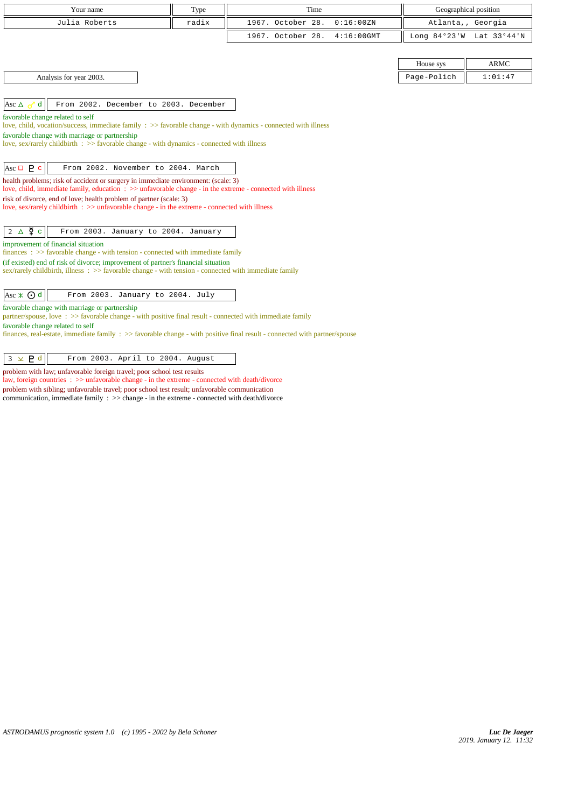| Your name                                                                                                                                                                                       | Type  | Time                               |             | Geographical position    |
|-------------------------------------------------------------------------------------------------------------------------------------------------------------------------------------------------|-------|------------------------------------|-------------|--------------------------|
| Julia Roberts                                                                                                                                                                                   | radix | 1967. October 28.<br>0:16:00 ZN    |             | Atlanta,, Georgia        |
|                                                                                                                                                                                                 |       | 1967. October 28.<br>$4:16:00$ GMT |             | Long 84°23'W Lat 33°44'N |
|                                                                                                                                                                                                 |       |                                    |             |                          |
|                                                                                                                                                                                                 |       |                                    | House sys   | <b>ARMC</b>              |
| Analysis for year 2003.                                                                                                                                                                         |       |                                    | Page-Polich | 1:01:47                  |
|                                                                                                                                                                                                 |       |                                    |             |                          |
| From 2002. December to 2003. December<br>$\mathbf{d}$<br>Asc $\triangle \sim$                                                                                                                   |       |                                    |             |                          |
| favorable change related to self<br>love, child, vocation/success, immediate family : >> favorable change - with dynamics - connected with illness                                              |       |                                    |             |                          |
| favorable change with marriage or partnership                                                                                                                                                   |       |                                    |             |                          |
| love, sex/rarely childbirth $\Rightarrow$ favorable change - with dynamics - connected with illness                                                                                             |       |                                    |             |                          |
|                                                                                                                                                                                                 |       |                                    |             |                          |
| Asc $\Box$ <b>P</b> c<br>From 2002. November to 2004. March                                                                                                                                     |       |                                    |             |                          |
| health problems; risk of accident or surgery in immediate environment: (scale: 3)<br>love, child, immediate family, education : >> unfavorable change - in the extreme - connected with illness |       |                                    |             |                          |
| risk of divorce, end of love; health problem of partner (scale: 3)                                                                                                                              |       |                                    |             |                          |
| love, sex/rarely childbirth : >> unfavorable change - in the extreme - connected with illness                                                                                                   |       |                                    |             |                          |
| $2\Delta \Phi$<br>From 2003. January to 2004. January                                                                                                                                           |       |                                    |             |                          |
| improvement of financial situation                                                                                                                                                              |       |                                    |             |                          |
| $finances : \gg$ favorable change - with tension - connected with immediate family<br>(if existed) end of risk of divorce; improvement of partner's financial situation                         |       |                                    |             |                          |
| sex/rarely childbirth, illness $\Rightarrow$ Savorable change - with tension - connected with immediate family                                                                                  |       |                                    |             |                          |
|                                                                                                                                                                                                 |       |                                    |             |                          |
| $ {\rm Asc} \times \odot d $<br>From 2003. January to 2004. July                                                                                                                                |       |                                    |             |                          |
| favorable change with marriage or partnership<br>partner/spouse, love: >> favorable change - with positive final result - connected with immediate family                                       |       |                                    |             |                          |
| favorable change related to self                                                                                                                                                                |       |                                    |             |                          |
| finances, real-estate, immediate family $\Rightarrow$ favorable change - with positive final result - connected with partner/spouse                                                             |       |                                    |             |                          |
| $3 \times P d$<br>From 2003. April to 2004. August                                                                                                                                              |       |                                    |             |                          |

problem with law; unfavorable foreign travel; poor school test results

law, foreign countries : >> unfavorable change - in the extreme - connected with death/divorce problem with sibling; unfavorable travel; poor school test result; unfavorable communication communication, immediate family : >> change - in the extreme - connected with death/divorce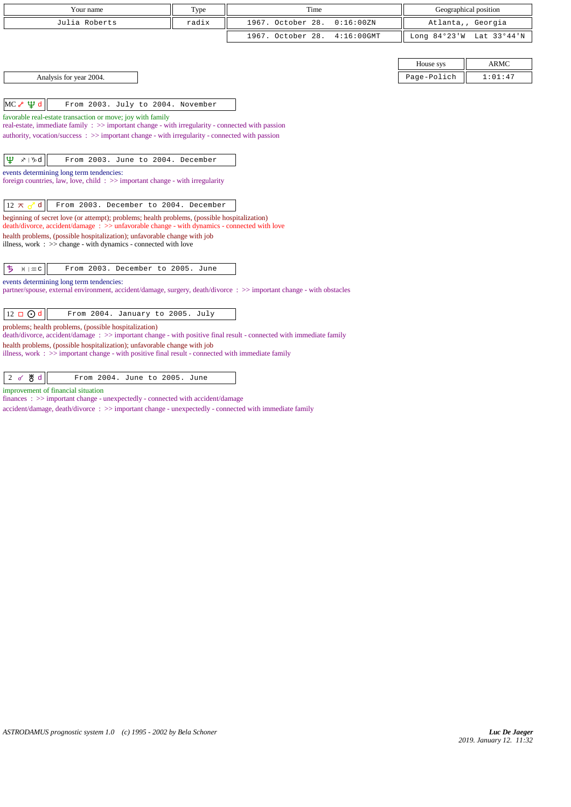| Your name                                                                                                                                                                                                                                                                                                                                                                   | Type  | Time                               |             | Geographical position    |
|-----------------------------------------------------------------------------------------------------------------------------------------------------------------------------------------------------------------------------------------------------------------------------------------------------------------------------------------------------------------------------|-------|------------------------------------|-------------|--------------------------|
| Julia Roberts                                                                                                                                                                                                                                                                                                                                                               | radix | 1967. October 28.<br>0:16:00 ZN    |             | Atlanta,, Georgia        |
|                                                                                                                                                                                                                                                                                                                                                                             |       | 1967. October 28.<br>$4:16:00$ GMT |             | Long 84°23'W Lat 33°44'N |
|                                                                                                                                                                                                                                                                                                                                                                             |       |                                    |             |                          |
|                                                                                                                                                                                                                                                                                                                                                                             |       |                                    | House sys   | <b>ARMC</b>              |
| Analysis for year 2004.                                                                                                                                                                                                                                                                                                                                                     |       |                                    | Page-Polich | 1:01:47                  |
| $\Psi$ d<br>MC <sub>o</sub><br>From 2003. July to 2004. November                                                                                                                                                                                                                                                                                                            |       |                                    |             |                          |
| favorable real-estate transaction or move; joy with family<br>real-estate, immediate family $\Rightarrow$ important change - with irregularity - connected with passion<br>authority, vocation/success: >> important change - with irregularity - connected with passion                                                                                                    |       |                                    |             |                          |
| Ψ<br>$x \mid y_0$ d<br>From 2003. June to 2004. December                                                                                                                                                                                                                                                                                                                    |       |                                    |             |                          |
| events determining long term tendencies:<br>foreign countries, law, love, child $\Rightarrow$ important change - with irregularity                                                                                                                                                                                                                                          |       |                                    |             |                          |
| From 2003. December to 2004. December<br>$12 \pi$<br>d                                                                                                                                                                                                                                                                                                                      |       |                                    |             |                          |
| beginning of secret love (or attempt); problems; health problems, (possible hospitalization)<br>death/divorce, accident/damage: >> unfavorable change - with dynamics - connected with love                                                                                                                                                                                 |       |                                    |             |                          |
| health problems, (possible hospitalization); unfavorable change with job<br>illness, work $\Rightarrow$ >> change - with dynamics - connected with love                                                                                                                                                                                                                     |       |                                    |             |                          |
| From 2003. December to 2005. June<br>ち<br>$H \mid \mathfrak{m} \subset$                                                                                                                                                                                                                                                                                                     |       |                                    |             |                          |
| events determining long term tendencies:<br>partner/spouse, external environment, accident/damage, surgery, death/divorce : >> important change - with obstacles                                                                                                                                                                                                            |       |                                    |             |                          |
| $12 \square$ Od<br>From 2004. January to 2005. July                                                                                                                                                                                                                                                                                                                         |       |                                    |             |                          |
| problems; health problems, (possible hospitalization)<br>death/divorce, accident/damage: >> important change - with positive final result - connected with immediate family<br>health problems, (possible hospitalization); unfavorable change with job<br>illness, work $\div \Rightarrow$ important change - with positive final result - connected with immediate family |       |                                    |             |                          |
|                                                                                                                                                                                                                                                                                                                                                                             |       |                                    |             |                          |

2 *d*  $\frac{M}{d}$  From 2004. June to 2005. June

improvement of financial situation

finances : >> important change - unexpectedly - connected with accident/damage

accident/damage, death/divorce : >> important change - unexpectedly - connected with immediate family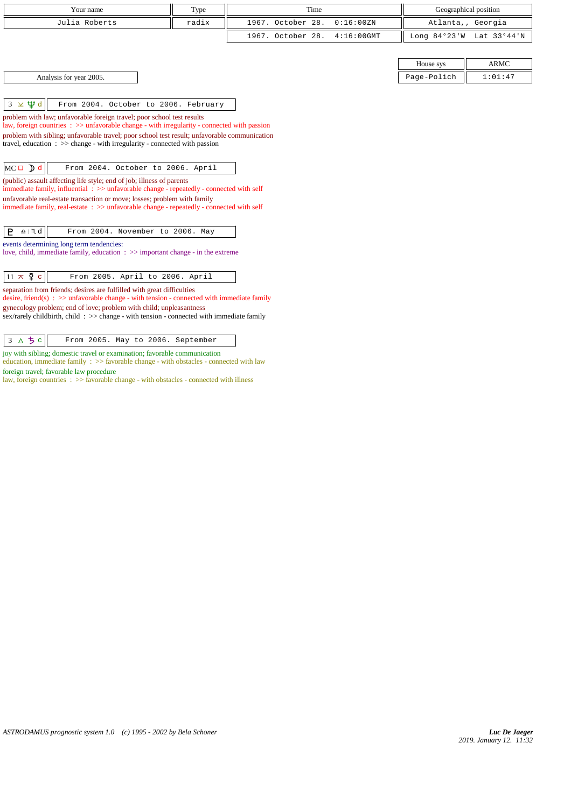| Your name                                                                                                                                                                                               | Type  | Time              |               |                | Geographical position |
|---------------------------------------------------------------------------------------------------------------------------------------------------------------------------------------------------------|-------|-------------------|---------------|----------------|-----------------------|
| Julia Roberts                                                                                                                                                                                           | radix | 1967. October 28. | 0:16:00 ZN    |                | Atlanta,, Georgia     |
|                                                                                                                                                                                                         |       | 1967. October 28. | $4:16:00$ GMT | Long $84°23'W$ | Lat 33°44'N           |
|                                                                                                                                                                                                         |       |                   |               |                |                       |
|                                                                                                                                                                                                         |       |                   |               | House sys      | <b>ARMC</b>           |
| Analysis for year 2005.                                                                                                                                                                                 |       |                   |               | Page-Polich    | 1:01:47               |
|                                                                                                                                                                                                         |       |                   |               |                |                       |
| $3 \times \Psi d$<br>From 2004. October to 2006. February                                                                                                                                               |       |                   |               |                |                       |
| problem with law; unfavorable foreign travel; poor school test results                                                                                                                                  |       |                   |               |                |                       |
| law, foreign countries $\Rightarrow$ >> unfavorable change - with irregularity - connected with passion<br>problem with sibling; unfavorable travel; poor school test result; unfavorable communication |       |                   |               |                |                       |
| travel, education $\Rightarrow$ $\Rightarrow$ change - with irregularity - connected with passion                                                                                                       |       |                   |               |                |                       |
|                                                                                                                                                                                                         |       |                   |               |                |                       |
| $MC \Box$ $\Box$ d<br>From 2004. October to 2006. April                                                                                                                                                 |       |                   |               |                |                       |
| (public) assault affecting life style; end of job; illness of parents<br>immediate family, influential $\Rightarrow$ > unfavorable change - repeatedly - connected with self                            |       |                   |               |                |                       |
| unfavorable real-estate transaction or move; losses; problem with family                                                                                                                                |       |                   |               |                |                       |
| immediate family, real-estate : >> unfavorable change - repeatedly - connected with self                                                                                                                |       |                   |               |                |                       |
|                                                                                                                                                                                                         |       |                   |               |                |                       |
| From 2004. November to 2006. May<br>P<br>$\underline{\mathbf{a}}$   $\mathbf{m}$ d                                                                                                                      |       |                   |               |                |                       |
| events determining long term tendencies:<br>love, child, immediate family, education $\Rightarrow$ important change - in the extreme                                                                    |       |                   |               |                |                       |
|                                                                                                                                                                                                         |       |                   |               |                |                       |
|                                                                                                                                                                                                         |       |                   |               |                |                       |

 $\boxed{11 \times \Sigma \text{ c}}$  From 2005. April to 2006. April

separation from friends; desires are fulfilled with great difficulties desire, friend(s) :  $\gg$  unfavorable change - with tension - connected with immediate family

gynecology problem; end of love; problem with child; unpleasantness sex/rarely childbirth, child : >> change - with tension - connected with immediate family

 $3 \Delta 5 c$  From 2005. May to 2006. September

joy with sibling; domestic travel or examination; favorable communication education, immediate family : >> favorable change - with obstacles - connected with law foreign travel; favorable law procedure

law, foreign countries : >> favorable change - with obstacles - connected with illness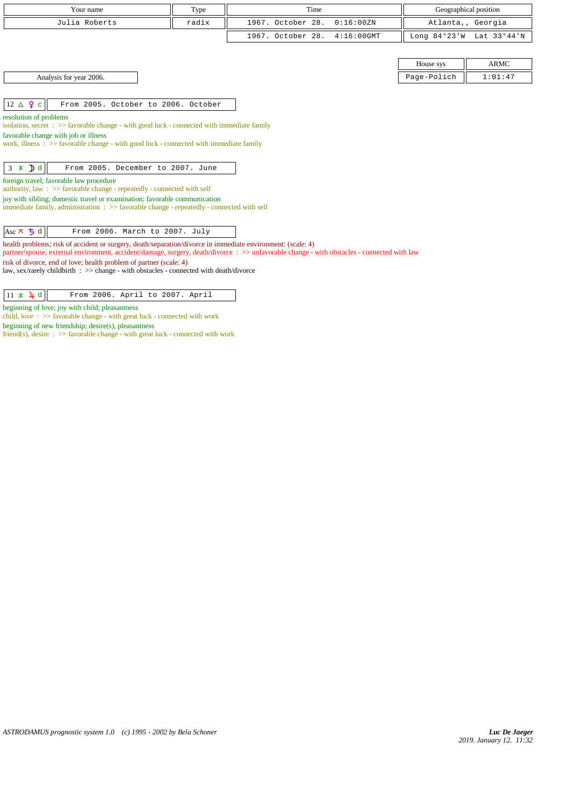| Your name                                                                                                                                                                                                                                                                                                                                                                                                                  | Type  | Time                               |                | Geographical position |  |  |
|----------------------------------------------------------------------------------------------------------------------------------------------------------------------------------------------------------------------------------------------------------------------------------------------------------------------------------------------------------------------------------------------------------------------------|-------|------------------------------------|----------------|-----------------------|--|--|
| Julia Roberts                                                                                                                                                                                                                                                                                                                                                                                                              | radix | 1967. October 28.<br>0:16:00 ZN    |                | Atlanta,, Georgia     |  |  |
|                                                                                                                                                                                                                                                                                                                                                                                                                            |       | 1967. October 28.<br>$4:16:00$ GMT | Long $84°23'W$ | Lat 33°44'N           |  |  |
|                                                                                                                                                                                                                                                                                                                                                                                                                            |       |                                    |                |                       |  |  |
|                                                                                                                                                                                                                                                                                                                                                                                                                            |       |                                    | House sys      | <b>ARMC</b>           |  |  |
| Analysis for year 2006.                                                                                                                                                                                                                                                                                                                                                                                                    |       |                                    | Page-Polich    | 1:01:47               |  |  |
|                                                                                                                                                                                                                                                                                                                                                                                                                            |       |                                    |                |                       |  |  |
| $12 \triangle 9$ c<br>From 2005. October to 2006. October                                                                                                                                                                                                                                                                                                                                                                  |       |                                    |                |                       |  |  |
| resolution of problems<br>isolation, secret : $\gg$ favorable change - with good luck - connected with immediate family<br>favorable change with job or illness<br>work, illness: >> favorable change - with good luck - connected with immediate family<br>$3 \times Dd$<br>From 2005. December to 2007. June                                                                                                             |       |                                    |                |                       |  |  |
| foreign travel; favorable law procedure<br>authority, law : $\gg$ favorable change - repeatedly - connected with self                                                                                                                                                                                                                                                                                                      |       |                                    |                |                       |  |  |
| joy with sibling; domestic travel or examination; favorable communication<br>immediate family, administration $\Rightarrow$ > $\Rightarrow$ favorable change - repeatedly - connected with self                                                                                                                                                                                                                            |       |                                    |                |                       |  |  |
| Asc $\pi$ $\uparrow$ d<br>From 2006. March to 2007. July                                                                                                                                                                                                                                                                                                                                                                   |       |                                    |                |                       |  |  |
| health problems; risk of accident or surgery, death/separation/divorce in immediate environment: (scale: 4)<br>partner/spouse, external environment, accident/damage, surgery, death/divorce : >> unfavorable change - with obstacles - connected with law<br>risk of divorce, end of love; health problem of partner (scale: 4)<br>law, sex/rarely childbirth : >> change - with obstacles - connected with death/divorce |       |                                    |                |                       |  |  |

 $\boxed{11 \times \lambda \downarrow d}$  From 2006. April to 2007. April

beginning of love; joy with child; pleasantness

child, love : >> favorable change - with great luck - connected with work

beginning of new friendship; desire(s), pleasantness

friend(s), desire  $\therefore$  > favorable change - with great luck - connected with work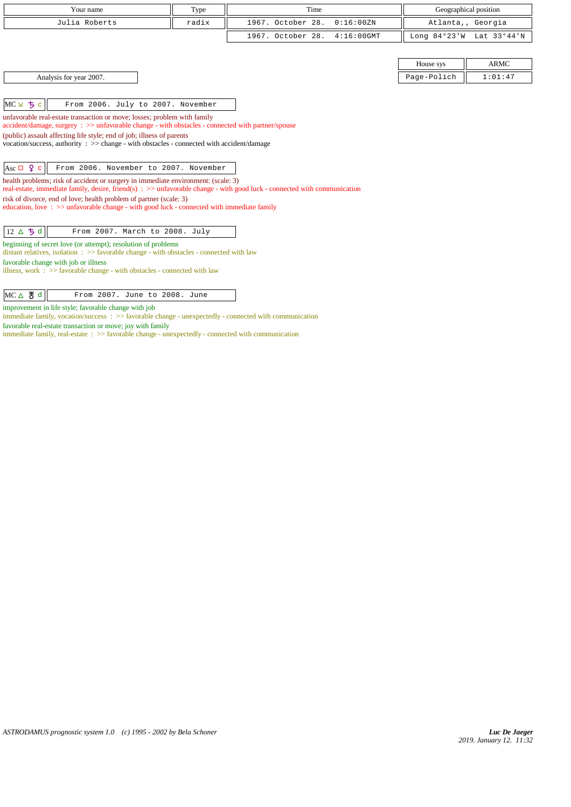| Your name                                                                                                                                                                                                                                                                                                                                                                                                                                                                                                                                                                                                                                         | Type  | Time                               | Geographical position    |             |  |
|---------------------------------------------------------------------------------------------------------------------------------------------------------------------------------------------------------------------------------------------------------------------------------------------------------------------------------------------------------------------------------------------------------------------------------------------------------------------------------------------------------------------------------------------------------------------------------------------------------------------------------------------------|-------|------------------------------------|--------------------------|-------------|--|
|                                                                                                                                                                                                                                                                                                                                                                                                                                                                                                                                                                                                                                                   |       |                                    |                          |             |  |
| Julia Roberts                                                                                                                                                                                                                                                                                                                                                                                                                                                                                                                                                                                                                                     | radix | 1967. October 28.<br>0:16:00 ZN    | Atlanta,, Georgia        |             |  |
|                                                                                                                                                                                                                                                                                                                                                                                                                                                                                                                                                                                                                                                   |       | 1967. October 28.<br>$4:16:00$ GMT | Long 84°23'W Lat 33°44'N |             |  |
|                                                                                                                                                                                                                                                                                                                                                                                                                                                                                                                                                                                                                                                   |       |                                    |                          |             |  |
|                                                                                                                                                                                                                                                                                                                                                                                                                                                                                                                                                                                                                                                   |       |                                    | House sys                | <b>ARMC</b> |  |
| Analysis for year 2007.                                                                                                                                                                                                                                                                                                                                                                                                                                                                                                                                                                                                                           |       |                                    | Page-Polich              | 1:01:47     |  |
|                                                                                                                                                                                                                                                                                                                                                                                                                                                                                                                                                                                                                                                   |       |                                    |                          |             |  |
| $MC \times 5c$<br>From 2006. July to 2007. November                                                                                                                                                                                                                                                                                                                                                                                                                                                                                                                                                                                               |       |                                    |                          |             |  |
| unfavorable real-estate transaction or move; losses; problem with family<br>accident/damage, surgery : >> unfavorable change - with obstacles - connected with partner/spouse<br>(public) assault affecting life style; end of job; illness of parents<br>vocation/success, authority: >> change - with obstacles - connected with accident/damage<br>Asc $\Box$ $\varphi$ c<br>From 2006. November to 2007. November<br>health problems; risk of accident or surgery in immediate environment: (scale: 3)<br>real-estate, immediate family, desire, friend(s) $\Rightarrow$ > unfavorable change - with good luck - connected with communication |       |                                    |                          |             |  |
| risk of divorce, end of love; health problem of partner (scale: 3)<br>education, love: $\gg$ unfavorable change - with good luck - connected with immediate family                                                                                                                                                                                                                                                                                                                                                                                                                                                                                |       |                                    |                          |             |  |
| 12 △ ち d<br>From 2007. March to 2008. July                                                                                                                                                                                                                                                                                                                                                                                                                                                                                                                                                                                                        |       |                                    |                          |             |  |
| beginning of secret love (or attempt); resolution of problems<br>distant relatives, isolation $\Rightarrow$ Savorable change - with obstacles - connected with law<br>favorable change with job or illness<br>illness, work $\Rightarrow$ 5 favorable change - with obstacles - connected with law                                                                                                                                                                                                                                                                                                                                                |       |                                    |                          |             |  |

 $MC \triangle \big\{ \big\}$  d  $\big\|$  From 2007. June to 2008. June

improvement in life style; favorable change with job

immediate family, vocation/success  $\Rightarrow$  5 favorable change - unexpectedly - connected with communication

favorable real-estate transaction or move; joy with family

 $\emph{immediate family}, \emph{real-estimate}$  :  $\emph{>>} \emph{favorable change - unexpectedly - connected with communication}$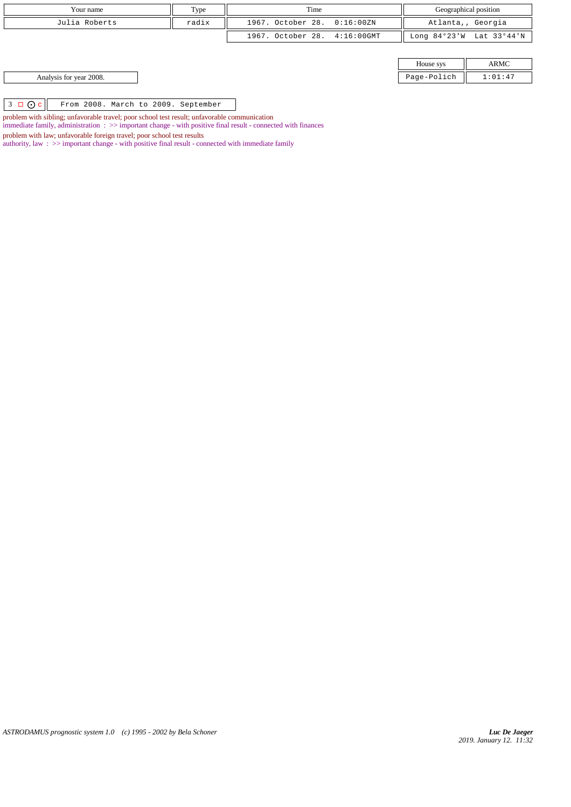| Your name                                                 | Type  | Time                         |  | Geographical position |                          |
|-----------------------------------------------------------|-------|------------------------------|--|-----------------------|--------------------------|
| Julia Roberts                                             | radix | 1967. October 28. 0:16:00ZN  |  | Atlanta,, Georgia     |                          |
|                                                           |       | 1967. October 28. 4:16:00GMT |  |                       | Long 84°23'W Lat 33°44'N |
|                                                           |       |                              |  |                       |                          |
|                                                           |       |                              |  | House sys             | ARMC                     |
| Analysis for year 2008.                                   |       |                              |  | Page-Polich           | 1:01:47                  |
|                                                           |       |                              |  |                       |                          |
| $3 \Box$ $\odot$ c<br>From 2008. March to 2009. September |       |                              |  |                       |                          |

problem with sibling; unfavorable travel; poor school test result; unfavorable communication

immediate family, administration : >> important change - with positive final result - connected with finances

problem with law; unfavorable foreign travel; poor school test results

authority, law : >> important change - with positive final result - connected with immediate family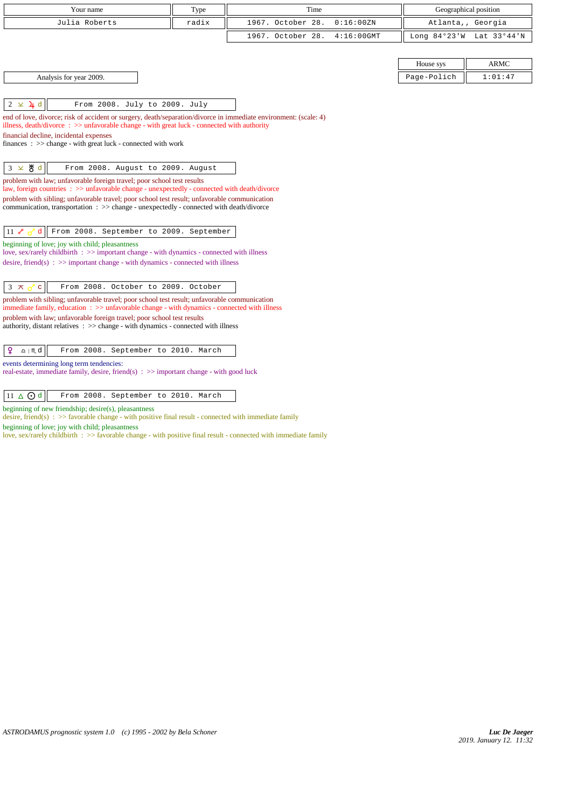| Your name                                                                                                                                                                                                      | Type  | Time                               |                | Geographical position |
|----------------------------------------------------------------------------------------------------------------------------------------------------------------------------------------------------------------|-------|------------------------------------|----------------|-----------------------|
| Julia Roberts                                                                                                                                                                                                  | radix | 1967. October 28.<br>0:16:00 ZN    | Atlanta,,      | Georgia               |
|                                                                                                                                                                                                                |       | 1967. October 28.<br>$4:16:00$ GMT | Long $84°23'W$ | Lat 33°44'N           |
|                                                                                                                                                                                                                |       |                                    |                |                       |
|                                                                                                                                                                                                                |       |                                    | House sys      | <b>ARMC</b>           |
| Analysis for year 2009.                                                                                                                                                                                        |       |                                    | Page-Polich    | 1:01:47               |
|                                                                                                                                                                                                                |       |                                    |                |                       |
| $\frac{1}{4}$ d<br>$2 \times$<br>From 2008. July to 2009. July                                                                                                                                                 |       |                                    |                |                       |
| end of love, divorce; risk of accident or surgery, death/separation/divorce in immediate environment: (scale: 4)<br>illness, death/divorce: >> unfavorable change - with great luck - connected with authority |       |                                    |                |                       |
| financial decline, incidental expenses                                                                                                                                                                         |       |                                    |                |                       |
| finances : $\gg$ change - with great luck - connected with work                                                                                                                                                |       |                                    |                |                       |
|                                                                                                                                                                                                                |       |                                    |                |                       |
| $3 \times 8d$<br>From 2008. August to 2009. August                                                                                                                                                             |       |                                    |                |                       |
| problem with law; unfavorable foreign travel; poor school test results<br>law, foreign countries : >> unfavorable change - unexpectedly - connected with death/divorce                                         |       |                                    |                |                       |
| problem with sibling; unfavorable travel; poor school test result; unfavorable communication                                                                                                                   |       |                                    |                |                       |
| communication, transportation : >> change - unexpectedly - connected with death/divorce                                                                                                                        |       |                                    |                |                       |
| From 2008. September to 2009. September<br>$11\,$ م                                                                                                                                                            |       |                                    |                |                       |
| beginning of love; joy with child; pleasantness                                                                                                                                                                |       |                                    |                |                       |
| love, sex/rarely childbirth : >> important change - with dynamics - connected with illness<br>desire, friend(s) : $\gg$ important change - with dynamics - connected with illness                              |       |                                    |                |                       |
|                                                                                                                                                                                                                |       |                                    |                |                       |
| $3 \times$<br>$\mathbf{C}$<br>From 2008. October to 2009. October                                                                                                                                              |       |                                    |                |                       |
| problem with sibling; unfavorable travel; poor school test result; unfavorable communication                                                                                                                   |       |                                    |                |                       |
| immediate family, education $\Rightarrow$ > unfavorable change - with dynamics - connected with illness                                                                                                        |       |                                    |                |                       |
| problem with law; unfavorable foreign travel; poor school test results<br>authority, distant relatives $\therefore$ > change - with dynamics - connected with illness                                          |       |                                    |                |                       |
|                                                                                                                                                                                                                |       |                                    |                |                       |
| ¥<br>$\underline{\Omega}$   $M$ d<br>From 2008. September to 2010. March                                                                                                                                       |       |                                    |                |                       |
| events determining long term tendencies:                                                                                                                                                                       |       |                                    |                |                       |
| real-estate, immediate family, desire, friend(s) $\Rightarrow$ important change - with good luck                                                                                                               |       |                                    |                |                       |
| $11 \triangle$ $\odot$ d<br>From 2008. September to 2010. March                                                                                                                                                |       |                                    |                |                       |
| beginning of new friendship; desire(s), pleasantness<br>desire, friend(s) : $>>$ favorable change - with positive final result - connected with immediate family                                               |       |                                    |                |                       |

beginning of love; joy with child; pleasantness

love, sex/rarely childbirth : >> favorable change - with positive final result - connected with immediate family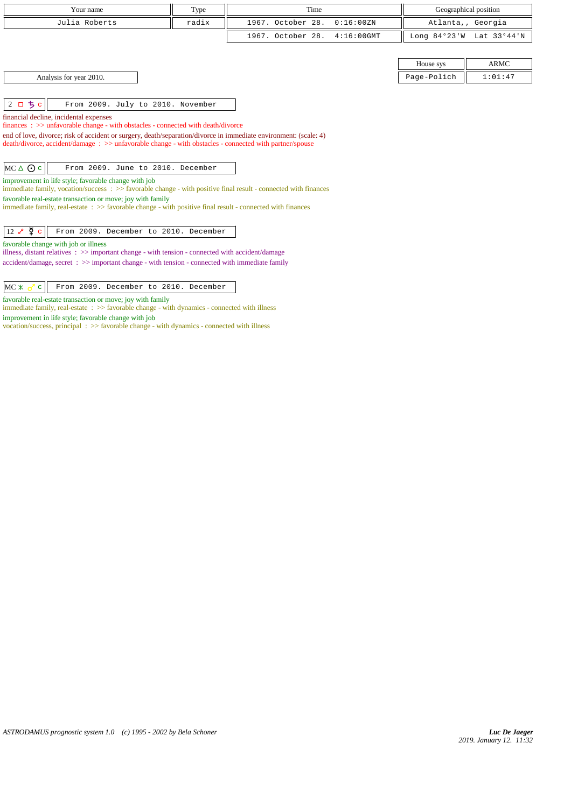| Your name     | Type  | Geographical position<br>Time |                          |  |
|---------------|-------|-------------------------------|--------------------------|--|
| Julia Roberts | radix | 1967. October 28. 0:16:00ZN   | Atlanta,, Georgia        |  |
|               |       | 1967. October 28. 4:16:00GMT  | Long 84°23'W Lat 33°44'N |  |
|               |       |                               |                          |  |

Analysis for year 2010. Page-Polich 2:01:47

 $|2 \Box 5 c||$  From 2009. July to 2010. November

financial decline, incidental expenses

finances : >> unfavorable change - with obstacles - connected with death/divorce

end of love, divorce; risk of accident or surgery, death/separation/divorce in immediate environment: (scale: 4) death/divorce, accident/damage : >> unfavorable change - with obstacles - connected with partner/spouse

 $MC \triangle O$  c From 2009. June to 2010. December

improvement in life style; favorable change with job

immediate family, vocation/success : >> favorable change - with positive final result - connected with finances favorable real-estate transaction or move; joy with family

immediate family, real-estate : >> favorable change - with positive final result - connected with finances

12 c From 2009. December to 2010. December

favorable change with job or illness

illness, distant relatives : >> important change - with tension - connected with accident/damage accident/damage, secret : >> important change - with tension - connected with immediate family

 $MC \times \sigma$  c From 2009. December to 2010. December

favorable real-estate transaction or move; joy with family

immediate family, real-estate : >> favorable change - with dynamics - connected with illness

improvement in life style; favorable change with job

vocation/success, principal : >> favorable change - with dynamics - connected with illness

House sys  $\parallel$  ARMC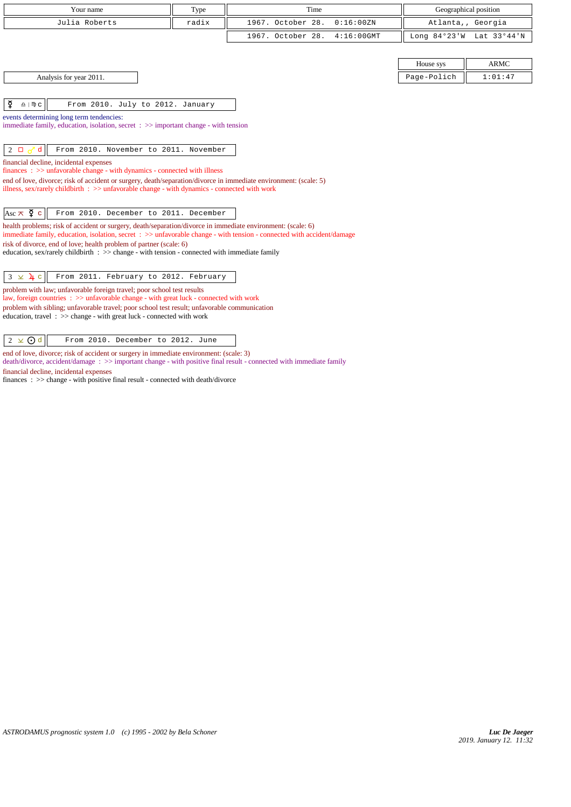| Your name                                                                                                                                                                                                                             | Type  | Time                               | Geographical position |                          |
|---------------------------------------------------------------------------------------------------------------------------------------------------------------------------------------------------------------------------------------|-------|------------------------------------|-----------------------|--------------------------|
| Julia Roberts                                                                                                                                                                                                                         | radix | 1967. October 28.<br>0:16:00 ZN    |                       | Atlanta,, Georgia        |
|                                                                                                                                                                                                                                       |       | 1967. October 28.<br>$4:16:00$ GMT |                       | Long 84°23'W Lat 33°44'N |
|                                                                                                                                                                                                                                       |       |                                    |                       |                          |
|                                                                                                                                                                                                                                       |       |                                    | House sys             | <b>ARMC</b>              |
| Analysis for year 2011.                                                                                                                                                                                                               |       |                                    | Page-Polich           | 1:01:47                  |
|                                                                                                                                                                                                                                       |       |                                    |                       |                          |
| ₫<br>$\underline{\Omega}$   $\mathbb{D}$ C<br>From 2010. July to 2012. January                                                                                                                                                        |       |                                    |                       |                          |
| events determining long term tendencies:                                                                                                                                                                                              |       |                                    |                       |                          |
| immediate family, education, isolation, secret $\Rightarrow$ important change - with tension                                                                                                                                          |       |                                    |                       |                          |
| $2\Box$<br>From 2010. November to 2011. November                                                                                                                                                                                      |       |                                    |                       |                          |
| financial decline, incidental expenses                                                                                                                                                                                                |       |                                    |                       |                          |
| $finances : \gg$ unfavorable change - with dynamics - connected with illness                                                                                                                                                          |       |                                    |                       |                          |
| end of love, divorce; risk of accident or surgery, death/separation/divorce in immediate environment: (scale: 5)<br>illness, sex/rarely childbirth : >> unfavorable change - with dynamics - connected with work                      |       |                                    |                       |                          |
|                                                                                                                                                                                                                                       |       |                                    |                       |                          |
| Asc $\pi$ $\overline{q}$ c<br>From 2010. December to 2011. December                                                                                                                                                                   |       |                                    |                       |                          |
| health problems; risk of accident or surgery, death/separation/divorce in immediate environment: (scale: 6)<br>immediate family, education, isolation, secret : >> unfavorable change - with tension - connected with accident/damage |       |                                    |                       |                          |
| risk of divorce, end of love; health problem of partner (scale: 6)                                                                                                                                                                    |       |                                    |                       |                          |
| education, sex/rarely childbirth $\Rightarrow$ > change - with tension - connected with immediate family                                                                                                                              |       |                                    |                       |                          |
|                                                                                                                                                                                                                                       |       |                                    |                       |                          |
| $3 \times 4$ c<br>From 2011. February to 2012. February                                                                                                                                                                               |       |                                    |                       |                          |
| problem with law; unfavorable foreign travel; poor school test results<br>law, foreign countries : >> unfavorable change - with great luck - connected with work                                                                      |       |                                    |                       |                          |
| problem with sibling; unfavorable travel; poor school test result; unfavorable communication<br>education, travel $\Rightarrow$ >> change - with great luck - connected with work                                                     |       |                                    |                       |                          |
| $2 \times$ O d<br>From 2010. December to 2012. June                                                                                                                                                                                   |       |                                    |                       |                          |

end of love, divorce; risk of accident or surgery in immediate environment: (scale: 3) death/divorce, accident/damage : >> important change - with positive final result - connected with immediate family financial decline, incidental expenses

finances : >> change - with positive final result - connected with death/divorce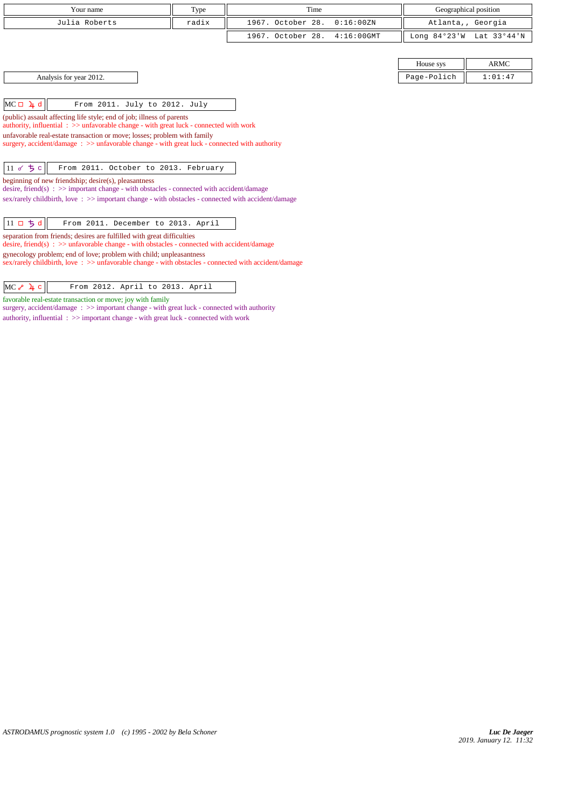| Your name                                                                                                                                                                                                                                                                                                                                    | Type  | Time              |               |                | Geographical position |
|----------------------------------------------------------------------------------------------------------------------------------------------------------------------------------------------------------------------------------------------------------------------------------------------------------------------------------------------|-------|-------------------|---------------|----------------|-----------------------|
| Julia Roberts                                                                                                                                                                                                                                                                                                                                | radix | 1967. October 28. | 0:16:00ZN     |                | Atlanta,, Georgia     |
|                                                                                                                                                                                                                                                                                                                                              |       | 1967. October 28. | $4:16:00$ GMT | Long $84°23'W$ | Lat 33°44'N           |
|                                                                                                                                                                                                                                                                                                                                              |       |                   |               |                |                       |
|                                                                                                                                                                                                                                                                                                                                              |       |                   |               | House sys      | <b>ARMC</b>           |
| Analysis for year 2012.                                                                                                                                                                                                                                                                                                                      |       |                   |               | Page-Polich    | 1:01:47               |
|                                                                                                                                                                                                                                                                                                                                              |       |                   |               |                |                       |
| $MC \Box 4 d$<br>From 2011. July to 2012. July                                                                                                                                                                                                                                                                                               |       |                   |               |                |                       |
| (public) assault affecting life style; end of job; illness of parents<br>authority, influential : >> unfavorable change - with great luck - connected with work<br>unfavorable real-estate transaction or move; losses; problem with family<br>surgery, accident/damage : >> unfavorable change - with great luck - connected with authority |       |                   |               |                |                       |
| 11 $\sigma$ 5 c<br>From 2011. October to 2013. February                                                                                                                                                                                                                                                                                      |       |                   |               |                |                       |
| beginning of new friendship; desire(s), pleasantness<br>desire, friend(s) : $\gg$ important change - with obstacles - connected with accident/damage                                                                                                                                                                                         |       |                   |               |                |                       |
| sex/rarely childbirth, love: >> important change - with obstacles - connected with accident/damage                                                                                                                                                                                                                                           |       |                   |               |                |                       |
| $11$ ロ ちょ<br>From 2011. December to 2013. April<br>separation from friends; desires are fulfilled with great difficulties<br>desire, friend(s) : $\gg$ unfavorable change - with obstacles - connected with accident/damage<br>gynecology problem; end of love; problem with child; unpleasantness                                           |       |                   |               |                |                       |

sex/rarely childbirth, love :  $>$  unfavorable change - with obstacles - connected with accident/damage

| $MC \geq \frac{1}{4} c$<br>From 2012. April to 2013. April |  |
|------------------------------------------------------------|--|
|------------------------------------------------------------|--|

favorable real-estate transaction or move; joy with family

surgery, accident/damage :  $\gg$  important change - with great luck - connected with authority authority, influential  $\Rightarrow$   $\Rightarrow$  important change - with great luck - connected with work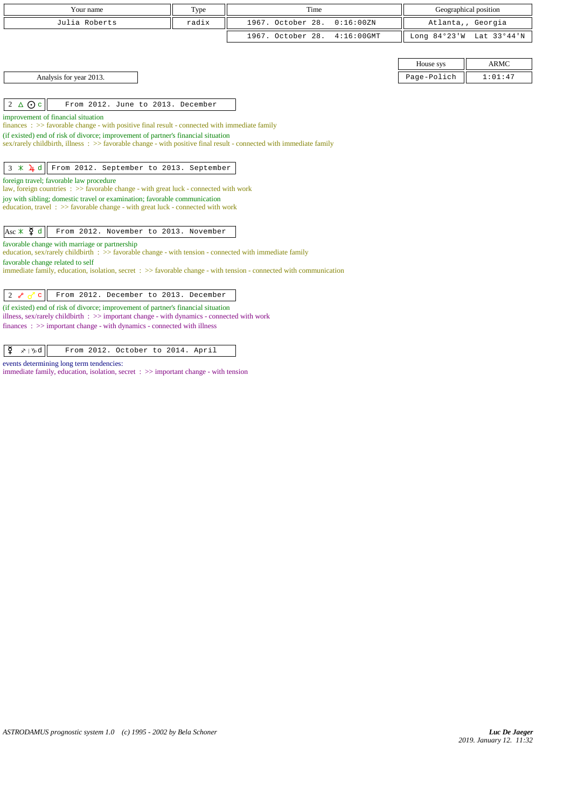|                                               | Your name                                                                                                                                                                        | Type  | Time                                                                                                               |               |             | Geographical position    |
|-----------------------------------------------|----------------------------------------------------------------------------------------------------------------------------------------------------------------------------------|-------|--------------------------------------------------------------------------------------------------------------------|---------------|-------------|--------------------------|
|                                               | Julia Roberts                                                                                                                                                                    | radix | 1967. October 28.                                                                                                  | 0:16:00 ZN    |             | Atlanta,, Georgia        |
|                                               |                                                                                                                                                                                  |       | 1967. October 28.                                                                                                  | $4:16:00$ GMT |             | Long 84°23'W Lat 33°44'N |
|                                               |                                                                                                                                                                                  |       |                                                                                                                    |               |             |                          |
|                                               |                                                                                                                                                                                  |       |                                                                                                                    |               | House sys   | <b>ARMC</b>              |
| Analysis for year 2013.                       |                                                                                                                                                                                  |       |                                                                                                                    |               | Page-Polich | 1:01:47                  |
|                                               |                                                                                                                                                                                  |       |                                                                                                                    |               |             |                          |
| $2 \triangle$ Oc                              | From 2012. June to 2013. December                                                                                                                                                |       |                                                                                                                    |               |             |                          |
| improvement of financial situation            | finances : $\gg$ favorable change - with positive final result - connected with immediate family                                                                                 |       |                                                                                                                    |               |             |                          |
|                                               | (if existed) end of risk of divorce; improvement of partner's financial situation                                                                                                |       |                                                                                                                    |               |             |                          |
|                                               |                                                                                                                                                                                  |       | sex/rarely childbirth, illness: >> favorable change - with positive final result - connected with immediate family |               |             |                          |
|                                               |                                                                                                                                                                                  |       |                                                                                                                    |               |             |                          |
|                                               | $3 \times 1 d$ Trom 2012. September to 2013. September                                                                                                                           |       |                                                                                                                    |               |             |                          |
| foreign travel; favorable law procedure       | law, foreign countries : >> favorable change - with great luck - connected with work                                                                                             |       |                                                                                                                    |               |             |                          |
|                                               | joy with sibling; domestic travel or examination; favorable communication                                                                                                        |       |                                                                                                                    |               |             |                          |
|                                               | education, travel $\Rightarrow$ S favorable change - with great luck - connected with work                                                                                       |       |                                                                                                                    |               |             |                          |
|                                               |                                                                                                                                                                                  |       |                                                                                                                    |               |             |                          |
| Asc $\angle$ $\frac{3}{4}$ d                  | From 2012. November to 2013. November                                                                                                                                            |       |                                                                                                                    |               |             |                          |
| favorable change with marriage or partnership |                                                                                                                                                                                  |       |                                                                                                                    |               |             |                          |
| favorable change related to self              | education, sex/rarely childbirth : $\gg$ favorable change - with tension - connected with immediate family                                                                       |       |                                                                                                                    |               |             |                          |
|                                               |                                                                                                                                                                                  |       | immediate family, education, isolation, secret : >> favorable change - with tension - connected with communication |               |             |                          |
|                                               |                                                                                                                                                                                  |       |                                                                                                                    |               |             |                          |
| $2\sigma$<br>$\mathbf{C}$                     | From 2012. December to 2013. December                                                                                                                                            |       |                                                                                                                    |               |             |                          |
|                                               | (if existed) end of risk of divorce; improvement of partner's financial situation                                                                                                |       |                                                                                                                    |               |             |                          |
|                                               | illness, sex/rarely childbirth $\Rightarrow$ important change - with dynamics - connected with work<br>$finances: \gg important change - with dynamics - connected with illness$ |       |                                                                                                                    |               |             |                          |
|                                               |                                                                                                                                                                                  |       |                                                                                                                    |               |             |                          |
| ¥<br>$x \upharpoonright y$ d                  | From 2012. October to 2014. April                                                                                                                                                |       |                                                                                                                    |               |             |                          |

events determining long term tendencies:

immediate family, education, isolation, secret :  $\gg$  important change - with tension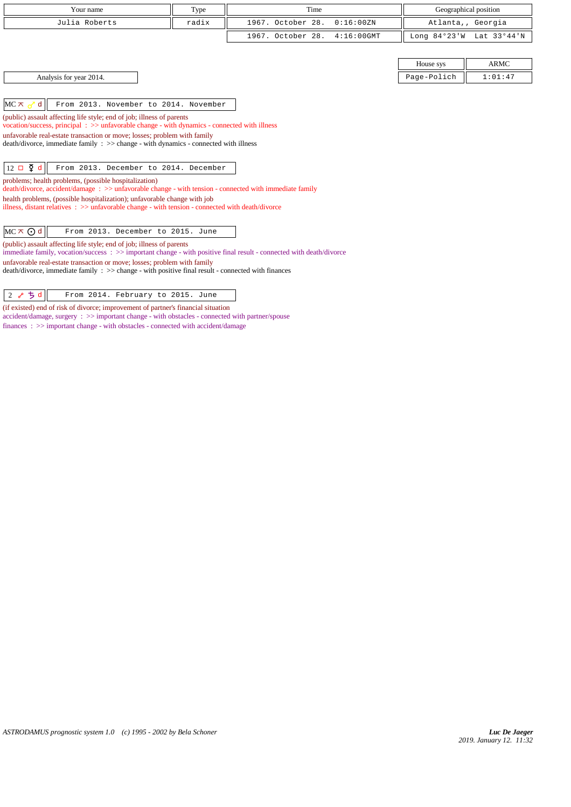| Your name                                                                                                                                                                                                                                           | Type  | Time                               |                | Geographical position |
|-----------------------------------------------------------------------------------------------------------------------------------------------------------------------------------------------------------------------------------------------------|-------|------------------------------------|----------------|-----------------------|
| Julia Roberts                                                                                                                                                                                                                                       | radix | 1967. October 28.<br>0:16:00 ZN    |                | Atlanta,, Georgia     |
|                                                                                                                                                                                                                                                     |       | 1967. October 28.<br>$4:16:00$ GMT | Long $84°23'W$ | Lat 33°44'N           |
|                                                                                                                                                                                                                                                     |       |                                    |                |                       |
|                                                                                                                                                                                                                                                     |       |                                    | House sys      | <b>ARMC</b>           |
| Analysis for year 2014.                                                                                                                                                                                                                             |       |                                    | Page-Polich    | 1:01:47               |
|                                                                                                                                                                                                                                                     |       |                                    |                |                       |
| From 2013. November to 2014. November<br>$MC \times d$                                                                                                                                                                                              |       |                                    |                |                       |
| (public) assault affecting life style; end of job; illness of parents<br>vocation/success, principal: $\gg$ unfavorable change - with dynamics - connected with illness<br>unfavorable real-estate transaction or move; losses; problem with family |       |                                    |                |                       |
| death/divorce, immediate family : >> change - with dynamics - connected with illness                                                                                                                                                                |       |                                    |                |                       |
| $12 \Box \nabla d$<br>From 2013. December to 2014. December                                                                                                                                                                                         |       |                                    |                |                       |
| problems; health problems, (possible hospitalization)<br>death/divorce, accident/damage: >> unfavorable change - with tension - connected with immediate family                                                                                     |       |                                    |                |                       |
| health problems, (possible hospitalization); unfavorable change with job<br>illness, distant relatives $\Rightarrow$ unfavorable change - with tension - connected with death/divorce                                                               |       |                                    |                |                       |
| $MC \times Q d$<br>From 2013. December to 2015. June                                                                                                                                                                                                |       |                                    |                |                       |
| (public) assault affecting life style; end of job; illness of parents<br>immediate family, vocation/success: >> important change - with positive final result - connected with death/divorce                                                        |       |                                    |                |                       |
| unfavorable real-estate transaction or move; losses; problem with family<br>death/divorce, immediate family : >> change - with positive final result - connected with finances                                                                      |       |                                    |                |                       |
|                                                                                                                                                                                                                                                     |       |                                    |                |                       |

 $\begin{array}{|c|c|c|c|c|}\n\hline\n2 & \mathcal{S} & \mathbf{\dot{5}} & \mathbf{d} & \hline\n\end{array}$  From 2014. February to 2015. June (if existed) end of risk of divorce; improvement of partner's financial situation accident/damage, surgery : >> important change - with obstacles - connected with partner/spouse finances : >> important change - with obstacles - connected with accident/damage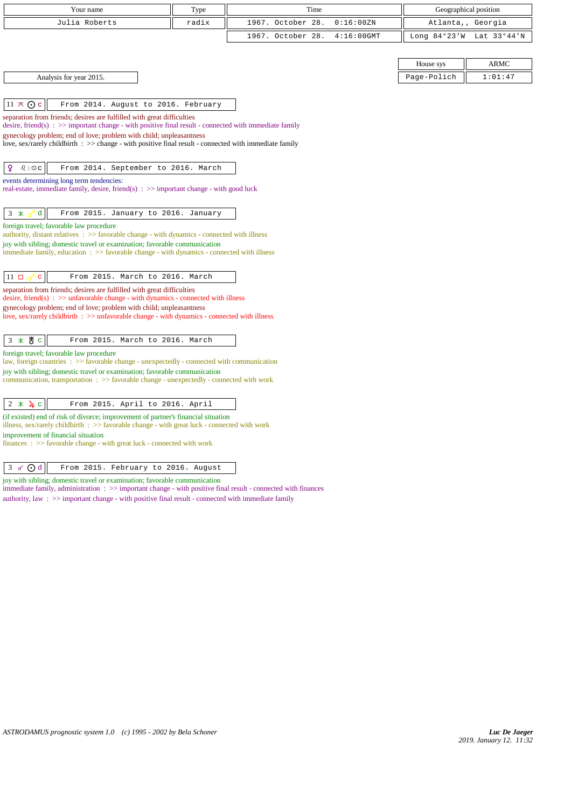| Your name                                                                                                                                                                                                                         | Type  | Time              |               |             | Geographical position    |
|-----------------------------------------------------------------------------------------------------------------------------------------------------------------------------------------------------------------------------------|-------|-------------------|---------------|-------------|--------------------------|
| Julia Roberts                                                                                                                                                                                                                     | radix | 1967. October 28. | 0:16:00ZN     |             | Atlanta,, Georgia        |
|                                                                                                                                                                                                                                   |       | 1967. October 28. | $4:16:00$ GMT |             | Long 84°23'W Lat 33°44'N |
|                                                                                                                                                                                                                                   |       |                   |               |             |                          |
|                                                                                                                                                                                                                                   |       |                   |               | House sys   | ARMC                     |
| Analysis for year 2015.                                                                                                                                                                                                           |       |                   |               | Page-Polich | 1:01:47                  |
|                                                                                                                                                                                                                                   |       |                   |               |             |                          |
| $11 \times Qc$<br>From 2014. August to 2016. February                                                                                                                                                                             |       |                   |               |             |                          |
| separation from friends; desires are fulfilled with great difficulties<br>desire, friend(s) : $\gg$ important change - with positive final result - connected with immediate family                                               |       |                   |               |             |                          |
| gynecology problem; end of love; problem with child; unpleasantness                                                                                                                                                               |       |                   |               |             |                          |
| love, sex/rarely childbirth : >> change - with positive final result - connected with immediate family                                                                                                                            |       |                   |               |             |                          |
|                                                                                                                                                                                                                                   |       |                   |               |             |                          |
| ¥<br>$\delta$   $\mathfrak{S}$ c<br>From 2014. September to 2016. March                                                                                                                                                           |       |                   |               |             |                          |
| events determining long term tendencies:<br>real-estate, immediate family, desire, friend(s) $\Rightarrow$ important change - with good luck                                                                                      |       |                   |               |             |                          |
|                                                                                                                                                                                                                                   |       |                   |               |             |                          |
| $\mathbf d$<br>$3 *$<br>From 2015. January to 2016. January                                                                                                                                                                       |       |                   |               |             |                          |
| foreign travel; favorable law procedure<br>authority, distant relatives $\Rightarrow$ Savorable change - with dynamics - connected with illness                                                                                   |       |                   |               |             |                          |
| joy with sibling; domestic travel or examination; favorable communication                                                                                                                                                         |       |                   |               |             |                          |
| immediate family, education $\therefore$ >> favorable change - with dynamics - connected with illness                                                                                                                             |       |                   |               |             |                          |
|                                                                                                                                                                                                                                   |       |                   |               |             |                          |
| $11 \Box \sigma$<br>From 2015. March to 2016. March<br>$\mathbf{C}^-$<br>separation from friends; desires are fulfilled with great difficulties                                                                                   |       |                   |               |             |                          |
| desire, friend(s) : $\gg$ unfavorable change - with dynamics - connected with illness                                                                                                                                             |       |                   |               |             |                          |
| gynecology problem; end of love; problem with child; unpleasantness<br>love, sex/rarely childbirth : >> unfavorable change - with dynamics - connected with illness                                                               |       |                   |               |             |                          |
|                                                                                                                                                                                                                                   |       |                   |               |             |                          |
| $3 * 8c$<br>From 2015. March to 2016. March                                                                                                                                                                                       |       |                   |               |             |                          |
| foreign travel; favorable law procedure                                                                                                                                                                                           |       |                   |               |             |                          |
| law, foreign countries : >> favorable change - unexpectedly - connected with communication<br>joy with sibling; domestic travel or examination; favorable communication                                                           |       |                   |               |             |                          |
| communication, transportation : >> favorable change - unexpectedly - connected with work                                                                                                                                          |       |                   |               |             |                          |
|                                                                                                                                                                                                                                   |       |                   |               |             |                          |
| $2 * 4c$<br>From 2015. April to 2016. April                                                                                                                                                                                       |       |                   |               |             |                          |
| (if existed) end of risk of divorce; improvement of partner's financial situation<br>illness, sex/rarely childbirth : >> favorable change - with great luck - connected with work                                                 |       |                   |               |             |                          |
| improvement of financial situation                                                                                                                                                                                                |       |                   |               |             |                          |
| finances: >> favorable change - with great luck - connected with work                                                                                                                                                             |       |                   |               |             |                          |
| $3 \sigma$ Od<br>From 2015. February to 2016. August                                                                                                                                                                              |       |                   |               |             |                          |
| joy with sibling; domestic travel or examination; favorable communication                                                                                                                                                         |       |                   |               |             |                          |
| immediate family, administration $\therefore$ >> important change - with positive final result - connected with finances<br>authority, law: $\gg$ important change - with positive final result - connected with immediate family |       |                   |               |             |                          |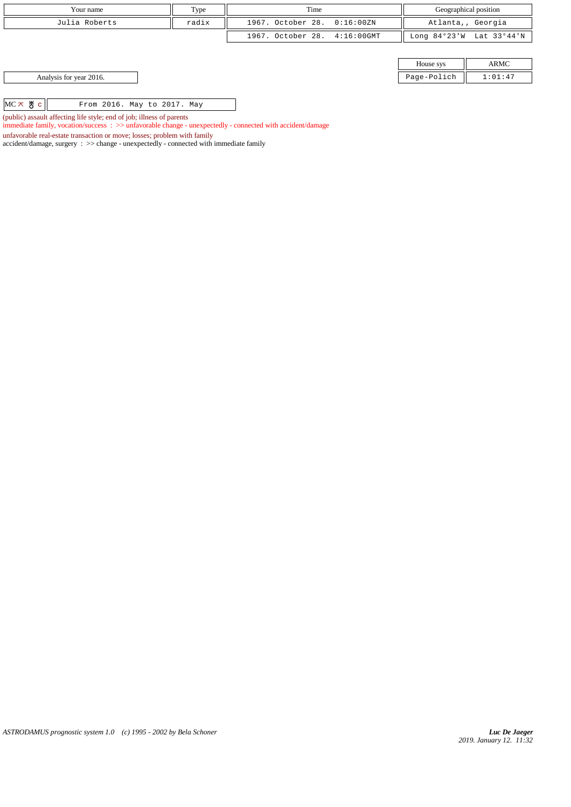| Your name                                                                                                                                                                                                                                                                                                                                                                                                                                                                                                   | Type  | Time                         |             | Geographical position    |
|-------------------------------------------------------------------------------------------------------------------------------------------------------------------------------------------------------------------------------------------------------------------------------------------------------------------------------------------------------------------------------------------------------------------------------------------------------------------------------------------------------------|-------|------------------------------|-------------|--------------------------|
| Julia Roberts                                                                                                                                                                                                                                                                                                                                                                                                                                                                                               | radix | 1967. October 28. 0:16:00ZN  |             | Atlanta,, Georgia        |
|                                                                                                                                                                                                                                                                                                                                                                                                                                                                                                             |       | 1967. October 28. 4:16:00GMT |             | Long 84°23'W Lat 33°44'N |
|                                                                                                                                                                                                                                                                                                                                                                                                                                                                                                             |       |                              |             |                          |
|                                                                                                                                                                                                                                                                                                                                                                                                                                                                                                             |       |                              | House sys   | ARMC                     |
| Analysis for year 2016.                                                                                                                                                                                                                                                                                                                                                                                                                                                                                     |       |                              | Page-Polich | 1:01:47                  |
|                                                                                                                                                                                                                                                                                                                                                                                                                                                                                                             |       |                              |             |                          |
| $MC \times$ # $c$<br>From 2016. May to 2017. May                                                                                                                                                                                                                                                                                                                                                                                                                                                            |       |                              |             |                          |
| $\mathcal{L} = \mathcal{L} \cdot \mathcal{L} \cdot \mathcal{L} = \mathcal{L} \cdot \mathcal{L} \cdot \mathcal{L} \cdot \mathcal{L} \cdot \mathcal{L} \cdot \mathcal{L} \cdot \mathcal{L} \cdot \mathcal{L} \cdot \mathcal{L} \cdot \mathcal{L} \cdot \mathcal{L} \cdot \mathcal{L} \cdot \mathcal{L} \cdot \mathcal{L} \cdot \mathcal{L} \cdot \mathcal{L} \cdot \mathcal{L} \cdot \mathcal{L} \cdot \mathcal{L} \cdot \mathcal{L} \cdot \mathcal{L} \cdot \mathcal{L} \cdot \mathcal{L} \cdot \mathcal{L}$ |       |                              |             |                          |

(public) assault affecting life style; end of job; illness of parents

immediate family, vocation/success : >> unfavorable change - unexpectedly - connected with accident/damage

unfavorable real-estate transaction or move; losses; problem with family

accident/damage, surgery : >> change - unexpectedly - connected with immediate family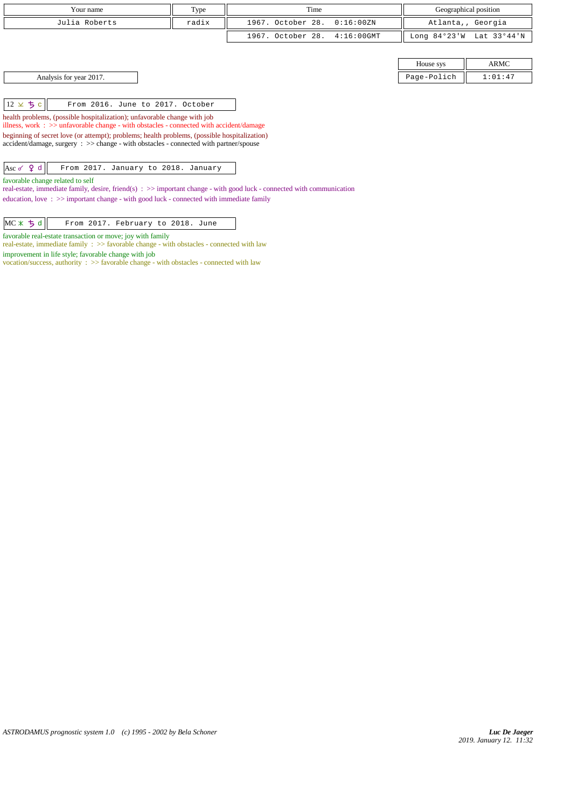| Your name                                                                                                                                                                                                                                                                                                                                                                                                                                                                                                                                                                                                                                                                                                                                                                    | Type  | Time                               |                | Geographical position |
|------------------------------------------------------------------------------------------------------------------------------------------------------------------------------------------------------------------------------------------------------------------------------------------------------------------------------------------------------------------------------------------------------------------------------------------------------------------------------------------------------------------------------------------------------------------------------------------------------------------------------------------------------------------------------------------------------------------------------------------------------------------------------|-------|------------------------------------|----------------|-----------------------|
| Julia Roberts                                                                                                                                                                                                                                                                                                                                                                                                                                                                                                                                                                                                                                                                                                                                                                | radix | 1967. October 28.<br>0:16:00ZN     |                | Atlanta,, Georgia     |
|                                                                                                                                                                                                                                                                                                                                                                                                                                                                                                                                                                                                                                                                                                                                                                              |       | 1967. October 28.<br>$4:16:00$ GMT | Long $84°23'W$ | Lat 33°44'N           |
|                                                                                                                                                                                                                                                                                                                                                                                                                                                                                                                                                                                                                                                                                                                                                                              |       |                                    |                |                       |
|                                                                                                                                                                                                                                                                                                                                                                                                                                                                                                                                                                                                                                                                                                                                                                              |       |                                    | House sys      | ARMC                  |
| Analysis for year 2017.                                                                                                                                                                                                                                                                                                                                                                                                                                                                                                                                                                                                                                                                                                                                                      |       |                                    | Page-Polich    | 1:01:47               |
| $12 \times 5c$<br>From 2016. June to 2017. October<br>health problems, (possible hospitalization); unfavorable change with job<br>illness, work $\Rightarrow$ > $\Rightarrow$ unfavorable change - with obstacles - connected with accident/damage<br>beginning of secret love (or attempt); problems; health problems, (possible hospitalization)<br>accident/damage, surgery : >> change - with obstacles - connected with partner/spouse<br>Asc $\sigma$ $\theta$ d<br>From 2017. January to 2018. January<br>favorable change related to self<br>real-estate, immediate family, desire, friend(s) : $\gg$ important change - with good luck - connected with communication<br>education, love: $\gg$ important change - with good luck - connected with immediate family |       |                                    |                |                       |

favorable real-estate transaction or move; joy with family

real-estate, immediate family : >> favorable change - with obstacles - connected with law improvement in life style; favorable change with job

vocation/success, authority : >> favorable change - with obstacles - connected with law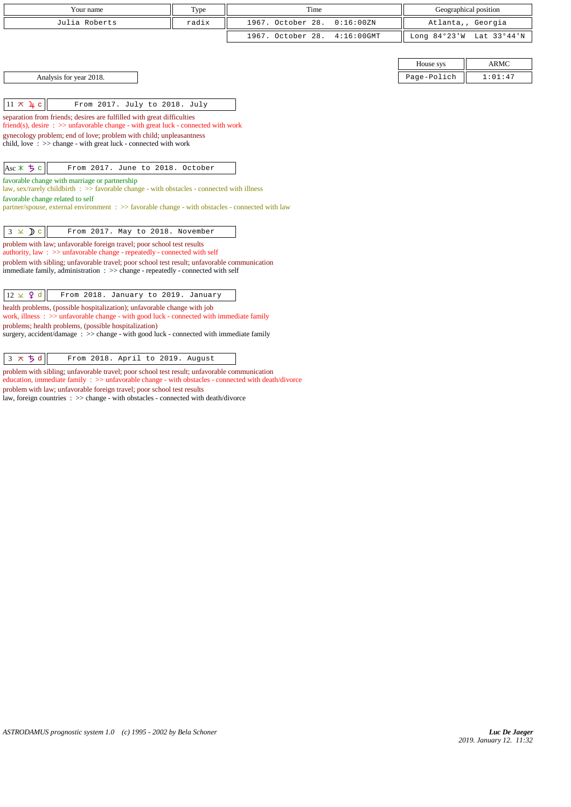| Your name<br>Geographical position<br>Type<br>1967. October 28.<br>Julia Roberts<br>radix<br>0:16:00 ZN<br>Atlanta,, Georgia<br>1967. October 28.<br>$4:16:00$ GMT<br>Long 84°23'W Lat 33°44'N<br><b>ARMC</b><br>House sys<br>Analysis for year 2018.<br>Page-Polich<br>1:01:47<br>$11 \times 4c$<br>From 2017. July to 2018. July<br>separation from friends; desires are fulfilled with great difficulties<br>friend(s), desire $\Rightarrow$ >> unfavorable change - with great luck - connected with work<br>gynecology problem; end of love; problem with child; unpleasantness<br>child, love $\Rightarrow$ > $\Rightarrow$ change - with great luck - connected with work<br>$Asc * 5c$<br>From 2017. June to 2018. October<br>favorable change with marriage or partnership<br>law, sex/rarely childbirth : >> favorable change - with obstacles - connected with illness<br>favorable change related to self<br>partner/spouse, external environment : >> favorable change - with obstacles - connected with law |
|---------------------------------------------------------------------------------------------------------------------------------------------------------------------------------------------------------------------------------------------------------------------------------------------------------------------------------------------------------------------------------------------------------------------------------------------------------------------------------------------------------------------------------------------------------------------------------------------------------------------------------------------------------------------------------------------------------------------------------------------------------------------------------------------------------------------------------------------------------------------------------------------------------------------------------------------------------------------------------------------------------------------------|
|                                                                                                                                                                                                                                                                                                                                                                                                                                                                                                                                                                                                                                                                                                                                                                                                                                                                                                                                                                                                                           |
|                                                                                                                                                                                                                                                                                                                                                                                                                                                                                                                                                                                                                                                                                                                                                                                                                                                                                                                                                                                                                           |
|                                                                                                                                                                                                                                                                                                                                                                                                                                                                                                                                                                                                                                                                                                                                                                                                                                                                                                                                                                                                                           |
|                                                                                                                                                                                                                                                                                                                                                                                                                                                                                                                                                                                                                                                                                                                                                                                                                                                                                                                                                                                                                           |
|                                                                                                                                                                                                                                                                                                                                                                                                                                                                                                                                                                                                                                                                                                                                                                                                                                                                                                                                                                                                                           |
|                                                                                                                                                                                                                                                                                                                                                                                                                                                                                                                                                                                                                                                                                                                                                                                                                                                                                                                                                                                                                           |
|                                                                                                                                                                                                                                                                                                                                                                                                                                                                                                                                                                                                                                                                                                                                                                                                                                                                                                                                                                                                                           |
|                                                                                                                                                                                                                                                                                                                                                                                                                                                                                                                                                                                                                                                                                                                                                                                                                                                                                                                                                                                                                           |
|                                                                                                                                                                                                                                                                                                                                                                                                                                                                                                                                                                                                                                                                                                                                                                                                                                                                                                                                                                                                                           |
|                                                                                                                                                                                                                                                                                                                                                                                                                                                                                                                                                                                                                                                                                                                                                                                                                                                                                                                                                                                                                           |
|                                                                                                                                                                                                                                                                                                                                                                                                                                                                                                                                                                                                                                                                                                                                                                                                                                                                                                                                                                                                                           |
|                                                                                                                                                                                                                                                                                                                                                                                                                                                                                                                                                                                                                                                                                                                                                                                                                                                                                                                                                                                                                           |
|                                                                                                                                                                                                                                                                                                                                                                                                                                                                                                                                                                                                                                                                                                                                                                                                                                                                                                                                                                                                                           |
|                                                                                                                                                                                                                                                                                                                                                                                                                                                                                                                                                                                                                                                                                                                                                                                                                                                                                                                                                                                                                           |
|                                                                                                                                                                                                                                                                                                                                                                                                                                                                                                                                                                                                                                                                                                                                                                                                                                                                                                                                                                                                                           |
|                                                                                                                                                                                                                                                                                                                                                                                                                                                                                                                                                                                                                                                                                                                                                                                                                                                                                                                                                                                                                           |
|                                                                                                                                                                                                                                                                                                                                                                                                                                                                                                                                                                                                                                                                                                                                                                                                                                                                                                                                                                                                                           |
| $3 \times Dc$<br>From 2017. May to 2018. November                                                                                                                                                                                                                                                                                                                                                                                                                                                                                                                                                                                                                                                                                                                                                                                                                                                                                                                                                                         |
| problem with law; unfavorable foreign travel; poor school test results                                                                                                                                                                                                                                                                                                                                                                                                                                                                                                                                                                                                                                                                                                                                                                                                                                                                                                                                                    |
| authority, law : $\gg$ unfavorable change - repeatedly - connected with self                                                                                                                                                                                                                                                                                                                                                                                                                                                                                                                                                                                                                                                                                                                                                                                                                                                                                                                                              |
| problem with sibling; unfavorable travel; poor school test result; unfavorable communication<br>immediate family, administration : >> change - repeatedly - connected with self                                                                                                                                                                                                                                                                                                                                                                                                                                                                                                                                                                                                                                                                                                                                                                                                                                           |
|                                                                                                                                                                                                                                                                                                                                                                                                                                                                                                                                                                                                                                                                                                                                                                                                                                                                                                                                                                                                                           |
| $12 \times 9$ d<br>From 2018. January to 2019. January                                                                                                                                                                                                                                                                                                                                                                                                                                                                                                                                                                                                                                                                                                                                                                                                                                                                                                                                                                    |
| health problems, (possible hospitalization); unfavorable change with job<br>work, illness $\Rightarrow$ >> unfavorable change - with good luck - connected with immediate family                                                                                                                                                                                                                                                                                                                                                                                                                                                                                                                                                                                                                                                                                                                                                                                                                                          |
| problems; health problems, (possible hospitalization)                                                                                                                                                                                                                                                                                                                                                                                                                                                                                                                                                                                                                                                                                                                                                                                                                                                                                                                                                                     |
| surgery, accident/damage: >> change - with good luck - connected with immediate family                                                                                                                                                                                                                                                                                                                                                                                                                                                                                                                                                                                                                                                                                                                                                                                                                                                                                                                                    |
| $3 \times 5d$<br>From 2018. April to 2019. August                                                                                                                                                                                                                                                                                                                                                                                                                                                                                                                                                                                                                                                                                                                                                                                                                                                                                                                                                                         |

problem with sibling; unfavorable travel; poor school test result; unfavorable communication education, immediate family : >> unfavorable change - with obstacles - connected with death/divorce problem with law; unfavorable foreign travel; poor school test results

law, foreign countries : >> change - with obstacles - connected with death/divorce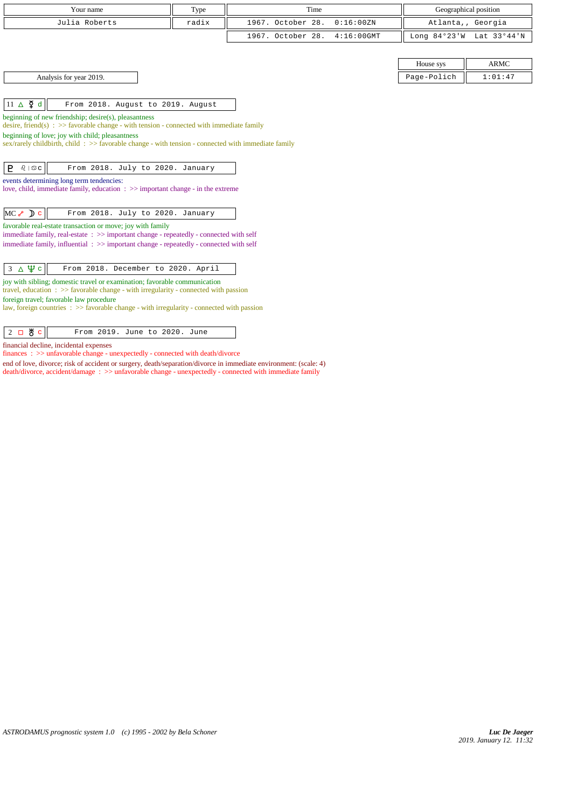| Your name                                                                                                                                                                              | Type  | Time              |               |             | Geographical position    |
|----------------------------------------------------------------------------------------------------------------------------------------------------------------------------------------|-------|-------------------|---------------|-------------|--------------------------|
| Julia Roberts                                                                                                                                                                          | radix | 1967. October 28. | 0:16:00 ZN    |             | Atlanta,, Georgia        |
|                                                                                                                                                                                        |       | 1967. October 28. | $4:16:00$ GMT |             | Long 84°23'W Lat 33°44'N |
|                                                                                                                                                                                        |       |                   |               |             |                          |
|                                                                                                                                                                                        |       |                   |               | House sys   | <b>ARMC</b>              |
| Analysis for year 2019.                                                                                                                                                                |       |                   |               | Page-Polich | 1:01:47                  |
|                                                                                                                                                                                        |       |                   |               |             |                          |
| $11 \triangle \n\overline{2}$ d<br>From 2018. August to 2019. August                                                                                                                   |       |                   |               |             |                          |
| beginning of new friendship; desire(s), pleasantness                                                                                                                                   |       |                   |               |             |                          |
| desire, friend(s) : $\gg$ favorable change - with tension - connected with immediate family<br>beginning of love; joy with child; pleasantness                                         |       |                   |               |             |                          |
| sex/rarely childbirth, child: $\gg$ favorable change - with tension - connected with immediate family                                                                                  |       |                   |               |             |                          |
|                                                                                                                                                                                        |       |                   |               |             |                          |
| P<br>$\delta$   $\mathfrak{S}$ C<br>From 2018. July to 2020. January                                                                                                                   |       |                   |               |             |                          |
| events determining long term tendencies:<br>love, child, immediate family, education $\Rightarrow$ important change - in the extreme                                                   |       |                   |               |             |                          |
|                                                                                                                                                                                        |       |                   |               |             |                          |
| $MC \rightarrow D c$<br>From 2018. July to 2020. January                                                                                                                               |       |                   |               |             |                          |
| favorable real-estate transaction or move; joy with family                                                                                                                             |       |                   |               |             |                          |
| immediate family, real-estate: >> important change - repeatedly - connected with self                                                                                                  |       |                   |               |             |                          |
| immediate family, influential : >> important change - repeatedly - connected with self                                                                                                 |       |                   |               |             |                          |
| $3 \Delta \Psi c$<br>From 2018. December to 2020. April                                                                                                                                |       |                   |               |             |                          |
| joy with sibling; domestic travel or examination; favorable communication                                                                                                              |       |                   |               |             |                          |
| travel, education $\Rightarrow$ > favorable change - with irregularity - connected with passion                                                                                        |       |                   |               |             |                          |
| foreign travel; favorable law procedure<br>law, foreign countries $\Rightarrow$ States $\Rightarrow$ States $\Rightarrow$ States behavior $\Rightarrow$ States behavior in the passion |       |                   |               |             |                          |
|                                                                                                                                                                                        |       |                   |               |             |                          |

2 **B** c From 2019. June to 2020. June financial decline, incidental expenses

finances : >> unfavorable change - unexpectedly - connected with death/divorce

end of love, divorce; risk of accident or surgery, death/separation/divorce in immediate environment: (scale: 4) death/divorce, accident/damage : >> unfavorable change - unexpectedly - connected with immediate family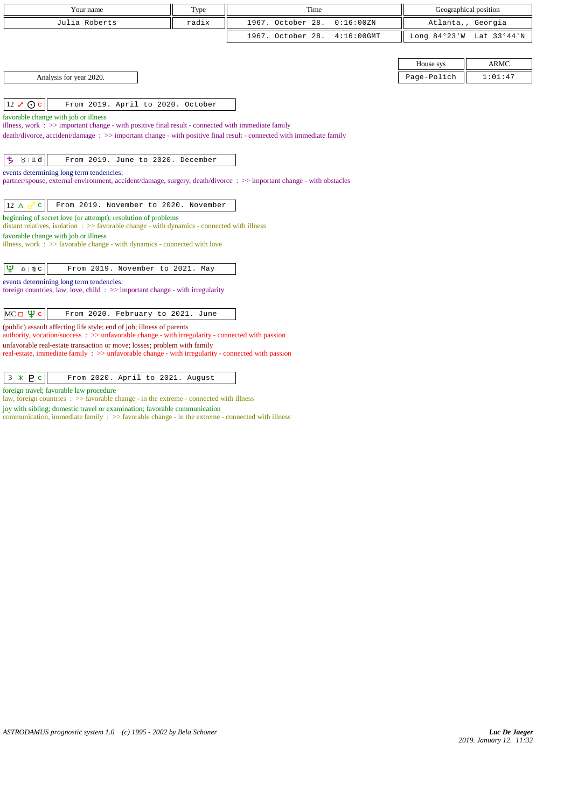| Julia Roberts<br>radix<br>1967. October 28.<br>0:16:00 ZN                                                                                                                    | Atlanta,, Georgia |
|------------------------------------------------------------------------------------------------------------------------------------------------------------------------------|-------------------|
| 1967. October 28.<br>$4:16:00$ GMT<br>Long $84°23'W$                                                                                                                         | Lat 33°44'N       |
|                                                                                                                                                                              |                   |
| House sys                                                                                                                                                                    | <b>ARMC</b>       |
| Analysis for year 2020.<br>Page-Polich                                                                                                                                       | 1:01:47           |
|                                                                                                                                                                              |                   |
| $12 \times Qc$<br>From 2019. April to 2020. October                                                                                                                          |                   |
| favorable change with job or illness<br>illness, work : >> important change - with positive final result - connected with immediate family                                   |                   |
| death/divorce, accident/damage: >> important change - with positive final result - connected with immediate family                                                           |                   |
|                                                                                                                                                                              |                   |
| ち<br>$\lambda$   II q<br>From 2019. June to 2020. December                                                                                                                   |                   |
| events determining long term tendencies:<br>partner/spouse, external environment, accident/damage, surgery, death/divorce: >> important change - with obstacles              |                   |
|                                                                                                                                                                              |                   |
| From 2019. November to 2020. November<br>$12 \Delta \sigma$<br>$\mathbf{C}$                                                                                                  |                   |
| beginning of secret love (or attempt); resolution of problems<br>distant relatives, isolation $\Rightarrow$ Savorable change - with dynamics - connected with illness        |                   |
| favorable change with job or illness                                                                                                                                         |                   |
| illness, work $\Rightarrow$ 5 > favorable change - with dynamics - connected with love                                                                                       |                   |
| Ψ<br>$\underline{\Omega}$   $\mathbb{D}$ C<br>From 2019. November to 2021. May                                                                                               |                   |
| events determining long term tendencies:                                                                                                                                     |                   |
| foreign countries, law, love, child $\Rightarrow$ important change - with irregularity                                                                                       |                   |
| $MC \Box \Psi c$<br>From 2020. February to 2021. June                                                                                                                        |                   |
| (public) assault affecting life style; end of job; illness of parents<br>authority, vocation/success : $\gg$ unfavorable change - with irregularity - connected with passion |                   |
| unfavorable real-estate transaction or move; losses; problem with family                                                                                                     |                   |
| real-estate, immediate family : >> unfavorable change - with irregularity - connected with passion                                                                           |                   |
| $3 * P c$<br>From 2020. April to 2021. August                                                                                                                                |                   |

foreign travel; favorable law procedure

law, foreign countries : >> favorable change - in the extreme - connected with illness

joy with sibling; domestic travel or examination; favorable communication

communication, immediate family : >> favorable change - in the extreme - connected with illness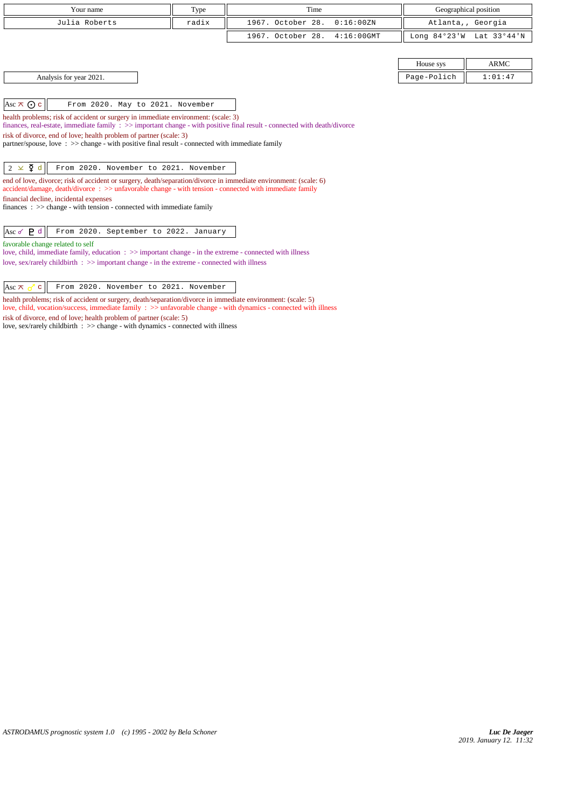| Your name                                                                                                                                                                                                                                 | Type  | Time                               |             | Geographical position    |
|-------------------------------------------------------------------------------------------------------------------------------------------------------------------------------------------------------------------------------------------|-------|------------------------------------|-------------|--------------------------|
| Julia Roberts                                                                                                                                                                                                                             | radix | 1967. October 28.<br>0:16:00ZN     |             | Atlanta,, Georgia        |
|                                                                                                                                                                                                                                           |       | 1967. October 28.<br>$4:16:00$ GMT |             | Long 84°23'W Lat 33°44'N |
|                                                                                                                                                                                                                                           |       |                                    |             |                          |
|                                                                                                                                                                                                                                           |       |                                    | House sys   | <b>ARMC</b>              |
| Analysis for year 2021.                                                                                                                                                                                                                   |       |                                    | Page-Polich | 1:01:47                  |
|                                                                                                                                                                                                                                           |       |                                    |             |                          |
| Asc $\overline{\wedge}$ $\odot$ c<br>From 2020. May to 2021. November                                                                                                                                                                     |       |                                    |             |                          |
| health problems; risk of accident or surgery in immediate environment: (scale: 3)<br>finances, real-estate, immediate family $\therefore$ >> important change - with positive final result - connected with death/divorce                 |       |                                    |             |                          |
| risk of divorce, end of love; health problem of partner (scale: 3)                                                                                                                                                                        |       |                                    |             |                          |
| partner/spouse, love : $\gg$ change - with positive final result - connected with immediate family                                                                                                                                        |       |                                    |             |                          |
| $2 \times \xi$ d<br>From 2020. November to 2021. November                                                                                                                                                                                 |       |                                    |             |                          |
| end of love, divorce; risk of accident or surgery, death/separation/divorce in immediate environment: (scale: 6)<br>$accident/damage$ , $death/divorce$ : $>>$ unfavorable change - with tension - connected with immediate family        |       |                                    |             |                          |
| financial decline, incidental expenses<br>finances : $\gg$ change - with tension - connected with immediate family                                                                                                                        |       |                                    |             |                          |
|                                                                                                                                                                                                                                           |       |                                    |             |                          |
| Asc $\sigma$ $P$ d<br>From 2020. September to 2022. January                                                                                                                                                                               |       |                                    |             |                          |
| favorable change related to self                                                                                                                                                                                                          |       |                                    |             |                          |
| love, child, immediate family, education $\Rightarrow$ $\Rightarrow$ important change - in the extreme - connected with illness<br>love, sex/rarely childbirth $\Rightarrow$ > important change - in the extreme - connected with illness |       |                                    |             |                          |

Asc  $\overline{\wedge}$  c From 2020. November to 2021. November

health problems; risk of accident or surgery, death/separation/divorce in immediate environment: (scale: 5) love, child, vocation/success, immediate family : >> unfavorable change - with dynamics - connected with illness risk of divorce, end of love; health problem of partner (scale: 5)

love, sex/rarely childbirth : >> change - with dynamics - connected with illness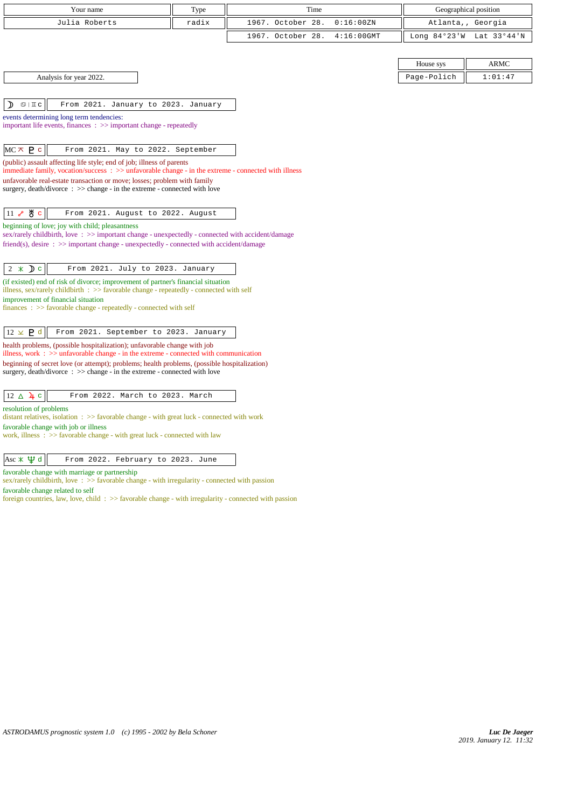|                                                                                                                                                                                   |       | Time              |               |                       |                   |  |
|-----------------------------------------------------------------------------------------------------------------------------------------------------------------------------------|-------|-------------------|---------------|-----------------------|-------------------|--|
| Your name                                                                                                                                                                         | Type  |                   |               | Geographical position |                   |  |
| Julia Roberts                                                                                                                                                                     | radix | 1967. October 28. | 0:16:00 ZN    |                       | Atlanta,, Georgia |  |
|                                                                                                                                                                                   |       | 1967. October 28. | $4:16:00$ GMT | Long $84°23'W$        | Lat 33°44'N       |  |
|                                                                                                                                                                                   |       |                   |               |                       |                   |  |
|                                                                                                                                                                                   |       |                   |               | House sys             | <b>ARMC</b>       |  |
| Analysis for year 2022.                                                                                                                                                           |       |                   |               | Page-Polich           | 1:01:47           |  |
|                                                                                                                                                                                   |       |                   |               |                       |                   |  |
| From 2021. January to 2023. January<br>D<br>$\mathbb{G} \mid \mathbb{I}$ C                                                                                                        |       |                   |               |                       |                   |  |
| events determining long term tendencies:                                                                                                                                          |       |                   |               |                       |                   |  |
| important life events, finances : >> important change - repeatedly                                                                                                                |       |                   |               |                       |                   |  |
| $MC \times P$ c<br>From 2021. May to 2022. September                                                                                                                              |       |                   |               |                       |                   |  |
| (public) assault affecting life style; end of job; illness of parents                                                                                                             |       |                   |               |                       |                   |  |
| immediate family, vocation/success: >> unfavorable change - in the extreme - connected with illness                                                                               |       |                   |               |                       |                   |  |
| unfavorable real-estate transaction or move; losses; problem with family<br>surgery, death/divorce: >> change - in the extreme - connected with love                              |       |                   |               |                       |                   |  |
|                                                                                                                                                                                   |       |                   |               |                       |                   |  |
| ∦с<br>11<br>From 2021. August to 2022. August<br>مح                                                                                                                               |       |                   |               |                       |                   |  |
| beginning of love; joy with child; pleasantness                                                                                                                                   |       |                   |               |                       |                   |  |
| sex/rarely childbirth, love: >> important change - unexpectedly - connected with accident/damage                                                                                  |       |                   |               |                       |                   |  |
| friend(s), desire : >> important change - unexpectedly - connected with accident/damage                                                                                           |       |                   |               |                       |                   |  |
|                                                                                                                                                                                   |       |                   |               |                       |                   |  |
| $2 \times D$ c<br>From 2021. July to 2023. January                                                                                                                                |       |                   |               |                       |                   |  |
| (if existed) end of risk of divorce; improvement of partner's financial situation<br>illness, $sex/rarely$ childbirth : $\gg$ favorable change - repeatedly - connected with self |       |                   |               |                       |                   |  |
| improvement of financial situation                                                                                                                                                |       |                   |               |                       |                   |  |
| $finances : \gg$ favorable change - repeatedly - connected with self                                                                                                              |       |                   |               |                       |                   |  |
| From 2021. September to 2023. January                                                                                                                                             |       |                   |               |                       |                   |  |
| $12 \times P d$<br>health problems, (possible hospitalization); unfavorable change with job                                                                                       |       |                   |               |                       |                   |  |
| illness, work $\Rightarrow$ > unfavorable change - in the extreme - connected with communication                                                                                  |       |                   |               |                       |                   |  |
| beginning of secret love (or attempt); problems; health problems, (possible hospitalization)<br>surgery, death/divorce: >> change - in the extreme - connected with love          |       |                   |               |                       |                   |  |
|                                                                                                                                                                                   |       |                   |               |                       |                   |  |
| $12 \triangle 4c$<br>From 2022. March to 2023. March                                                                                                                              |       |                   |               |                       |                   |  |
| resolution of problems                                                                                                                                                            |       |                   |               |                       |                   |  |
| distant relatives, isolation $\Rightarrow$ Savorable change - with great luck - connected with work                                                                               |       |                   |               |                       |                   |  |
| favorable change with job or illness<br>work, illness $\Rightarrow$ 5 avorable change - with great luck - connected with law                                                      |       |                   |               |                       |                   |  |
|                                                                                                                                                                                   |       |                   |               |                       |                   |  |
| Asc $\ast \Psi d$<br>From 2022. February to 2023. June                                                                                                                            |       |                   |               |                       |                   |  |
| favorable change with marriage or partnership<br><b>SALE AND</b>                                                                                                                  |       |                   |               |                       |                   |  |

sex/rarely childbirth, love : >> favorable change - with irregularity - connected with passion

favorable change related to self

foreign countries, law, love, child :  $\gg$  favorable change - with irregularity - connected with passion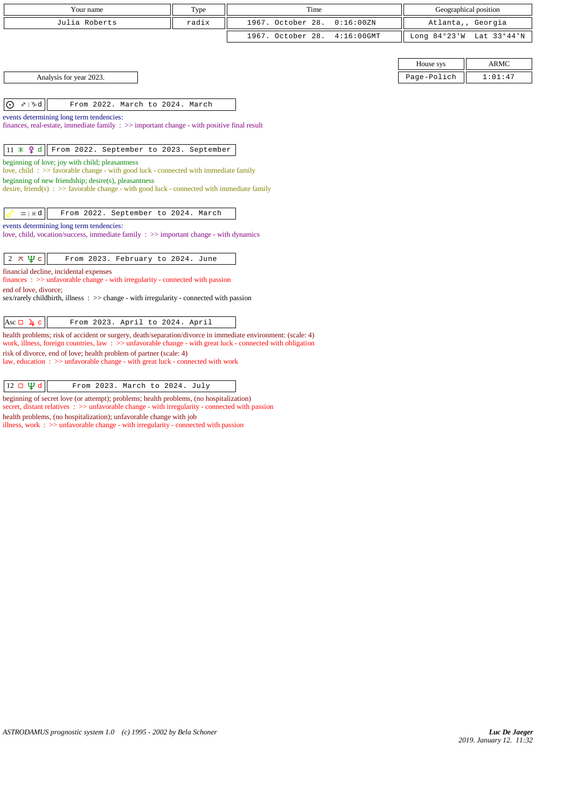| Your name     | Type  | Time                         | Geographical position    |
|---------------|-------|------------------------------|--------------------------|
| Julia Roberts | radix | 1967. October 28. 0:16:00ZN  | Atlanta,, Georgia        |
|               |       | 1967. October 28. 4:16:00GMT | Long 84°23'W Lat 33°44'N |
|               |       |                              |                          |

Analysis for year 2023.

 $|0 \times 1$ %d $|$  From 2022. March to 2024. March

events determining long term tendencies: finances, real-estate, immediate family : >> important change - with positive final result

 $\left|11 \times 9 \text{ d}\right|$  From 2022. September to 2023. September

beginning of love; joy with child; pleasantness

love, child : >> favorable change - with good luck - connected with immediate family

beginning of new friendship; desire(s), pleasantness

desire, friend(s) :  $\gg$  favorable change - with good luck - connected with immediate family

 $|\mathbb{Z}|\neq d$  From 2022. September to 2024. March

events determining long term tendencies:

love, child, vocation/success, immediate family : >> important change - with dynamics

| $2 \times \Psi c$ | From 2023. February to 2024. June |
|-------------------|-----------------------------------|
|-------------------|-----------------------------------|

financial decline, incidental expenses

finances : >> unfavorable change - with irregularity - connected with passion

end of love, divorce;

sex/rarely childbirth, illness : >> change - with irregularity - connected with passion

health problems; risk of accident or surgery, death/separation/divorce in immediate environment: (scale: 4) work, illness, foreign countries, law : >> unfavorable change - with great luck - connected with obligation risk of divorce, end of love; health problem of partner (scale: 4)

law, education : >> unfavorable change - with great luck - connected with work

 $\boxed{12 \Box \Psi d}$  From 2023. March to 2024. July

beginning of secret love (or attempt); problems; health problems, (no hospitalization) secret, distant relatives : >> unfavorable change - with irregularity - connected with passion health problems, (no hospitalization); unfavorable change with job illness, work : >> unfavorable change - with irregularity - connected with passion

*ASTRODAMUS prognostic system 1.0 (c) 1995 - 2002 by Bela Schoner*

| House sys   | APMC    |  |  |
|-------------|---------|--|--|
| Page-Polich | 1:01:47 |  |  |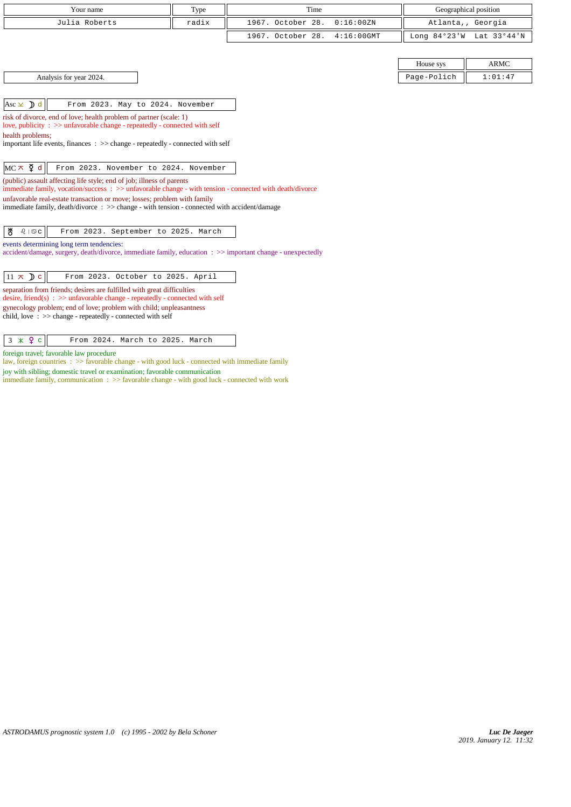| Your name                                                                                                                                                                                                                                                                                                                                                   | Type  | Time              |               | Geographical position |             |  |
|-------------------------------------------------------------------------------------------------------------------------------------------------------------------------------------------------------------------------------------------------------------------------------------------------------------------------------------------------------------|-------|-------------------|---------------|-----------------------|-------------|--|
| Julia Roberts                                                                                                                                                                                                                                                                                                                                               | radix | 1967. October 28. | 0:16:00 ZN    | Atlanta,, Georgia     |             |  |
|                                                                                                                                                                                                                                                                                                                                                             |       | 1967. October 28. | $4:16:00$ GMT | Long $84°23'W$        | Lat 33°44'N |  |
|                                                                                                                                                                                                                                                                                                                                                             |       |                   |               |                       |             |  |
|                                                                                                                                                                                                                                                                                                                                                             |       |                   |               | House sys             | <b>ARMC</b> |  |
| Analysis for year 2024.                                                                                                                                                                                                                                                                                                                                     |       |                   |               | Page-Polich           | 1:01:47     |  |
|                                                                                                                                                                                                                                                                                                                                                             |       |                   |               |                       |             |  |
| Asc $\times$ <b>D</b> d<br>From 2023. May to 2024. November                                                                                                                                                                                                                                                                                                 |       |                   |               |                       |             |  |
| risk of divorce, end of love; health problem of partner (scale: 1)<br>love, publicity : >> unfavorable change - repeatedly - connected with self<br>health problems;<br>important life events, finances $\Rightarrow$ >> change - repeatedly - connected with self                                                                                          |       |                   |               |                       |             |  |
| $MC \times \xi$ d<br>From 2023. November to 2024. November                                                                                                                                                                                                                                                                                                  |       |                   |               |                       |             |  |
| (public) assault affecting life style; end of job; illness of parents<br>immediate family, vocation/success: >> unfavorable change - with tension - connected with death/divorce<br>unfavorable real-estate transaction or move; losses; problem with family<br>immediate family, death/divorce : >> change - with tension - connected with accident/damage |       |                   |               |                       |             |  |
| ₩<br>$\delta$   $\mathfrak{S}$ C<br>From 2023. September to 2025. March                                                                                                                                                                                                                                                                                     |       |                   |               |                       |             |  |
| events determining long term tendencies:<br>accident/damage, surgery, death/divorce, immediate family, education : >> important change - unexpectedly                                                                                                                                                                                                       |       |                   |               |                       |             |  |
| $11 \times D c$<br>From 2023. October to 2025. April                                                                                                                                                                                                                                                                                                        |       |                   |               |                       |             |  |
| the contract of the contract of the contract of the contract of the contract of the contract of the contract of                                                                                                                                                                                                                                             |       |                   |               |                       |             |  |

separation from friends; desires are fulfilled with great difficulties desire, friend(s) : >> unfavorable change - repeatedly - connected with self gynecology problem; end of love; problem with child; unpleasantness child, love : >> change - repeatedly - connected with self

foreign travel; favorable law procedure

law, foreign countries :  $\gg$  favorable change - with good luck - connected with immediate family

joy with sibling; domestic travel or examination; favorable communication immediate family, communication : >> favorable change - with good luck - connected with work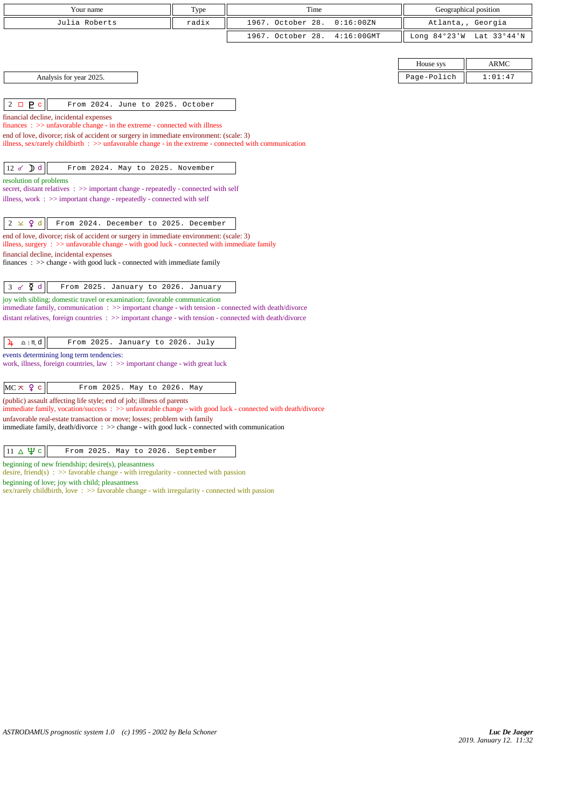| Your name                                                                                                                                                                                      | Type  | Time              |               |             | Geographical position    |
|------------------------------------------------------------------------------------------------------------------------------------------------------------------------------------------------|-------|-------------------|---------------|-------------|--------------------------|
| Julia Roberts                                                                                                                                                                                  | radix | 1967. October 28. | 0:16:00 ZN    |             | Atlanta,, Georgia        |
|                                                                                                                                                                                                |       | 1967. October 28. | $4:16:00$ GMT |             | Long 84°23'W Lat 33°44'N |
|                                                                                                                                                                                                |       |                   |               |             |                          |
|                                                                                                                                                                                                |       |                   |               | House sys   | <b>ARMC</b>              |
| Analysis for year 2025.                                                                                                                                                                        |       |                   |               | Page-Polich | 1:01:47                  |
|                                                                                                                                                                                                |       |                   |               |             |                          |
| P <sub>c</sub><br>$2\Box$<br>From 2024. June to 2025. October                                                                                                                                  |       |                   |               |             |                          |
| financial decline, incidental expenses<br>$finances : \gg$ unfavorable change - in the extreme - connected with illness                                                                        |       |                   |               |             |                          |
| end of love, divorce; risk of accident or surgery in immediate environment: (scale: 3)                                                                                                         |       |                   |               |             |                          |
| illness, sex/rarely childbirth $\therefore$ $\Rightarrow$ unfavorable change - in the extreme - connected with communication                                                                   |       |                   |               |             |                          |
| $12 \times D d$<br>From 2024. May to 2025. November                                                                                                                                            |       |                   |               |             |                          |
| resolution of problems                                                                                                                                                                         |       |                   |               |             |                          |
| secret, distant relatives : >> important change - repeatedly - connected with self                                                                                                             |       |                   |               |             |                          |
| illness, work $\Rightarrow$ important change - repeatedly - connected with self                                                                                                                |       |                   |               |             |                          |
| $2 \times 9d$<br>From 2024. December to 2025. December                                                                                                                                         |       |                   |               |             |                          |
| end of love, divorce; risk of accident or surgery in immediate environment: (scale: 3)<br>illness, surgery $\Rightarrow$ unfavorable change - with good luck - connected with immediate family |       |                   |               |             |                          |
| financial decline, incidental expenses                                                                                                                                                         |       |                   |               |             |                          |
| finances : $\gg$ change - with good luck - connected with immediate family                                                                                                                     |       |                   |               |             |                          |
|                                                                                                                                                                                                |       |                   |               |             |                          |
| $3 \times \Phi$ d<br>From 2025. January to 2026. January<br>joy with sibling; domestic travel or examination; favorable communication                                                          |       |                   |               |             |                          |
| immediate family, communication : >> important change - with tension - connected with death/divorce                                                                                            |       |                   |               |             |                          |
| distant relatives, foreign countries $\Rightarrow$ important change - with tension - connected with death/divorce                                                                              |       |                   |               |             |                          |
|                                                                                                                                                                                                |       |                   |               |             |                          |
| $\underline{\Omega}$   $M$ d<br>From 2025. January to 2026. July<br>4                                                                                                                          |       |                   |               |             |                          |
| events determining long term tendencies:<br>work, illness, foreign countries, law $\Rightarrow$ important change - with great luck                                                             |       |                   |               |             |                          |
|                                                                                                                                                                                                |       |                   |               |             |                          |
| $MC \times 9$ c<br>From 2025. May to 2026. May                                                                                                                                                 |       |                   |               |             |                          |
| (public) assault affecting life style; end of job; illness of parents<br>immediate family, vocation/success : >> unfavorable change - with good luck - connected with death/divorce            |       |                   |               |             |                          |
| unfavorable real-estate transaction or move; losses; problem with family                                                                                                                       |       |                   |               |             |                          |

immediate family, death/divorce : >> change - with good luck - connected with communication

|  | $11 \triangle \mathbf{\Psi}$ c |  |  |  |  |  |  | From 2025. May to 2026. September |  |
|--|--------------------------------|--|--|--|--|--|--|-----------------------------------|--|
|--|--------------------------------|--|--|--|--|--|--|-----------------------------------|--|

beginning of new friendship; desire(s), pleasantness

desire, friend(s) : >> favorable change - with irregularity - connected with passion

beginning of love; joy with child; pleasantness

sex/rarely childbirth, love :  $\gg$  favorable change - with irregularity - connected with passion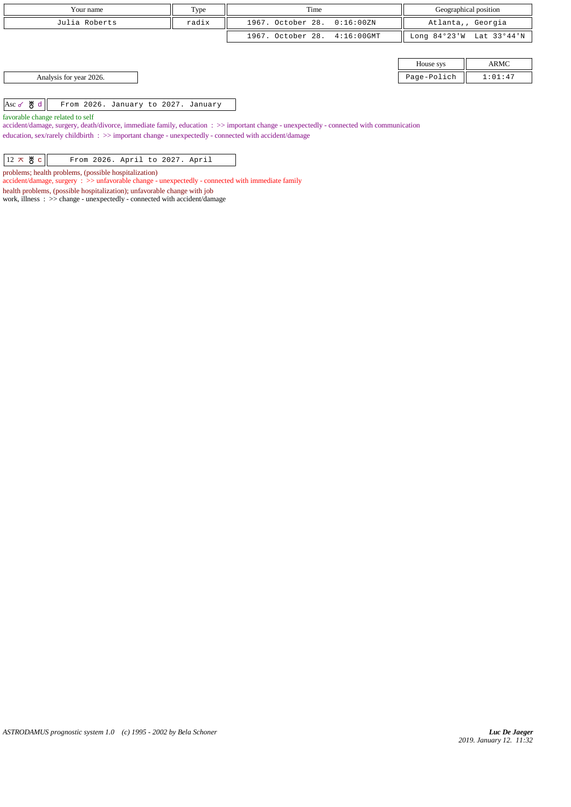| Your name               | Type  | Time                         | Geographical position |                          |
|-------------------------|-------|------------------------------|-----------------------|--------------------------|
| Julia Roberts           | radix | 1967. October 28. 0:16:00ZN  |                       | Atlanta,, Georgia        |
|                         |       | 1967. October 28. 4:16:00GMT |                       | Long 84°23'W Lat 33°44'N |
|                         |       |                              |                       |                          |
|                         |       |                              | House sys             | ARMC                     |
| Analysis for year 2026. |       |                              | Page-Polich           | 1:01:47                  |
|                         |       |                              |                       |                          |

Asc  $\sigma$   $\frac{M}{O}$  d From 2026. January to 2027. January

favorable change related to self

accident/damage, surgery, death/divorce, immediate family, education : >> important change - unexpectedly - connected with communication education, sex/rarely childbirth : >> important change - unexpectedly - connected with accident/damage

problems; health problems, (possible hospitalization)

accident/damage, surgery : >> unfavorable change - unexpectedly - connected with immediate family

health problems, (possible hospitalization); unfavorable change with job

work, illness : >> change - unexpectedly - connected with accident/damage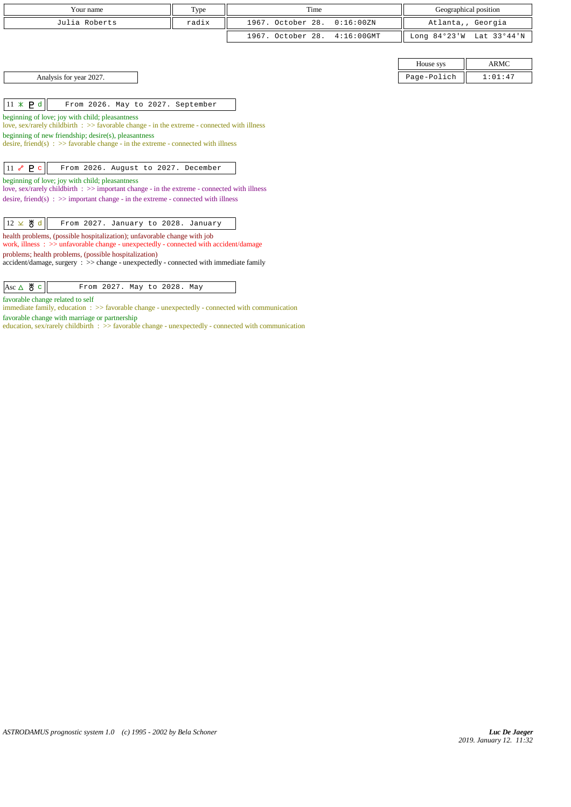| Your name     | Type  | Time                         | Geographical position    |
|---------------|-------|------------------------------|--------------------------|
| Julia Roberts | radix | 1967. October 28. 0:16:00ZN  | Atlanta,, Georgia        |
|               |       | 1967. October 28. 4:16:00GMT | Long 84°23'W Lat 33°44'N |
|               |       |                              |                          |

Analysis for year 2027.

 $\|11 \times P d\|$  From 2026. May to 2027. September

beginning of love; joy with child; pleasantness

love, sex/rarely childbirth : >> favorable change - in the extreme - connected with illness

beginning of new friendship; desire(s), pleasantness

desire, friend(s)  $\Rightarrow$  5 favorable change - in the extreme - connected with illness

 $\boxed{11 \; \text{P} \; \text{C}}$  From 2026. August to 2027. December

beginning of love; joy with child; pleasantness

love, sex/rarely childbirth :  $\gg$  important change - in the extreme - connected with illness desire, friend(s) :  $\gg$  important change - in the extreme - connected with illness

| $\left 12 \times \mathcal{B} \text{ d}\right $ From 2027. January to 2028. January |  |
|------------------------------------------------------------------------------------|--|
|------------------------------------------------------------------------------------|--|

health problems, (possible hospitalization); unfavorable change with job

work, illness : >> unfavorable change - unexpectedly - connected with accident/damage problems; health problems, (possible hospitalization)

accident/damage, surgery : >> change - unexpectedly - connected with immediate family

| $ $ Asc $\triangle$ $\frac{1}{6}$ $\in$ $\parallel$ | From 2027. May to 2028. May |  |  |  |
|-----------------------------------------------------|-----------------------------|--|--|--|
|-----------------------------------------------------|-----------------------------|--|--|--|

favorable change related to self

immediate family, education : >> favorable change - unexpectedly - connected with communication favorable change with marriage or partnership

education, sex/rarely childbirth : >> favorable change - unexpectedly - connected with communication

| House sys |         |  |  |
|-----------|---------|--|--|
| ae-Polich | 1:01:47 |  |  |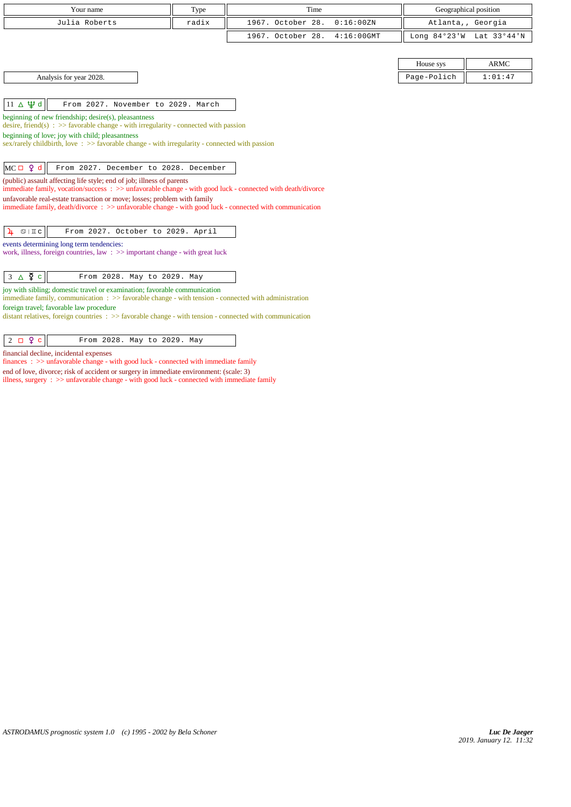| Time<br>Geographical position<br>Your name<br>Type<br>1967. October 28.<br>Julia Roberts<br>0:16:00 ZN<br>radix<br>Atlanta,, Georgia<br>1967. October 28.<br>Long 84°23'W Lat 33°44'N<br>$4:16:00$ GMT<br><b>ARMC</b><br>House sys<br>Analysis for year 2028.<br>Page-Polich<br>1:01:47<br>$11 \Delta \Psi d$<br>From 2027. November to 2029. March<br>beginning of new friendship; desire(s), pleasantness<br>desire, friend(s) : $\gg$ favorable change - with irregularity - connected with passion<br>beginning of love; joy with child; pleasantness<br>sex/rarely childbirth, love $\div$ $>$ favorable change - with irregularity - connected with passion |
|-------------------------------------------------------------------------------------------------------------------------------------------------------------------------------------------------------------------------------------------------------------------------------------------------------------------------------------------------------------------------------------------------------------------------------------------------------------------------------------------------------------------------------------------------------------------------------------------------------------------------------------------------------------------|
|                                                                                                                                                                                                                                                                                                                                                                                                                                                                                                                                                                                                                                                                   |
|                                                                                                                                                                                                                                                                                                                                                                                                                                                                                                                                                                                                                                                                   |
|                                                                                                                                                                                                                                                                                                                                                                                                                                                                                                                                                                                                                                                                   |
|                                                                                                                                                                                                                                                                                                                                                                                                                                                                                                                                                                                                                                                                   |
|                                                                                                                                                                                                                                                                                                                                                                                                                                                                                                                                                                                                                                                                   |
|                                                                                                                                                                                                                                                                                                                                                                                                                                                                                                                                                                                                                                                                   |
|                                                                                                                                                                                                                                                                                                                                                                                                                                                                                                                                                                                                                                                                   |
|                                                                                                                                                                                                                                                                                                                                                                                                                                                                                                                                                                                                                                                                   |
|                                                                                                                                                                                                                                                                                                                                                                                                                                                                                                                                                                                                                                                                   |
|                                                                                                                                                                                                                                                                                                                                                                                                                                                                                                                                                                                                                                                                   |
|                                                                                                                                                                                                                                                                                                                                                                                                                                                                                                                                                                                                                                                                   |
|                                                                                                                                                                                                                                                                                                                                                                                                                                                                                                                                                                                                                                                                   |
| $MC \Box 9 d$<br>From 2027. December to 2028. December                                                                                                                                                                                                                                                                                                                                                                                                                                                                                                                                                                                                            |
| (public) assault affecting life style; end of job; illness of parents                                                                                                                                                                                                                                                                                                                                                                                                                                                                                                                                                                                             |
| immediate family, vocation/success: >> unfavorable change - with good luck - connected with death/divorce                                                                                                                                                                                                                                                                                                                                                                                                                                                                                                                                                         |
| unfavorable real-estate transaction or move; losses; problem with family<br>immediate family, death/divorce: >> unfavorable change - with good luck - connected with communication                                                                                                                                                                                                                                                                                                                                                                                                                                                                                |
|                                                                                                                                                                                                                                                                                                                                                                                                                                                                                                                                                                                                                                                                   |
| From 2027. October to 2029. April<br>$\mathfrak{S} \mid \mathbb{I} \subset$<br>4                                                                                                                                                                                                                                                                                                                                                                                                                                                                                                                                                                                  |
| events determining long term tendencies:                                                                                                                                                                                                                                                                                                                                                                                                                                                                                                                                                                                                                          |
| work, illness, foreign countries, law $\Rightarrow$ important change - with great luck                                                                                                                                                                                                                                                                                                                                                                                                                                                                                                                                                                            |
|                                                                                                                                                                                                                                                                                                                                                                                                                                                                                                                                                                                                                                                                   |
| $3 \triangle \Phi$ c<br>From 2028. May to 2029. May                                                                                                                                                                                                                                                                                                                                                                                                                                                                                                                                                                                                               |
| joy with sibling; domestic travel or examination; favorable communication<br>immediate family, communication $\Rightarrow$ > favorable change - with tension - connected with administration                                                                                                                                                                                                                                                                                                                                                                                                                                                                      |
| foreign travel; favorable law procedure                                                                                                                                                                                                                                                                                                                                                                                                                                                                                                                                                                                                                           |
| distant relatives, foreign countries $\Rightarrow$ favorable change - with tension - connected with communication                                                                                                                                                                                                                                                                                                                                                                                                                                                                                                                                                 |

| $2 \Box$ $9 \Box$<br>From 2028. May to 2029. May |
|--------------------------------------------------|
|--------------------------------------------------|

financial decline, incidental expenses

finances : >> unfavorable change - with good luck - connected with immediate family end of love, divorce; risk of accident or surgery in immediate environment: (scale: 3) illness, surgery : >> unfavorable change - with good luck - connected with immediate family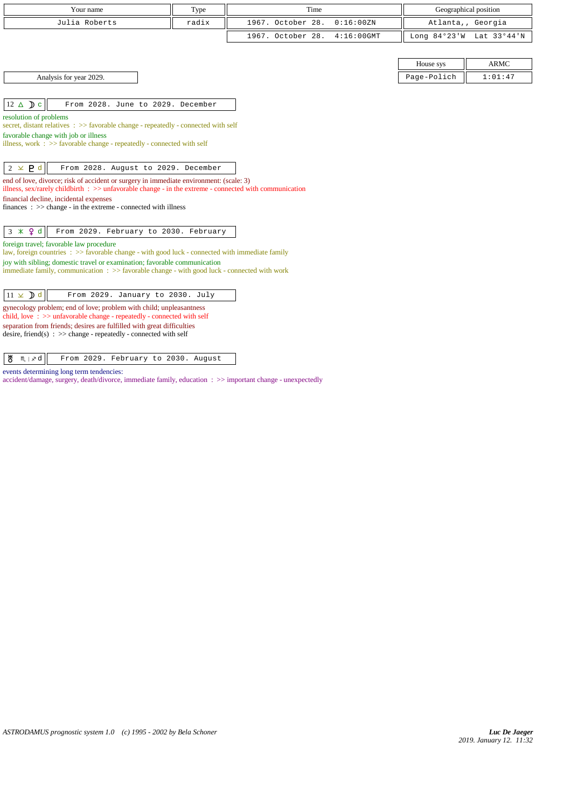| Time<br>Geographical position<br>Your name<br>Type                                                                                              |                                                                                                                                                                                                             |                                    |           |                          |  |  |  |
|-------------------------------------------------------------------------------------------------------------------------------------------------|-------------------------------------------------------------------------------------------------------------------------------------------------------------------------------------------------------------|------------------------------------|-----------|--------------------------|--|--|--|
| Julia Roberts                                                                                                                                   | radix                                                                                                                                                                                                       | 1967. October 28.<br>0:16:00 ZN    |           | Atlanta,, Georgia        |  |  |  |
|                                                                                                                                                 |                                                                                                                                                                                                             | 1967. October 28.<br>$4:16:00$ GMT |           | Long 84°23'W Lat 33°44'N |  |  |  |
|                                                                                                                                                 |                                                                                                                                                                                                             |                                    |           |                          |  |  |  |
|                                                                                                                                                 |                                                                                                                                                                                                             |                                    | House sys | <b>ARMC</b>              |  |  |  |
| Analysis for year 2029.<br>Page-Polich<br>1:01:47                                                                                               |                                                                                                                                                                                                             |                                    |           |                          |  |  |  |
|                                                                                                                                                 |                                                                                                                                                                                                             |                                    |           |                          |  |  |  |
| $12 \triangle$ D c                                                                                                                              | From 2028. June to 2029. December                                                                                                                                                                           |                                    |           |                          |  |  |  |
| resolution of problems<br>secret, distant relatives : >> favorable change - repeatedly - connected with self                                    |                                                                                                                                                                                                             |                                    |           |                          |  |  |  |
| favorable change with job or illness                                                                                                            |                                                                                                                                                                                                             |                                    |           |                          |  |  |  |
|                                                                                                                                                 | illness, work $\Rightarrow$ 5 favorable change - repeatedly - connected with self                                                                                                                           |                                    |           |                          |  |  |  |
|                                                                                                                                                 |                                                                                                                                                                                                             |                                    |           |                          |  |  |  |
| $2 \times P d$<br>From 2028. August to 2029. December                                                                                           |                                                                                                                                                                                                             |                                    |           |                          |  |  |  |
|                                                                                                                                                 | end of love, divorce; risk of accident or surgery in immediate environment: (scale: 3)<br>illness, sex/rarely childbirth $\Rightarrow$ > unfavorable change - in the extreme - connected with communication |                                    |           |                          |  |  |  |
| financial decline, incidental expenses                                                                                                          |                                                                                                                                                                                                             |                                    |           |                          |  |  |  |
| finances : $\gg$ change - in the extreme - connected with illness                                                                               |                                                                                                                                                                                                             |                                    |           |                          |  |  |  |
|                                                                                                                                                 |                                                                                                                                                                                                             |                                    |           |                          |  |  |  |
| $3 \times 9d$<br>From 2029. February to 2030. February                                                                                          |                                                                                                                                                                                                             |                                    |           |                          |  |  |  |
| foreign travel; favorable law procedure<br>law, foreign countries : >> favorable change - with good luck - connected with immediate family      |                                                                                                                                                                                                             |                                    |           |                          |  |  |  |
| joy with sibling; domestic travel or examination; favorable communication                                                                       |                                                                                                                                                                                                             |                                    |           |                          |  |  |  |
| immediate family, communication : >> favorable change - with good luck - connected with work                                                    |                                                                                                                                                                                                             |                                    |           |                          |  |  |  |
| $11 \times D d$<br>From 2029. January to 2030. July                                                                                             |                                                                                                                                                                                                             |                                    |           |                          |  |  |  |
| gynecology problem; end of love; problem with child; unpleasantness                                                                             |                                                                                                                                                                                                             |                                    |           |                          |  |  |  |
| child, love: >> unfavorable change - repeatedly - connected with self<br>separation from friends; desires are fulfilled with great difficulties |                                                                                                                                                                                                             |                                    |           |                          |  |  |  |
| desire, friend(s) : $\gg$ change - repeatedly - connected with self                                                                             |                                                                                                                                                                                                             |                                    |           |                          |  |  |  |

desire, friend(s) : >> change - repeatedly - connected with self

 $\sqrt{\frac{H}{C}}$   $m \times d$  From 2029. February to 2030. August

events determining long term tendencies:

accident/damage, surgery, death/divorce, immediate family, education : >> important change - unexpectedly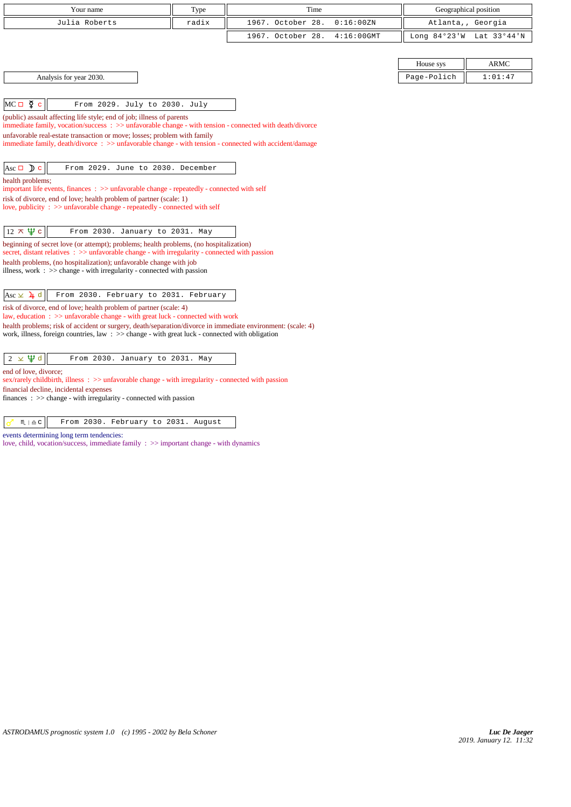| Your name                                                                                                                                                                                | Type  | Time                               |                | Geographical position |  |  |
|------------------------------------------------------------------------------------------------------------------------------------------------------------------------------------------|-------|------------------------------------|----------------|-----------------------|--|--|
| Julia Roberts                                                                                                                                                                            | radix | 1967. October 28.<br>0:16:00 ZN    |                | Atlanta,, Georgia     |  |  |
|                                                                                                                                                                                          |       | 1967. October 28.<br>$4:16:00$ GMT | Long $84°23'W$ | Lat 33°44'N           |  |  |
|                                                                                                                                                                                          |       |                                    |                |                       |  |  |
|                                                                                                                                                                                          |       |                                    | House sys      | <b>ARMC</b>           |  |  |
| Analysis for year 2030.                                                                                                                                                                  |       |                                    | Page-Polich    | 1:01:47               |  |  |
|                                                                                                                                                                                          |       |                                    |                |                       |  |  |
| $MC \Box \Phi c$<br>From 2029. July to 2030. July                                                                                                                                        |       |                                    |                |                       |  |  |
| (public) assault affecting life style; end of job; illness of parents<br>immediate family, vocation/success: >> unfavorable change - with tension - connected with death/divorce         |       |                                    |                |                       |  |  |
| unfavorable real-estate transaction or move; losses; problem with family                                                                                                                 |       |                                    |                |                       |  |  |
| immediate family, death/divorce: >> unfavorable change - with tension - connected with accident/damage                                                                                   |       |                                    |                |                       |  |  |
|                                                                                                                                                                                          |       |                                    |                |                       |  |  |
| Asc $\Box$ ) c<br>From 2029. June to 2030. December                                                                                                                                      |       |                                    |                |                       |  |  |
| health problems;<br>important life events, finances : >> unfavorable change - repeatedly - connected with self                                                                           |       |                                    |                |                       |  |  |
| risk of divorce, end of love; health problem of partner (scale: 1)                                                                                                                       |       |                                    |                |                       |  |  |
| love, publicity : >> unfavorable change - repeatedly - connected with self                                                                                                               |       |                                    |                |                       |  |  |
| $12 \times \Psi$ c<br>From 2030. January to 2031. May                                                                                                                                    |       |                                    |                |                       |  |  |
| beginning of secret love (or attempt); problems; health problems, (no hospitalization)<br>secret, distant relatives : >> unfavorable change - with irregularity - connected with passion |       |                                    |                |                       |  |  |
| health problems, (no hospitalization); unfavorable change with job                                                                                                                       |       |                                    |                |                       |  |  |
| illness, work : $\gg$ change - with irregularity - connected with passion                                                                                                                |       |                                    |                |                       |  |  |
|                                                                                                                                                                                          |       |                                    |                |                       |  |  |
| Asc $\times$ $\lambda$ d<br>From 2030. February to 2031. February                                                                                                                        |       |                                    |                |                       |  |  |
| risk of divorce, end of love; health problem of partner (scale: 4)<br>law, education: $\gg$ unfavorable change - with great luck - connected with work                                   |       |                                    |                |                       |  |  |
| health problems; risk of accident or surgery, death/separation/divorce in immediate environment: (scale: 4)                                                                              |       |                                    |                |                       |  |  |
| work, illness, foreign countries, law $\Rightarrow$ $\Rightarrow$ change - with great luck - connected with obligation                                                                   |       |                                    |                |                       |  |  |
| $2 \times \Psi d$<br>From 2030. January to 2031. May                                                                                                                                     |       |                                    |                |                       |  |  |
| end of love, divorce;                                                                                                                                                                    |       |                                    |                |                       |  |  |
| sex/rarely childbirth, illness : >> unfavorable change - with irregularity - connected with passion                                                                                      |       |                                    |                |                       |  |  |
| financial decline, incidental expenses<br>finances : $\gg$ change - with irregularity - connected with passion                                                                           |       |                                    |                |                       |  |  |

 $\sigma$   $\sim$   $\sim$   $\sigma$   $\sim$  From 2030. February to 2031. August

events determining long term tendencies:

love, child, vocation/success, immediate family : >> important change - with dynamics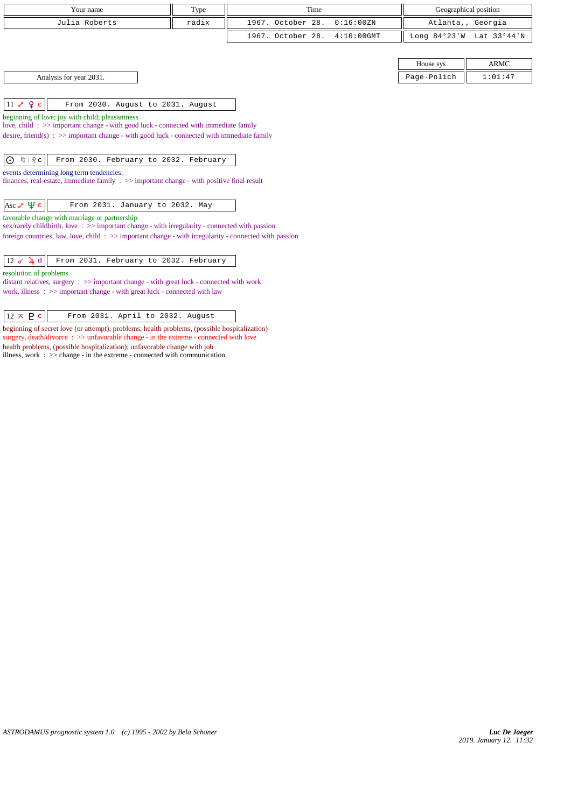| Time<br>Type<br>Your name                                                                                                                       |                                                                                     |                                    |  |                | Geographical position |  |  |
|-------------------------------------------------------------------------------------------------------------------------------------------------|-------------------------------------------------------------------------------------|------------------------------------|--|----------------|-----------------------|--|--|
| Julia Roberts                                                                                                                                   | radix                                                                               | 1967. October 28.<br>0:16:00 ZN    |  |                | Atlanta,, Georgia     |  |  |
|                                                                                                                                                 |                                                                                     | 1967. October 28.<br>$4:16:00$ GMT |  | Long $84°23'W$ | Lat 33°44'N           |  |  |
|                                                                                                                                                 |                                                                                     |                                    |  |                |                       |  |  |
|                                                                                                                                                 |                                                                                     |                                    |  | House sys      | ARMC                  |  |  |
| Analysis for year 2031.                                                                                                                         |                                                                                     |                                    |  | Page-Polich    | 1:01:47               |  |  |
|                                                                                                                                                 |                                                                                     |                                    |  |                |                       |  |  |
| $11$ $8$ $9$ $1$<br>From 2030. August to 2031. August                                                                                           |                                                                                     |                                    |  |                |                       |  |  |
| beginning of love; joy with child; pleasantness                                                                                                 | love, child: >> important change - with good luck - connected with immediate family |                                    |  |                |                       |  |  |
| desire, friend(s) : $\gg$ important change - with good luck - connected with immediate family                                                   |                                                                                     |                                    |  |                |                       |  |  |
|                                                                                                                                                 |                                                                                     |                                    |  |                |                       |  |  |
| ி≬ ⊦ி ⊂<br>From 2030. February to 2032. February<br>$\odot$                                                                                     |                                                                                     |                                    |  |                |                       |  |  |
| events determining long term tendencies:<br>finances, real-estate, immediate family $\Rightarrow$ important change - with positive final result |                                                                                     |                                    |  |                |                       |  |  |
|                                                                                                                                                 |                                                                                     |                                    |  |                |                       |  |  |
| Asc $\sqrt{\Psi}$ c<br>From 2031. January to 2032. May                                                                                          |                                                                                     |                                    |  |                |                       |  |  |

favorable change with marriage or partnership

sex/rarely childbirth, love :  $\gg$  important change - with irregularity - connected with passion

foreign countries, law, love, child : >> important change - with irregularity - connected with passion

 $\|12 \times \mathcal{L} \mathfrak{d}\|$  From 2031. February to 2032. February

resolution of problems

distant relatives, surgery : >> important change - with great luck - connected with work work, illness : >> important change - with great luck - connected with law

## $\boxed{12 \times P c}$  From 2031. April to 2032. August

beginning of secret love (or attempt); problems; health problems, (possible hospitalization) surgery, death/divorce : >> unfavorable change - in the extreme - connected with love health problems, (possible hospitalization); unfavorable change with job

illness, work :  $\gg$  change - in the extreme - connected with communication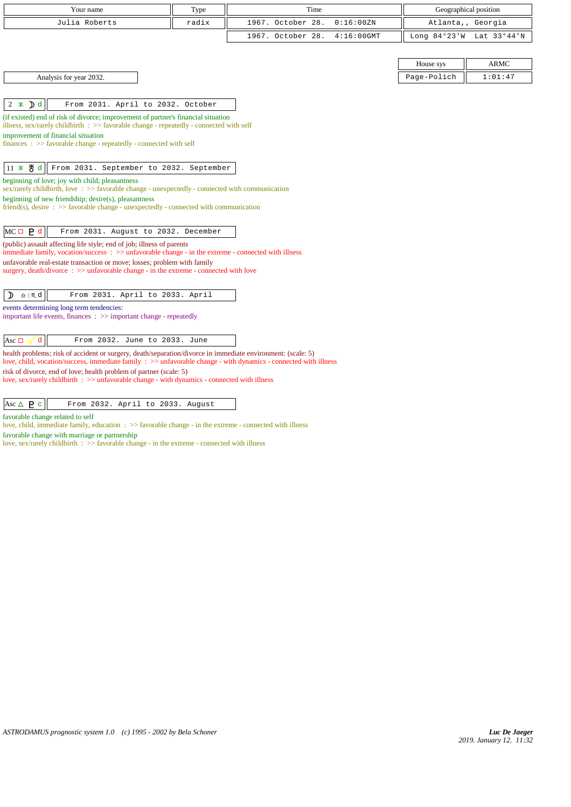| Your name                                                                                                                                                                                                                          | Type  | Time              |               | Geographical position |                   |  |
|------------------------------------------------------------------------------------------------------------------------------------------------------------------------------------------------------------------------------------|-------|-------------------|---------------|-----------------------|-------------------|--|
| Julia Roberts                                                                                                                                                                                                                      | radix | 1967. October 28. | 0:16:00 ZN    |                       | Atlanta,, Georgia |  |
|                                                                                                                                                                                                                                    |       | 1967. October 28. | $4:16:00$ GMT | Long $84°23'W$        | Lat 33°44'N       |  |
|                                                                                                                                                                                                                                    |       |                   |               |                       |                   |  |
|                                                                                                                                                                                                                                    |       |                   |               | House sys             | <b>ARMC</b>       |  |
| Analysis for year 2032.                                                                                                                                                                                                            |       |                   |               | Page-Polich           | 1:01:47           |  |
|                                                                                                                                                                                                                                    |       |                   |               |                       |                   |  |
| $2 * D d$<br>From 2031. April to 2032. October                                                                                                                                                                                     |       |                   |               |                       |                   |  |
| (if existed) end of risk of divorce; improvement of partner's financial situation                                                                                                                                                  |       |                   |               |                       |                   |  |
| illness, sex/rarely childbirth : $\gg$ favorable change - repeatedly - connected with self<br>improvement of financial situation                                                                                                   |       |                   |               |                       |                   |  |
| $finances : \gg$ favorable change - repeatedly - connected with self                                                                                                                                                               |       |                   |               |                       |                   |  |
|                                                                                                                                                                                                                                    |       |                   |               |                       |                   |  |
| $11 \times 8$ d<br>From 2031. September to 2032. September                                                                                                                                                                         |       |                   |               |                       |                   |  |
| beginning of love; joy with child; pleasantness<br>sex/rarely childbirth, love: $\gg$ favorable change - unexpectedly - connected with communication                                                                               |       |                   |               |                       |                   |  |
| beginning of new friendship; desire(s), pleasantness                                                                                                                                                                               |       |                   |               |                       |                   |  |
| $friend(s)$ , desire : $\gg$ favorable change - unexpectedly - connected with communication                                                                                                                                        |       |                   |               |                       |                   |  |
| $MC \Box$ $P d$<br>From 2031. August to 2032. December                                                                                                                                                                             |       |                   |               |                       |                   |  |
| (public) assault affecting life style; end of job; illness of parents<br>immediate family, vocation/success $\Rightarrow$ > > unfavorable change - in the extreme - connected with illness                                         |       |                   |               |                       |                   |  |
| unfavorable real-estate transaction or move; losses; problem with family                                                                                                                                                           |       |                   |               |                       |                   |  |
| surgery, death/divorce $\Rightarrow$ > unfavorable change - in the extreme - connected with love                                                                                                                                   |       |                   |               |                       |                   |  |
|                                                                                                                                                                                                                                    |       |                   |               |                       |                   |  |
| $\underline{\mathtt{n}}$   $\mathbb{M}$ d<br>From 2031. April to 2033. April<br>♪                                                                                                                                                  |       |                   |               |                       |                   |  |
| events determining long term tendencies:<br>important life events, finances $\Rightarrow$ important change - repeatedly                                                                                                            |       |                   |               |                       |                   |  |
|                                                                                                                                                                                                                                    |       |                   |               |                       |                   |  |
| $\mathbf{d}$<br>From 2032. June to 2033. June<br>Asc $\Box$                                                                                                                                                                        |       |                   |               |                       |                   |  |
| health problems; risk of accident or surgery, death/separation/divorce in immediate environment: (scale: 5)<br>love, child, vocation/success, immediate family : $\gg$ unfavorable change - with dynamics - connected with illness |       |                   |               |                       |                   |  |
| risk of divorce, end of love; health problem of partner (scale: 5)                                                                                                                                                                 |       |                   |               |                       |                   |  |
| love, sex/rarely childbirth : >> unfavorable change - with dynamics - connected with illness                                                                                                                                       |       |                   |               |                       |                   |  |

favorable change related to self

love, child, immediate family, education : >> favorable change - in the extreme - connected with illness favorable change with marriage or partnership

love, sex/rarely childbirth :  $\gg$  favorable change - in the extreme - connected with illness

Asc c From 2032. April to 2033. August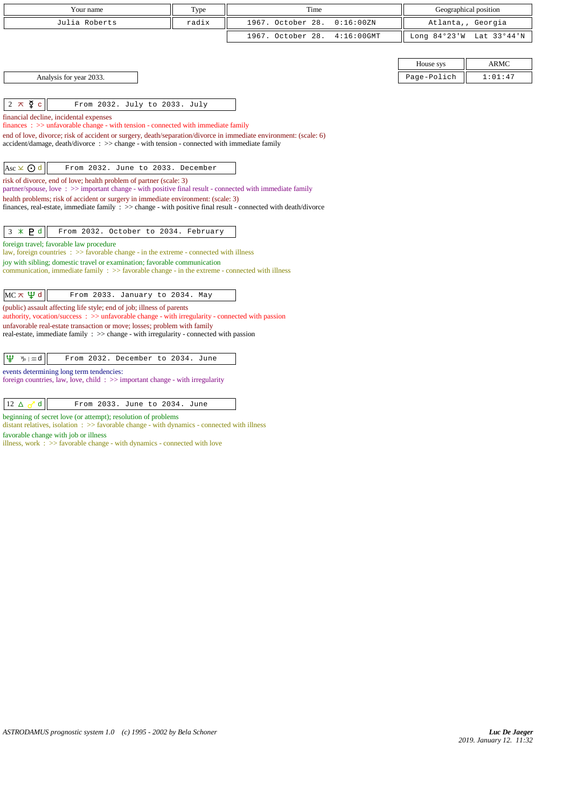| Your name                                                                                                                                                                                                | Type  | Time              |               |             | Geographical position    |
|----------------------------------------------------------------------------------------------------------------------------------------------------------------------------------------------------------|-------|-------------------|---------------|-------------|--------------------------|
| Julia Roberts                                                                                                                                                                                            | radix | 1967. October 28. | 0:16:00ZN     |             | Atlanta,, Georgia        |
|                                                                                                                                                                                                          |       | 1967. October 28. | $4:16:00$ GMT |             | Long 84°23'W Lat 33°44'N |
|                                                                                                                                                                                                          |       |                   |               |             |                          |
|                                                                                                                                                                                                          |       |                   |               | House sys   | <b>ARMC</b>              |
| Analysis for year 2033.                                                                                                                                                                                  |       |                   |               | Page-Polich | 1:01:47                  |
|                                                                                                                                                                                                          |       |                   |               |             |                          |
| $\, \nabla \, c$<br>From 2032. July to 2033. July<br>2 $\pi$                                                                                                                                             |       |                   |               |             |                          |
| financial decline, incidental expenses                                                                                                                                                                   |       |                   |               |             |                          |
| $finances : \gg$ unfavorable change - with tension - connected with immediate family<br>end of love, divorce; risk of accident or surgery, death/separation/divorce in immediate environment: (scale: 6) |       |                   |               |             |                          |
| $accident/damage$ , $death/divorce : >> change - with tension - connected with immediate family$                                                                                                         |       |                   |               |             |                          |
|                                                                                                                                                                                                          |       |                   |               |             |                          |
| Asc $\times$ $\odot$ d<br>From 2032. June to 2033. December                                                                                                                                              |       |                   |               |             |                          |
| risk of divorce, end of love; health problem of partner (scale: 3)<br>partner/spouse, love: >> important change - with positive final result - connected with immediate family                           |       |                   |               |             |                          |
| health problems; risk of accident or surgery in immediate environment: (scale: 3)                                                                                                                        |       |                   |               |             |                          |
| finances, real-estate, immediate family : >> change - with positive final result - connected with death/divorce                                                                                          |       |                   |               |             |                          |
| From 2032. October to 2034. February<br>$3 * P d$                                                                                                                                                        |       |                   |               |             |                          |
| foreign travel; favorable law procedure                                                                                                                                                                  |       |                   |               |             |                          |
| law, foreign countries $\Rightarrow$ Savorable change - in the extreme - connected with illness                                                                                                          |       |                   |               |             |                          |
| joy with sibling; domestic travel or examination; favorable communication<br>communication, immediate family $\Rightarrow$ Savorable change - in the extreme - connected with illness                    |       |                   |               |             |                          |
|                                                                                                                                                                                                          |       |                   |               |             |                          |
| $MC \times \Psi d$<br>From 2033. January to 2034. May                                                                                                                                                    |       |                   |               |             |                          |
| (public) assault affecting life style; end of job; illness of parents                                                                                                                                    |       |                   |               |             |                          |
| authority, vocation/success: >> unfavorable change - with irregularity - connected with passion<br>unfavorable real-estate transaction or move; losses; problem with family                              |       |                   |               |             |                          |
| real-estate, immediate family : >> change - with irregularity - connected with passion                                                                                                                   |       |                   |               |             |                          |
|                                                                                                                                                                                                          |       |                   |               |             |                          |
| Ψ<br>From 2032. December to 2034. June<br>$\n  y$ $\infty$ $d$                                                                                                                                           |       |                   |               |             |                          |
| events determining long term tendencies:                                                                                                                                                                 |       |                   |               |             |                          |
| foreign countries, law, love, child $\Rightarrow$ important change - with irregularity                                                                                                                   |       |                   |               |             |                          |

 $\boxed{12 \Delta \sigma^2 d}$  From 2033. June to 2034. June

beginning of secret love (or attempt); resolution of problems distant relatives, isolation : >> favorable change - with dynamics - connected with illness

favorable change with job or illness

illness, work : >> favorable change - with dynamics - connected with love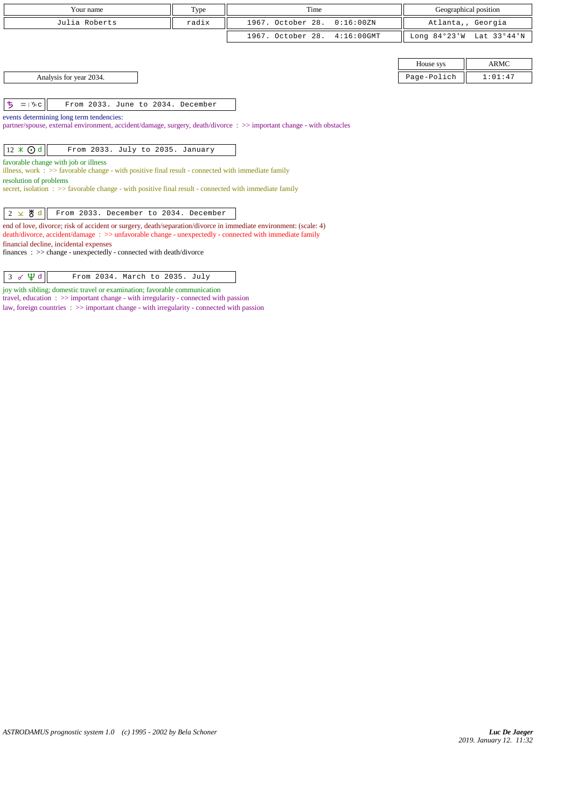|                                                                                                                                                                                                                                                                                           | Your name                                                                                                                                                 | Type  | Time                               |                | Geographical position |  |
|-------------------------------------------------------------------------------------------------------------------------------------------------------------------------------------------------------------------------------------------------------------------------------------------|-----------------------------------------------------------------------------------------------------------------------------------------------------------|-------|------------------------------------|----------------|-----------------------|--|
|                                                                                                                                                                                                                                                                                           | Julia Roberts                                                                                                                                             | radix | 1967. October 28.<br>0:16:00 ZN    |                | Atlanta,, Georgia     |  |
|                                                                                                                                                                                                                                                                                           |                                                                                                                                                           |       | 1967. October 28.<br>$4:16:00$ GMT | Long $84°23'W$ | Lat 33°44'N           |  |
|                                                                                                                                                                                                                                                                                           |                                                                                                                                                           |       |                                    |                |                       |  |
|                                                                                                                                                                                                                                                                                           |                                                                                                                                                           |       |                                    | House sys      | <b>ARMC</b>           |  |
|                                                                                                                                                                                                                                                                                           | Analysis for year 2034.                                                                                                                                   |       |                                    | Page-Polich    | 1:01:47               |  |
|                                                                                                                                                                                                                                                                                           |                                                                                                                                                           |       |                                    |                |                       |  |
| ち<br>$\mathfrak{m} \mid \mathcal{V}$ <sub>D</sub> $\subset$                                                                                                                                                                                                                               | From 2033. June to 2034. December                                                                                                                         |       |                                    |                |                       |  |
| events determining long term tendencies:<br>partner/spouse, external environment, accident/damage, surgery, death/divorce: >> important change - with obstacles                                                                                                                           |                                                                                                                                                           |       |                                    |                |                       |  |
| $12 \times$ O d                                                                                                                                                                                                                                                                           | From 2033. July to 2035. January                                                                                                                          |       |                                    |                |                       |  |
| favorable change with job or illness<br>illness, work $\Rightarrow$ S favorable change - with positive final result - connected with immediate family<br>resolution of problems<br>secret, isolation : >> favorable change - with positive final result - connected with immediate family |                                                                                                                                                           |       |                                    |                |                       |  |
| $2 \times $ 界<br>$\mathbf d$                                                                                                                                                                                                                                                              | From 2033. December to 2034. December<br>end of love, divorce; risk of accident or surgery, death/separation/divorce in immediate environment: (scale: 4) |       |                                    |                |                       |  |
|                                                                                                                                                                                                                                                                                           | death/divorce, accident/damage: >> unfavorable change - unexpectedly - connected with immediate family                                                    |       |                                    |                |                       |  |
|                                                                                                                                                                                                                                                                                           | financial decline, incidental expenses                                                                                                                    |       |                                    |                |                       |  |

finances : >> change - unexpectedly - connected with death/divorce

| $3 \times \Psi d$ |  | From 2034. March to 2035. July |  |  |
|-------------------|--|--------------------------------|--|--|
|-------------------|--|--------------------------------|--|--|

joy with sibling; domestic travel or examination; favorable communication

travel, education : >> important change - with irregularity - connected with passion

law, foreign countries  $\Rightarrow$   $\Rightarrow$  important change - with irregularity - connected with passion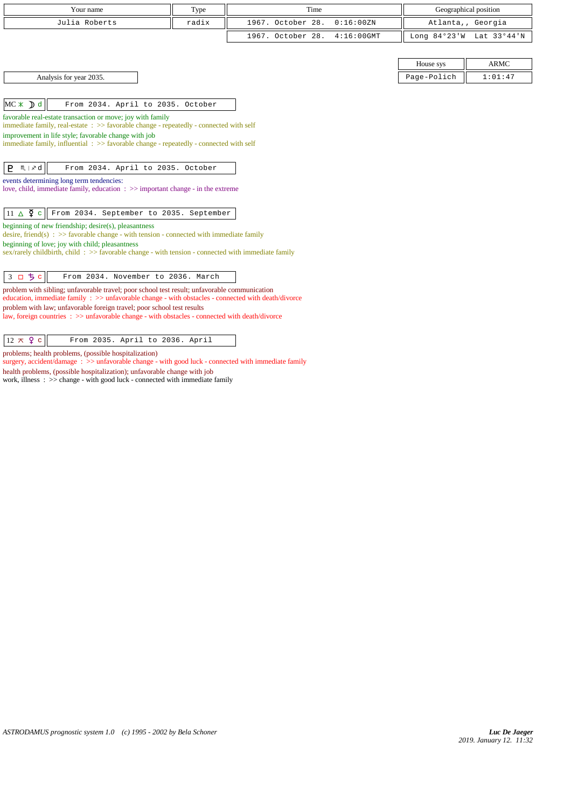| Your name                                                                                                                                                                                           | Type  | Time              |               | Geographical position    |                   |
|-----------------------------------------------------------------------------------------------------------------------------------------------------------------------------------------------------|-------|-------------------|---------------|--------------------------|-------------------|
| Julia Roberts                                                                                                                                                                                       | radix | 1967. October 28. | 0:16:00 ZN    |                          | Atlanta,, Georgia |
|                                                                                                                                                                                                     |       |                   |               |                          |                   |
|                                                                                                                                                                                                     |       | 1967. October 28. | $4:16:00$ GMT | Long 84°23'W Lat 33°44'N |                   |
|                                                                                                                                                                                                     |       |                   |               |                          |                   |
|                                                                                                                                                                                                     |       |                   |               | House sys                | <b>ARMC</b>       |
| Analysis for year 2035.                                                                                                                                                                             |       |                   |               | Page-Polich              | 1:01:47           |
|                                                                                                                                                                                                     |       |                   |               |                          |                   |
| $MC \times D$ d<br>From 2034. April to 2035. October                                                                                                                                                |       |                   |               |                          |                   |
| favorable real-estate transaction or move; joy with family                                                                                                                                          |       |                   |               |                          |                   |
| immediate family, real-estate : >> favorable change - repeatedly - connected with self                                                                                                              |       |                   |               |                          |                   |
| improvement in life style; favorable change with job<br>immediate family, influential : >> favorable change - repeatedly - connected with self                                                      |       |                   |               |                          |                   |
|                                                                                                                                                                                                     |       |                   |               |                          |                   |
| P<br>$M \mid x^2$ d<br>From 2034. April to 2035. October                                                                                                                                            |       |                   |               |                          |                   |
| events determining long term tendencies:                                                                                                                                                            |       |                   |               |                          |                   |
| love, child, immediate family, education $\Rightarrow$ important change - in the extreme                                                                                                            |       |                   |               |                          |                   |
|                                                                                                                                                                                                     |       |                   |               |                          |                   |
| $11 \triangle \n\overline{9}$ c<br>From 2034. September to 2035. September                                                                                                                          |       |                   |               |                          |                   |
| beginning of new friendship; desire(s), pleasantness<br>desire, friend(s) : $\gg$ favorable change - with tension - connected with immediate family                                                 |       |                   |               |                          |                   |
| beginning of love; joy with child; pleasantness                                                                                                                                                     |       |                   |               |                          |                   |
| sex/rarely childbirth, child: >> favorable change - with tension - connected with immediate family                                                                                                  |       |                   |               |                          |                   |
|                                                                                                                                                                                                     |       |                   |               |                          |                   |
| 3 口 ち c<br>From 2034. November to 2036. March                                                                                                                                                       |       |                   |               |                          |                   |
| problem with sibling; unfavorable travel; poor school test result; unfavorable communication<br>education, immediate family : >> unfavorable change - with obstacles - connected with death/divorce |       |                   |               |                          |                   |
| problem with law; unfavorable foreign travel; poor school test results                                                                                                                              |       |                   |               |                          |                   |
| law, foreign countries : >> unfavorable change - with obstacles - connected with death/divorce                                                                                                      |       |                   |               |                          |                   |
| $12 \times 9$ c<br>From 2035. April to 2036. April                                                                                                                                                  |       |                   |               |                          |                   |
|                                                                                                                                                                                                     |       |                   |               |                          |                   |

problems; health problems, (possible hospitalization)

surgery, accident/damage :  $>$  unfavorable change - with good luck - connected with immediate family

health problems, (possible hospitalization); unfavorable change with job

work, illness : >> change - with good luck - connected with immediate family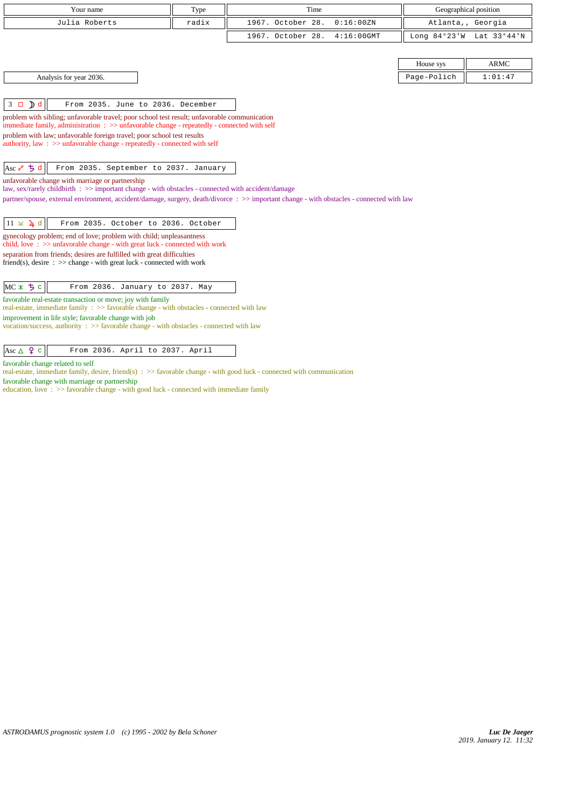| Your name                                                                                                                                                               | Type  | Time                                                                                                                                      | Geographical position |             |
|-------------------------------------------------------------------------------------------------------------------------------------------------------------------------|-------|-------------------------------------------------------------------------------------------------------------------------------------------|-----------------------|-------------|
| Julia Roberts                                                                                                                                                           | radix | 1967. October 28.<br>0:16:00 ZN                                                                                                           | Atlanta,, Georgia     |             |
|                                                                                                                                                                         |       | 1967. October 28.<br>$4:16:00$ GMT                                                                                                        | Long $84°23'W$        | Lat 33°44'N |
|                                                                                                                                                                         |       |                                                                                                                                           |                       |             |
|                                                                                                                                                                         |       |                                                                                                                                           | House sys             | <b>ARMC</b> |
| Analysis for year 2036.                                                                                                                                                 |       |                                                                                                                                           | Page-Polich           | 1:01:47     |
|                                                                                                                                                                         |       |                                                                                                                                           |                       |             |
| $3 \Box$ $\Box$ $d$<br>From 2035. June to 2036. December                                                                                                                |       |                                                                                                                                           |                       |             |
| problem with sibling; unfavorable travel; poor school test result; unfavorable communication                                                                            |       |                                                                                                                                           |                       |             |
| immediate family, administration: $\gg$ unfavorable change - repeatedly - connected with self<br>problem with law; unfavorable foreign travel; poor school test results |       |                                                                                                                                           |                       |             |
| authority, law : $\gg$ unfavorable change - repeatedly - connected with self                                                                                            |       |                                                                                                                                           |                       |             |
|                                                                                                                                                                         |       |                                                                                                                                           |                       |             |
| $Asc \rightarrow 5d$<br>From 2035. September to 2037. January                                                                                                           |       |                                                                                                                                           |                       |             |
| unfavorable change with marriage or partnership                                                                                                                         |       |                                                                                                                                           |                       |             |
| law, sex/rarely childbirth : >> important change - with obstacles - connected with accident/damage                                                                      |       | partner/spouse, external environment, accident/damage, surgery, death/divorce : >> important change - with obstacles - connected with law |                       |             |
|                                                                                                                                                                         |       |                                                                                                                                           |                       |             |
| $11 \times 4d$<br>From 2035. October to 2036. October                                                                                                                   |       |                                                                                                                                           |                       |             |
| gynecology problem; end of love; problem with child; unpleasantness<br>child, love $\Rightarrow$ >> unfavorable change - with great luck - connected with work          |       |                                                                                                                                           |                       |             |
| separation from friends; desires are fulfilled with great difficulties                                                                                                  |       |                                                                                                                                           |                       |             |
| friend(s), desire $\Rightarrow$ > change - with great luck - connected with work                                                                                        |       |                                                                                                                                           |                       |             |
|                                                                                                                                                                         |       |                                                                                                                                           |                       |             |
| MC X 5c<br>From 2036. January to 2037. May                                                                                                                              |       |                                                                                                                                           |                       |             |
| favorable real-estate transaction or move; joy with family<br>real-estate, immediate family : >> favorable change - with obstacles - connected with law                 |       |                                                                                                                                           |                       |             |
| improvement in life style; favorable change with job<br>vocation/success, authority : >> favorable change - with obstacles - connected with law                         |       |                                                                                                                                           |                       |             |
|                                                                                                                                                                         |       |                                                                                                                                           |                       |             |
| Asc $\triangle$ $\varphi$ c<br>From 2036. April to 2037. April                                                                                                          |       |                                                                                                                                           |                       |             |

favorable change related to self

real-estate, immediate family, desire, friend(s) : >> favorable change - with good luck - connected with communication

favorable change with marriage or partnership

education, love : >> favorable change - with good luck - connected with immediate family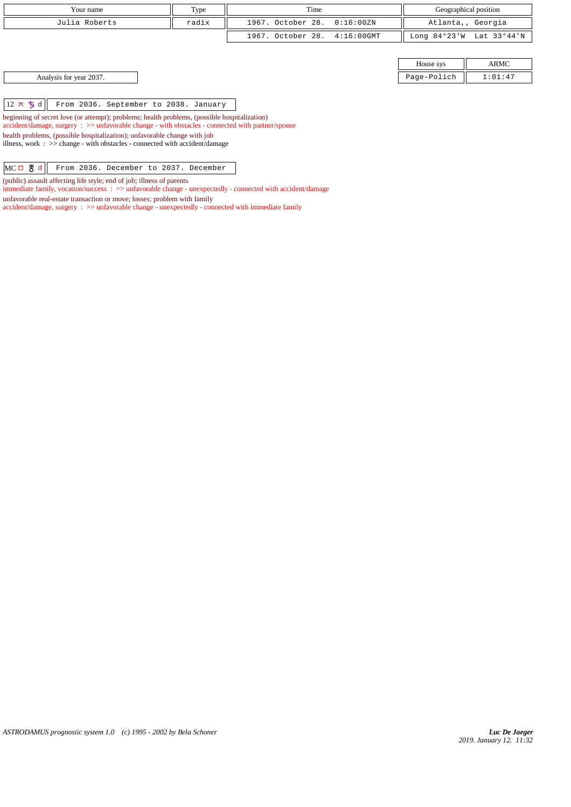| Your name     | Type  | Time                         | Geographical position    |
|---------------|-------|------------------------------|--------------------------|
| Julia Roberts | radix | 1967. October 28. 0:16:00ZN  | Atlanta,, Georgia        |
|               |       | 1967. October 28. 4:16:00GMT | Long 84°23'W Lat 33°44'N |
|               |       |                              |                          |

House sys ARMC Analysis for year 2037. Page-Polich 201:47

 $\boxed{12 \times 5 \text{ d}}$  From 2036. September to 2038. January

beginning of secret love (or attempt); problems; health problems, (possible hospitalization) accident/damage, surgery : >> unfavorable change - with obstacles - connected with partner/spouse health problems, (possible hospitalization); unfavorable change with job illness, work : >> change - with obstacles - connected with accident/damage

MCO & d From 2036. December to 2037. December

(public) assault affecting life style; end of job; illness of parents

immediate family, vocation/success : >> unfavorable change - unexpectedly - connected with accident/damage

unfavorable real-estate transaction or move; losses; problem with family

accident/damage, surgery : >> unfavorable change - unexpectedly - connected with immediate family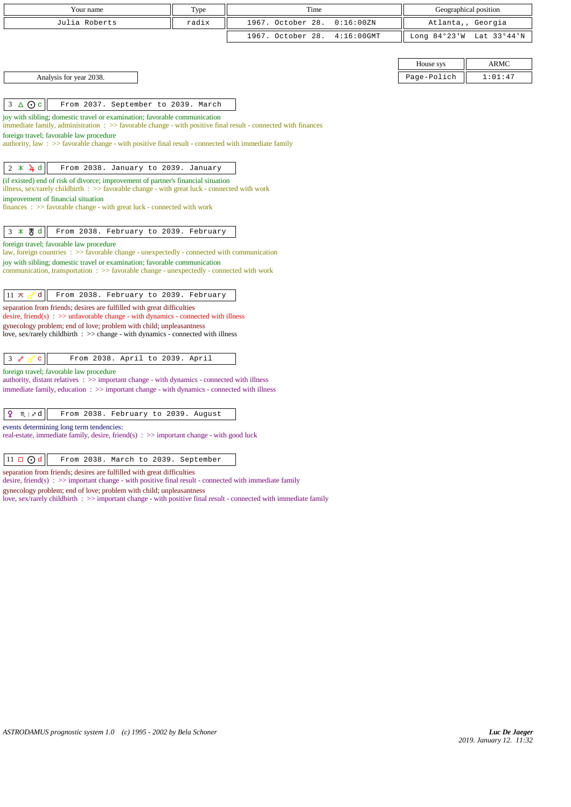| Your name<br>Julia Roberts                                                                                                                                                                                                                                                                                                                               | Type<br>radix | Time<br>1967. October 28. | 0:16:00 ZN    | Geographical position<br>Atlanta,, Georgia |             |
|----------------------------------------------------------------------------------------------------------------------------------------------------------------------------------------------------------------------------------------------------------------------------------------------------------------------------------------------------------|---------------|---------------------------|---------------|--------------------------------------------|-------------|
|                                                                                                                                                                                                                                                                                                                                                          |               | 1967. October 28.         | $4:16:00$ GMT | Long $84°23'W$                             | Lat 33°44'N |
|                                                                                                                                                                                                                                                                                                                                                          |               |                           |               |                                            |             |
|                                                                                                                                                                                                                                                                                                                                                          |               |                           |               | House sys                                  | <b>ARMC</b> |
| Analysis for year 2038.                                                                                                                                                                                                                                                                                                                                  |               |                           |               | Page-Polich                                | 1:01:47     |
| $3 \triangle$ O c<br>From 2037. September to 2039. March                                                                                                                                                                                                                                                                                                 |               |                           |               |                                            |             |
| joy with sibling; domestic travel or examination; favorable communication<br>immediate family, administration $\Rightarrow$ Savorable change - with positive final result - connected with finances<br>foreign travel; favorable law procedure<br>authority, law : $\gg$ favorable change - with positive final result - connected with immediate family |               |                           |               |                                            |             |
| $2 \times 4d$<br>From 2038. January to 2039. January                                                                                                                                                                                                                                                                                                     |               |                           |               |                                            |             |
| (if existed) end of risk of divorce; improvement of partner's financial situation<br>illness, sex/rarely childbirth $\therefore$ > favorable change - with great luck - connected with work<br>improvement of financial situation<br>finances: >> favorable change - with great luck - connected with work                                               |               |                           |               |                                            |             |
| 3 * 5 d<br>From 2038. February to 2039. February                                                                                                                                                                                                                                                                                                         |               |                           |               |                                            |             |
| foreign travel; favorable law procedure<br>law, foreign countries $\Rightarrow$ favorable change - unexpectedly - connected with communication<br>joy with sibling; domestic travel or examination; favorable communication<br>communication, transportation : >> favorable change - unexpectedly - connected with work                                  |               |                           |               |                                            |             |
| $11 \pi$<br>d<br>From 2038. February to 2039. February                                                                                                                                                                                                                                                                                                   |               |                           |               |                                            |             |
| separation from friends; desires are fulfilled with great difficulties<br>desire, friend(s) : $\gg$ unfavorable change - with dynamics - connected with illness                                                                                                                                                                                          |               |                           |               |                                            |             |
| gynecology problem; end of love; problem with child; unpleasantness<br>love, sex/rarely childbirth : >> change - with dynamics - connected with illness                                                                                                                                                                                                  |               |                           |               |                                            |             |
| From 2038. April to 2039. April<br>3 <sub>o</sub><br>$\mathbf{C}$<br>ഗ്                                                                                                                                                                                                                                                                                  |               |                           |               |                                            |             |
| foreign travel; favorable law procedure<br>authority, distant relatives : >> important change - with dynamics - connected with illness                                                                                                                                                                                                                   |               |                           |               |                                            |             |
| immediate family, education : >> important change - with dynamics - connected with illness                                                                                                                                                                                                                                                               |               |                           |               |                                            |             |
| ¥<br>m ∣∡d<br>From 2038. February to 2039. August                                                                                                                                                                                                                                                                                                        |               |                           |               |                                            |             |
| events determining long term tendencies:<br>real-estate, immediate family, desire, friend(s) : >> important change - with good luck                                                                                                                                                                                                                      |               |                           |               |                                            |             |
| $11 \Box$ $\Theta$ d<br>From 2038. March to 2039. September                                                                                                                                                                                                                                                                                              |               |                           |               |                                            |             |
| separation from friends; desires are fulfilled with great difficulties<br>desire, friend(s) : $\gg$ important change - with positive final result - connected with immediate family                                                                                                                                                                      |               |                           |               |                                            |             |

gynecology problem; end of love; problem with child; unpleasantness

love, sex/rarely childbirth : >> important change - with positive final result - connected with immediate family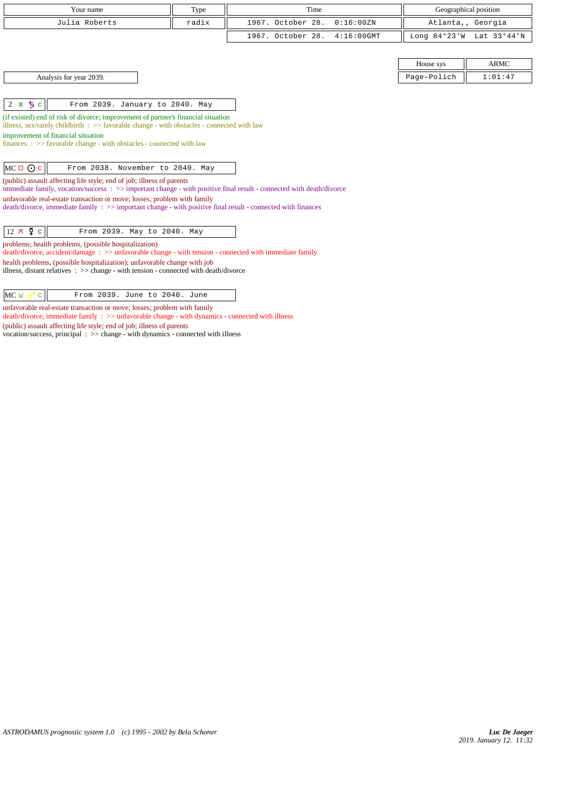| Your name                                                                                                                                                       | Type  | Time                               |                   | Geographical position |
|-----------------------------------------------------------------------------------------------------------------------------------------------------------------|-------|------------------------------------|-------------------|-----------------------|
| Julia Roberts                                                                                                                                                   | radix | 1967. October 28.<br>0:16:00 ZN    | Atlanta,, Georgia |                       |
|                                                                                                                                                                 |       | 1967. October 28.<br>$4:16:00$ GMT | Long $84°23'W$    | Lat 33°44'N           |
|                                                                                                                                                                 |       |                                    |                   |                       |
|                                                                                                                                                                 |       |                                    | House sys         | <b>ARMC</b>           |
| Analysis for year 2039.                                                                                                                                         |       |                                    | Page-Polich       | 1:01:47               |
|                                                                                                                                                                 |       |                                    |                   |                       |
| 2 * 5 c<br>From 2039. January to 2040. May                                                                                                                      |       |                                    |                   |                       |
| (if existed) end of risk of divorce; improvement of partner's financial situation                                                                               |       |                                    |                   |                       |
| illness, sex/rarely childbirth : $\gg$ favorable change - with obstacles - connected with law                                                                   |       |                                    |                   |                       |
| improvement of financial situation                                                                                                                              |       |                                    |                   |                       |
| $finances : \gg$ favorable change - with obstacles - connected with law                                                                                         |       |                                    |                   |                       |
|                                                                                                                                                                 |       |                                    |                   |                       |
| $MC \Box$ $\odot$ c<br>From 2038. November to 2040. May                                                                                                         |       |                                    |                   |                       |
| (public) assault affecting life style; end of job; illness of parents                                                                                           |       |                                    |                   |                       |
| immediate family, vocation/success: >> important change - with positive final result - connected with death/divorce                                             |       |                                    |                   |                       |
| unfavorable real-estate transaction or move; losses; problem with family                                                                                        |       |                                    |                   |                       |
| death/divorce, immediate family : >> important change - with positive final result - connected with finances                                                    |       |                                    |                   |                       |
|                                                                                                                                                                 |       |                                    |                   |                       |
| $12 \times \xi$ c<br>From 2039. May to 2040. May                                                                                                                |       |                                    |                   |                       |
| problems; health problems, (possible hospitalization)<br>death/divorce, accident/damage: >> unfavorable change - with tension - connected with immediate family |       |                                    |                   |                       |
| health problems, (possible hospitalization); unfavorable change with job                                                                                        |       |                                    |                   |                       |
| illness, distant relatives : >> change - with tension - connected with death/divorce                                                                            |       |                                    |                   |                       |
|                                                                                                                                                                 |       |                                    |                   |                       |

 $MC \times \sigma$  c From 2039. June to 2040. June

unfavorable real-estate transaction or move; losses; problem with family

death/divorce, immediate family : >> unfavorable change - with dynamics - connected with illness

(public) assault affecting life style; end of job; illness of parents

vocation/success, principal : >> change - with dynamics - connected with illness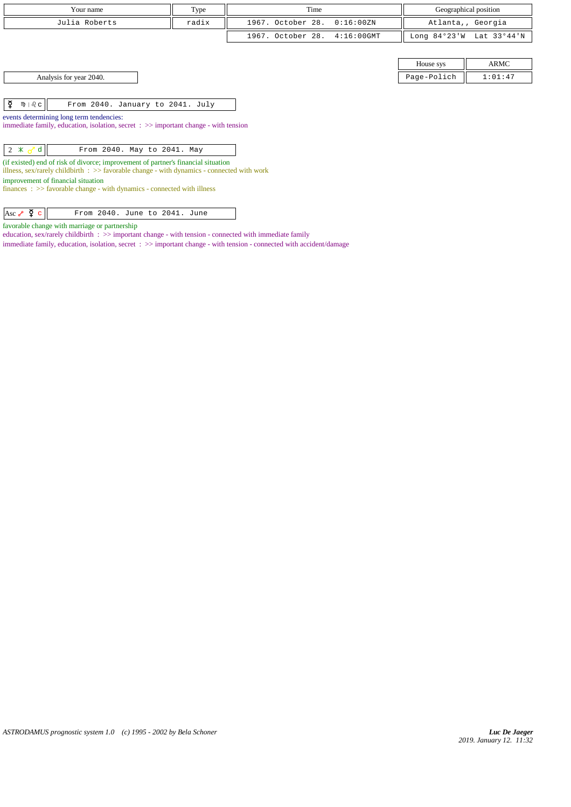| Your name                                                                                      | Type  | Time              |               |                | Geographical position |
|------------------------------------------------------------------------------------------------|-------|-------------------|---------------|----------------|-----------------------|
| Julia Roberts                                                                                  | radix | 1967. October 28. | 0:16:00 ZN    |                | Atlanta,, Georgia     |
|                                                                                                |       | 1967. October 28. | $4:16:00$ GMT | Long $84°23'W$ | Lat 33°44'N           |
|                                                                                                |       |                   |               |                |                       |
|                                                                                                |       |                   |               | House sys      | ARMC                  |
| Analysis for year 2040.                                                                        |       |                   |               | Page-Polich    | 1:01:47               |
|                                                                                                |       |                   |               |                |                       |
| ¥<br>$m \mid \partial_c c \mid$<br>From 2040. January to 2041. July                            |       |                   |               |                |                       |
| events determining long term tendencies:                                                       |       |                   |               |                |                       |
| immediate family, education, isolation, secret $\div \gg$ important change - with tension      |       |                   |               |                |                       |
| $2 \times \sigma d$<br>From 2040. May to 2041. May                                             |       |                   |               |                |                       |
| (if existed) end of risk of divorce; improvement of partner's financial situation              |       |                   |               |                |                       |
| illness, $sex/rarely$ childbirth : $>>$ favorable change - with dynamics - connected with work |       |                   |               |                |                       |
| improvement of financial situation                                                             |       |                   |               |                |                       |
| $finances : \gg$ favorable change - with dynamics - connected with illness                     |       |                   |               |                |                       |
| Asc $\sqrt{2}$ $\sigma$<br>From 2040. June to 2041. June                                       |       |                   |               |                |                       |

favorable change with marriage or partnership

education, sex/rarely childbirth : >> important change - with tension - connected with immediate family immediate family, education, isolation, secret : >> important change - with tension - connected with accident/damage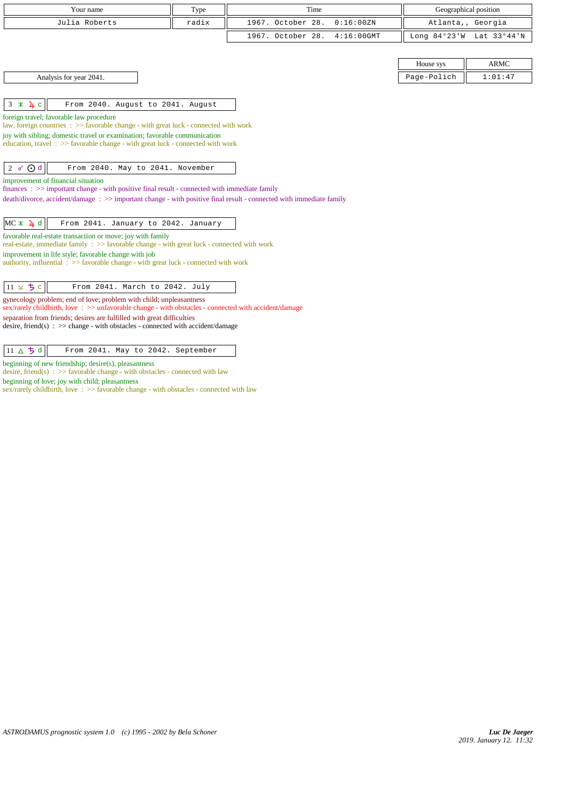| Your name                                                                                                                                                                                                                    | Type  | Time                               | Geographical position |             |  |
|------------------------------------------------------------------------------------------------------------------------------------------------------------------------------------------------------------------------------|-------|------------------------------------|-----------------------|-------------|--|
| Julia Roberts                                                                                                                                                                                                                | radix | 1967. October 28.<br>0:16:00 ZN    | Atlanta,, Georgia     |             |  |
|                                                                                                                                                                                                                              |       | 1967. October 28.<br>$4:16:00$ GMT | Long 84°23'W          | Lat 33°44'N |  |
|                                                                                                                                                                                                                              |       |                                    |                       |             |  |
|                                                                                                                                                                                                                              |       |                                    | House sys             | <b>ARMC</b> |  |
| Analysis for year 2041.                                                                                                                                                                                                      |       |                                    | Page-Polich           | 1:01:47     |  |
|                                                                                                                                                                                                                              |       |                                    |                       |             |  |
| $3 \times 4c$<br>From 2040. August to 2041. August                                                                                                                                                                           |       |                                    |                       |             |  |
| foreign travel; favorable law procedure                                                                                                                                                                                      |       |                                    |                       |             |  |
| law, foreign countries $\Rightarrow$ > favorable change - with great luck - connected with work<br>joy with sibling; domestic travel or examination; favorable communication                                                 |       |                                    |                       |             |  |
| education, travel $\Rightarrow$ Savorable change - with great luck - connected with work                                                                                                                                     |       |                                    |                       |             |  |
|                                                                                                                                                                                                                              |       |                                    |                       |             |  |
| $2 \sigma$ Od<br>From 2040. May to 2041. November                                                                                                                                                                            |       |                                    |                       |             |  |
| improvement of financial situation                                                                                                                                                                                           |       |                                    |                       |             |  |
| finances $\Rightarrow$ important change - with positive final result - connected with immediate family<br>death/divorce, accident/damage: >> important change - with positive final result - connected with immediate family |       |                                    |                       |             |  |
|                                                                                                                                                                                                                              |       |                                    |                       |             |  |
| $MC \times 1$ <sup>d</sup><br>From 2041. January to 2042. January                                                                                                                                                            |       |                                    |                       |             |  |
| favorable real-estate transaction or move; joy with family                                                                                                                                                                   |       |                                    |                       |             |  |
| real-estate, immediate family : >> favorable change - with great luck - connected with work<br>improvement in life style; favorable change with job                                                                          |       |                                    |                       |             |  |
| authority, influential $\Rightarrow$ 5 favorable change - with great luck - connected with work                                                                                                                              |       |                                    |                       |             |  |
|                                                                                                                                                                                                                              |       |                                    |                       |             |  |
| $11 \times 5c$<br>From 2041. March to 2042. July                                                                                                                                                                             |       |                                    |                       |             |  |
| gynecology problem; end of love; problem with child; unpleasantness<br>sex/rarely childbirth, love: >> unfavorable change - with obstacles - connected with accident/damage                                                  |       |                                    |                       |             |  |
| separation from friends; desires are fulfilled with great difficulties                                                                                                                                                       |       |                                    |                       |             |  |
| desire, friend(s) : $\gg$ change - with obstacles - connected with accident/damage                                                                                                                                           |       |                                    |                       |             |  |
|                                                                                                                                                                                                                              |       |                                    |                       |             |  |
| 11 $\triangle$ $\frac{1}{2}$ d<br>From 2041. May to 2042. September                                                                                                                                                          |       |                                    |                       |             |  |

beginning of new friendship; desire(s), pleasantness desire, friend(s)  $\therefore$  >> favorable change - with obstacles - connected with law

beginning of love; joy with child; pleasantness

sex/rarely childbirth, love : >> favorable change - with obstacles - connected with law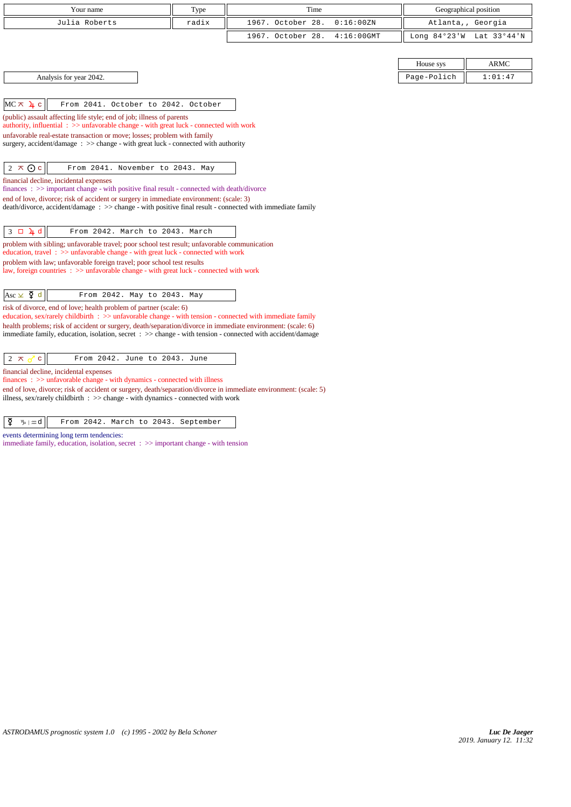| Your name                                                                                                                                                                                                                           | Type  | Time              |               |                | Geographical position |
|-------------------------------------------------------------------------------------------------------------------------------------------------------------------------------------------------------------------------------------|-------|-------------------|---------------|----------------|-----------------------|
| Julia Roberts                                                                                                                                                                                                                       | radix | 1967. October 28. | 0:16:00 ZN    |                | Atlanta,, Georgia     |
|                                                                                                                                                                                                                                     |       | 1967. October 28. | $4:16:00$ GMT | Long $84°23'W$ | Lat 33°44'N           |
|                                                                                                                                                                                                                                     |       |                   |               |                |                       |
|                                                                                                                                                                                                                                     |       |                   |               | House sys      | <b>ARMC</b>           |
| Analysis for year 2042.                                                                                                                                                                                                             |       |                   |               | Page-Polich    | 1:01:47               |
|                                                                                                                                                                                                                                     |       |                   |               |                |                       |
| From 2041. October to 2042. October<br>$MC \times 4c$                                                                                                                                                                               |       |                   |               |                |                       |
| (public) assault affecting life style; end of job; illness of parents<br>authority, influential: >> unfavorable change - with great luck - connected with work                                                                      |       |                   |               |                |                       |
| unfavorable real-estate transaction or move; losses; problem with family                                                                                                                                                            |       |                   |               |                |                       |
| surgery, accident/damage: >> change - with great luck - connected with authority                                                                                                                                                    |       |                   |               |                |                       |
|                                                                                                                                                                                                                                     |       |                   |               |                |                       |
| $2 \times 0$ c<br>From 2041. November to 2043. May                                                                                                                                                                                  |       |                   |               |                |                       |
| financial decline, incidental expenses<br>finances: >> important change - with positive final result - connected with death/divorce                                                                                                 |       |                   |               |                |                       |
| end of love, divorce; risk of accident or surgery in immediate environment: (scale: 3)                                                                                                                                              |       |                   |               |                |                       |
| death/divorce, accident/damage : >> change - with positive final result - connected with immediate family                                                                                                                           |       |                   |               |                |                       |
| From 2042. March to 2043. March<br>$3 \square \square$ d                                                                                                                                                                            |       |                   |               |                |                       |
| problem with sibling; unfavorable travel; poor school test result; unfavorable communication                                                                                                                                        |       |                   |               |                |                       |
| education, travel $\Rightarrow$ > $\Rightarrow$ unfavorable change - with great luck - connected with work                                                                                                                          |       |                   |               |                |                       |
| problem with law; unfavorable foreign travel; poor school test results<br>law, foreign countries : >> unfavorable change - with great luck - connected with work                                                                    |       |                   |               |                |                       |
|                                                                                                                                                                                                                                     |       |                   |               |                |                       |
| Asc $\times$ $\zeta$ d<br>From 2042. May to 2043. May                                                                                                                                                                               |       |                   |               |                |                       |
| risk of divorce, end of love; health problem of partner (scale: 6)                                                                                                                                                                  |       |                   |               |                |                       |
| education, sex/rarely childbirth $\Rightarrow$ > unfavorable change - with tension - connected with immediate family<br>health problems; risk of accident or surgery, death/separation/divorce in immediate environment: (scale: 6) |       |                   |               |                |                       |
| immediate family, education, isolation, secret : >> change - with tension - connected with accident/damage                                                                                                                          |       |                   |               |                |                       |
|                                                                                                                                                                                                                                     |       |                   |               |                |                       |
| From 2042. June to 2043. June<br>2 $\pi$<br>$\mathbf{C}$                                                                                                                                                                            |       |                   |               |                |                       |
| financial decline, incidental expenses<br>$finances: \gg$ unfavorable change - with dynamics - connected with illness                                                                                                               |       |                   |               |                |                       |

end of love, divorce; risk of accident or surgery, death/separation/divorce in immediate environment: (scale: 5) illness, sex/rarely childbirth : >> change - with dynamics - connected with work

 $\left| \begin{array}{cc} \xi & \text{if } \xi \end{array} \right|$  From 2042. March to 2043. September

events determining long term tendencies:

immediate family, education, isolation, secret : >> important change - with tension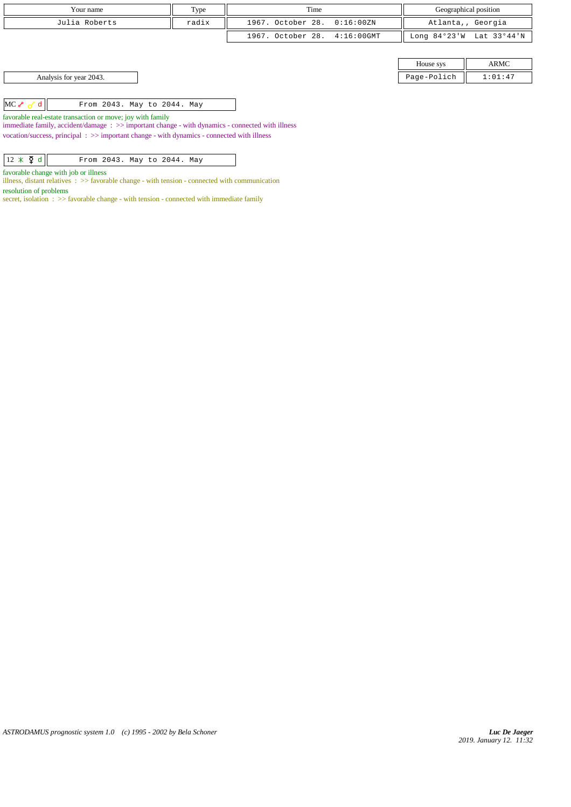| Your name               | Type  | Time                         |             | Geographical position    |
|-------------------------|-------|------------------------------|-------------|--------------------------|
| Julia Roberts           | radix | 1967. October 28. 0:16:00ZN  |             | Atlanta,, Georgia        |
|                         |       | 1967. October 28. 4:16:00GMT |             | Long 84°23'W Lat 33°44'N |
|                         |       |                              |             |                          |
|                         |       |                              | House sys   | ARMC                     |
| Analysis for year 2043. |       |                              | Page-Polich | 1:01:47                  |

 $MC \sim d$  From 2043. May to 2044. May

favorable real-estate transaction or move; joy with family

immediate family, accident/damage : >> important change - with dynamics - connected with illness vocation/success, principal  $\, : \, >>$  important change - with dynamics - connected with illness

| $12 \times \mathfrak{F}$ d |  |  |  |  | From 2043. May to 2044. May |  |  |
|----------------------------|--|--|--|--|-----------------------------|--|--|
|----------------------------|--|--|--|--|-----------------------------|--|--|

favorable change with job or illness

illness, distant relatives : >> favorable change - with tension - connected with communication resolution of problems

secret, isolation :  $\gg$  favorable change - with tension - connected with immediate family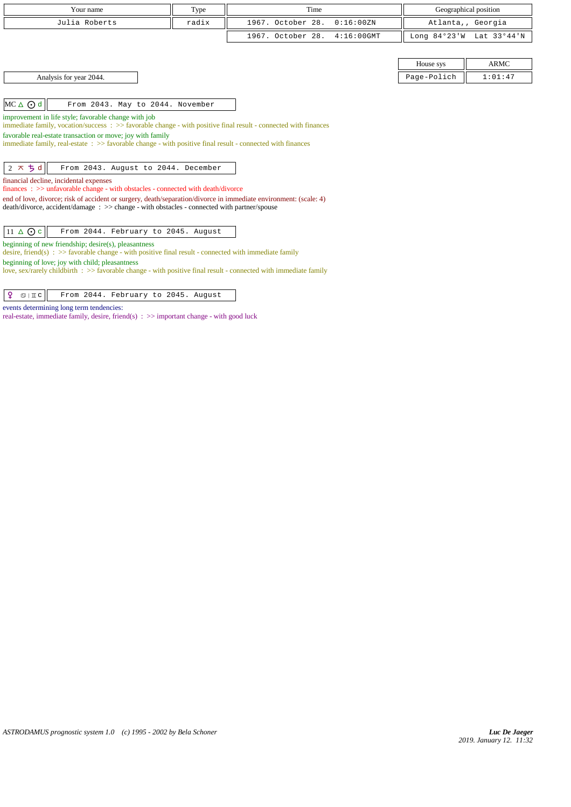| Your name                                                                                                                                                                                                                                                                                                                                                                                                                                                                                                                                                                                                                                                                                                                                                           | Type  | Time              |               | Geographical position |                          |  |  |
|---------------------------------------------------------------------------------------------------------------------------------------------------------------------------------------------------------------------------------------------------------------------------------------------------------------------------------------------------------------------------------------------------------------------------------------------------------------------------------------------------------------------------------------------------------------------------------------------------------------------------------------------------------------------------------------------------------------------------------------------------------------------|-------|-------------------|---------------|-----------------------|--------------------------|--|--|
| Julia Roberts                                                                                                                                                                                                                                                                                                                                                                                                                                                                                                                                                                                                                                                                                                                                                       | radix | 1967. October 28. | 0:16:00 ZN    | Atlanta,, Georgia     |                          |  |  |
|                                                                                                                                                                                                                                                                                                                                                                                                                                                                                                                                                                                                                                                                                                                                                                     |       | 1967. October 28. | $4:16:00$ GMT |                       | Long 84°23'W Lat 33°44'N |  |  |
|                                                                                                                                                                                                                                                                                                                                                                                                                                                                                                                                                                                                                                                                                                                                                                     |       |                   |               |                       |                          |  |  |
|                                                                                                                                                                                                                                                                                                                                                                                                                                                                                                                                                                                                                                                                                                                                                                     |       |                   |               | House sys             | <b>ARMC</b>              |  |  |
| Analysis for year 2044.                                                                                                                                                                                                                                                                                                                                                                                                                                                                                                                                                                                                                                                                                                                                             |       |                   |               | Page-Polich           | 1:01:47                  |  |  |
|                                                                                                                                                                                                                                                                                                                                                                                                                                                                                                                                                                                                                                                                                                                                                                     |       |                   |               |                       |                          |  |  |
| $MC \triangle$ $Q$ d<br>From 2043. May to 2044. November                                                                                                                                                                                                                                                                                                                                                                                                                                                                                                                                                                                                                                                                                                            |       |                   |               |                       |                          |  |  |
| improvement in life style; favorable change with job<br>immediate family, vocation/success $\Rightarrow$ favorable change - with positive final result - connected with finances<br>favorable real-estate transaction or move; joy with family<br>immediate family, real-estate: >> favorable change - with positive final result - connected with finances<br>$2 \times 5d$<br>From 2043. August to 2044. December<br>financial decline, incidental expenses<br>finances: >> unfavorable change - with obstacles - connected with death/divorce<br>end of love, divorce; risk of accident or surgery, death/separation/divorce in immediate environment: (scale: 4)<br>death/divorce, accident/damage : >> change - with obstacles - connected with partner/spouse |       |                   |               |                       |                          |  |  |
| $11 \triangle$ O c<br>From 2044. February to 2045. August                                                                                                                                                                                                                                                                                                                                                                                                                                                                                                                                                                                                                                                                                                           |       |                   |               |                       |                          |  |  |
| beginning of new friendship; desire(s), pleasantness<br>desire, friend(s) : $\gg$ favorable change - with positive final result - connected with immediate family                                                                                                                                                                                                                                                                                                                                                                                                                                                                                                                                                                                                   |       |                   |               |                       |                          |  |  |
| beginning of love; joy with child; pleasantness<br>love, sex/rarely childbirth $\Rightarrow$ favorable change - with positive final result - connected with immediate family                                                                                                                                                                                                                                                                                                                                                                                                                                                                                                                                                                                        |       |                   |               |                       |                          |  |  |

 $\boxed{ \rho \quad \text{if } c \text{ if } \text{if } c \text{ if } 2044. \text{ February to } 2045. \text{ August}}$ 

events determining long term tendencies:

real-estate, immediate family, desire, friend(s)  $\Rightarrow$  important change - with good luck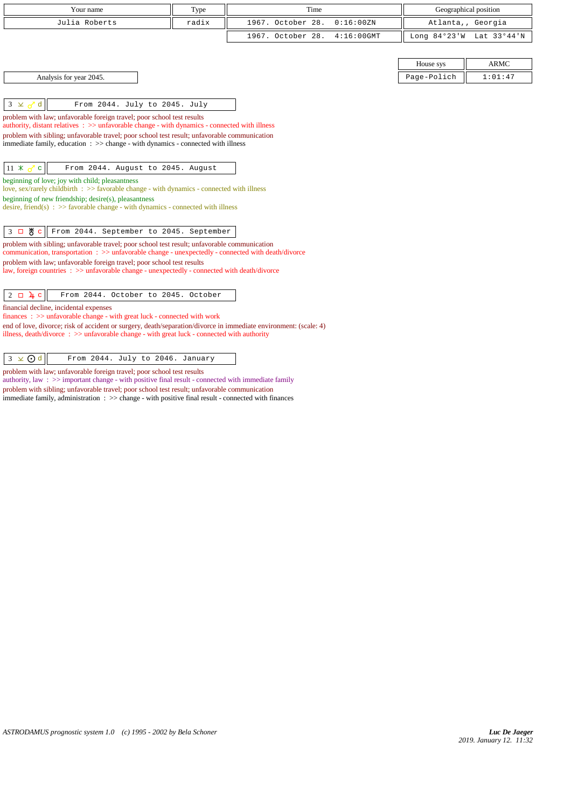| Your name                                                                                                                                                                                                          | Type  | Time                               |             | Geographical position    |
|--------------------------------------------------------------------------------------------------------------------------------------------------------------------------------------------------------------------|-------|------------------------------------|-------------|--------------------------|
| Julia Roberts                                                                                                                                                                                                      | radix | 1967. October 28.<br>0:16:00ZN     |             | Atlanta,, Georgia        |
|                                                                                                                                                                                                                    |       | 1967. October 28.<br>$4:16:00$ GMT |             | Long 84°23'W Lat 33°44'N |
|                                                                                                                                                                                                                    |       |                                    |             |                          |
|                                                                                                                                                                                                                    |       |                                    | House sys   | <b>ARMC</b>              |
| Analysis for year 2045.                                                                                                                                                                                            |       |                                    | Page-Polich | 1:01:47                  |
|                                                                                                                                                                                                                    |       |                                    |             |                          |
| $3 \times 3 d$<br>From 2044. July to 2045. July                                                                                                                                                                    |       |                                    |             |                          |
| problem with law; unfavorable foreign travel; poor school test results                                                                                                                                             |       |                                    |             |                          |
| authority, distant relatives : >> unfavorable change - with dynamics - connected with illness<br>problem with sibling; unfavorable travel; poor school test result; unfavorable communication                      |       |                                    |             |                          |
| immediate family, education $\Rightarrow$ $\Rightarrow$ change - with dynamics - connected with illness                                                                                                            |       |                                    |             |                          |
|                                                                                                                                                                                                                    |       |                                    |             |                          |
| $11 \times$<br>From 2044. August to 2045. August<br>$\mathbf{C}$                                                                                                                                                   |       |                                    |             |                          |
| beginning of love; joy with child; pleasantness<br>love, sex/rarely childbirth : >> favorable change - with dynamics - connected with illness                                                                      |       |                                    |             |                          |
| beginning of new friendship; $desire(s)$ , pleasantness                                                                                                                                                            |       |                                    |             |                          |
| desire, friend(s) : $\gg$ favorable change - with dynamics - connected with illness                                                                                                                                |       |                                    |             |                          |
|                                                                                                                                                                                                                    |       |                                    |             |                          |
| 3 口 M c<br>From 2044. September to 2045. September                                                                                                                                                                 |       |                                    |             |                          |
| problem with sibling; unfavorable travel; poor school test result; unfavorable communication<br>communication, transportation: >> unfavorable change - unexpectedly - connected with death/divorce                 |       |                                    |             |                          |
| problem with law; unfavorable foreign travel; poor school test results                                                                                                                                             |       |                                    |             |                          |
| law, foreign countries : >> unfavorable change - unexpectedly - connected with death/divorce                                                                                                                       |       |                                    |             |                          |
| From 2044. October to 2045. October<br>$2 \Box \mathbf{\underline{u}}$ c                                                                                                                                           |       |                                    |             |                          |
| financial decline, incidental expenses                                                                                                                                                                             |       |                                    |             |                          |
| finances: >> unfavorable change - with great luck - connected with work                                                                                                                                            |       |                                    |             |                          |
| end of love, divorce; risk of accident or surgery, death/separation/divorce in immediate environment: (scale: 4)<br>illness, death/divorce : $\gg$ unfavorable change - with great luck - connected with authority |       |                                    |             |                          |
|                                                                                                                                                                                                                    |       |                                    |             |                          |
| $3 \times 0d$<br>From 2044. July to 2046. January                                                                                                                                                                  |       |                                    |             |                          |

problem with law; unfavorable foreign travel; poor school test results

authority, law :  $\gg$  important change - with positive final result - connected with immediate family problem with sibling; unfavorable travel; poor school test result; unfavorable communication immediate family, administration : >> change - with positive final result - connected with finances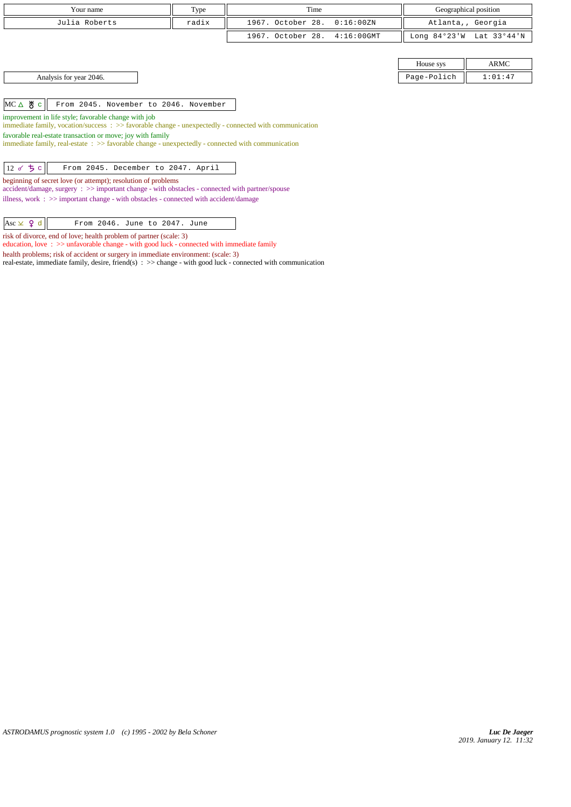| Your name                                                                                                                                                            | Type  | Time              |               | Geographical position |             |  |
|----------------------------------------------------------------------------------------------------------------------------------------------------------------------|-------|-------------------|---------------|-----------------------|-------------|--|
| Julia Roberts                                                                                                                                                        | radix | 1967. October 28. | 0:16:00 ZN    | Atlanta,, Georgia     |             |  |
|                                                                                                                                                                      |       | 1967. October 28. | $4:16:00$ GMT | Long $84°23'W$        | Lat 33°44'N |  |
|                                                                                                                                                                      |       |                   |               |                       |             |  |
|                                                                                                                                                                      |       |                   |               | House sys             | ARMC        |  |
| Analysis for year 2046.                                                                                                                                              |       |                   |               | Page-Polich           | 1:01:47     |  |
|                                                                                                                                                                      |       |                   |               |                       |             |  |
| $MC \triangle$ $\frac{1}{6}$ $\in$<br>From 2045. November to 2046. November                                                                                          |       |                   |               |                       |             |  |
| improvement in life style; favorable change with job                                                                                                                 |       |                   |               |                       |             |  |
| immediate family, vocation/success : >> favorable change - unexpectedly - connected with communication<br>favorable real-estate transaction or move; joy with family |       |                   |               |                       |             |  |
| immediate family, real-estate : >> favorable change - unexpectedly - connected with communication                                                                    |       |                   |               |                       |             |  |
|                                                                                                                                                                      |       |                   |               |                       |             |  |
| 12 $\sigma$ $\frac{1}{2}$ $c$<br>From 2045. December to 2047. April                                                                                                  |       |                   |               |                       |             |  |
| beginning of secret love (or attempt); resolution of problems<br>accident/damage, surgery : >> important change - with obstacles - connected with partner/spouse     |       |                   |               |                       |             |  |
| illness, work $\Rightarrow$ important change - with obstacles - connected with accident/damage                                                                       |       |                   |               |                       |             |  |
|                                                                                                                                                                      |       |                   |               |                       |             |  |

 $|{\text{Asc}} \times$   $\varphi$  d  $|$  From 2046. June to 2047. June risk of divorce, end of love; health problem of partner (scale: 3)

education, love : >> unfavorable change - with good luck - connected with immediate family health problems; risk of accident or surgery in immediate environment: (scale: 3)

real-estate, immediate family, desire, friend(s) : >> change - with good luck - connected with communication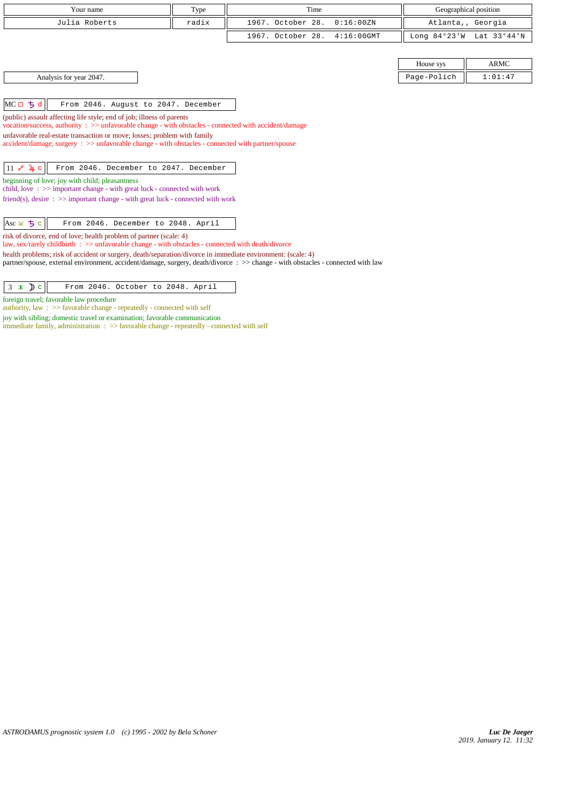| Your name                                                                                                                                                                                                                                      | Type  | Time              |               | Geographical position |             |  |  |
|------------------------------------------------------------------------------------------------------------------------------------------------------------------------------------------------------------------------------------------------|-------|-------------------|---------------|-----------------------|-------------|--|--|
| Julia Roberts                                                                                                                                                                                                                                  | radix | 1967. October 28. | 0:16:00 ZN    | Atlanta,, Georgia     |             |  |  |
|                                                                                                                                                                                                                                                |       | 1967. October 28. | $4:16:00$ GMT | Long $84°23'W$        | Lat 33°44'N |  |  |
|                                                                                                                                                                                                                                                |       |                   |               |                       |             |  |  |
|                                                                                                                                                                                                                                                |       |                   |               | House sys             | <b>ARMC</b> |  |  |
| Analysis for year 2047.                                                                                                                                                                                                                        |       |                   |               | Page-Polich           | 1:01:47     |  |  |
|                                                                                                                                                                                                                                                |       |                   |               |                       |             |  |  |
| $MCII$ $\frac{1}{2}$ $d$<br>From 2046. August to 2047. December                                                                                                                                                                                |       |                   |               |                       |             |  |  |
| (public) assault affecting life style; end of job; illness of parents<br>vocation/success, authority : $\gg$ unfavorable change - with obstacles - connected with accident/damage                                                              |       |                   |               |                       |             |  |  |
| unfavorable real-estate transaction or move; losses; problem with family                                                                                                                                                                       |       |                   |               |                       |             |  |  |
| accident/damage, surgery : >> unfavorable change - with obstacles - connected with partner/spouse                                                                                                                                              |       |                   |               |                       |             |  |  |
|                                                                                                                                                                                                                                                |       |                   |               |                       |             |  |  |
| $11 e^{0} 4 c$<br>From 2046. December to 2047. December                                                                                                                                                                                        |       |                   |               |                       |             |  |  |
| beginning of love; joy with child; pleasantness<br>child, love $\Rightarrow$ important change - with great luck - connected with work                                                                                                          |       |                   |               |                       |             |  |  |
| friend(s), desire $\Rightarrow$ > important change - with great luck - connected with work                                                                                                                                                     |       |                   |               |                       |             |  |  |
|                                                                                                                                                                                                                                                |       |                   |               |                       |             |  |  |
| $Asc \times 5c$<br>From 2046. December to 2048. April                                                                                                                                                                                          |       |                   |               |                       |             |  |  |
| risk of divorce, end of love; health problem of partner (scale: 4)<br>law, sex/rarely childbirth : >> unfavorable change - with obstacles - connected with death/divorce                                                                       |       |                   |               |                       |             |  |  |
| health problems; risk of accident or surgery, death/separation/divorce in immediate environment: (scale: 4)<br>partner/spouse, external environment, accident/damage, surgery, death/divorce : >> change - with obstacles - connected with law |       |                   |               |                       |             |  |  |

| $3 \times D c$ |  | From 2046. October to 2048. April |  |  |
|----------------|--|-----------------------------------|--|--|
|----------------|--|-----------------------------------|--|--|

foreign travel; favorable law procedure

authority, law : >> favorable change - repeatedly - connected with self

joy with sibling; domestic travel or examination; favorable communication

immediate family, administration : >> favorable change - repeatedly - connected with self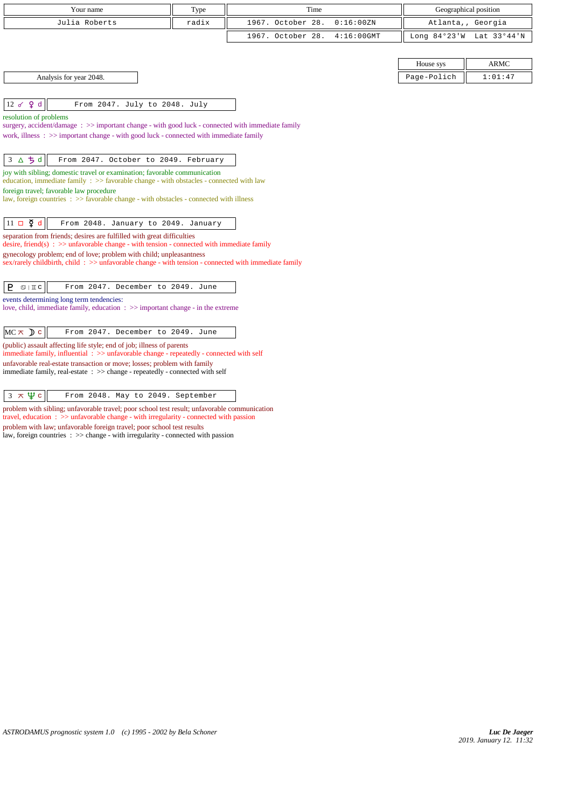| Your name                                                                                                                                                                      | Type  | Time              |               | Geographical position |             |  |
|--------------------------------------------------------------------------------------------------------------------------------------------------------------------------------|-------|-------------------|---------------|-----------------------|-------------|--|
| Julia Roberts                                                                                                                                                                  | radix | 1967. October 28. | 0:16:00 ZN    | Atlanta,, Georgia     |             |  |
|                                                                                                                                                                                |       | 1967. October 28. | $4:16:00$ GMT | Long $84°23'W$        | Lat 33°44'N |  |
|                                                                                                                                                                                |       |                   |               |                       |             |  |
|                                                                                                                                                                                |       |                   |               | House sys             | <b>ARMC</b> |  |
| Analysis for year 2048.                                                                                                                                                        |       |                   |               | Page-Polich           | 1:01:47     |  |
|                                                                                                                                                                                |       |                   |               |                       |             |  |
| 12 o 9 d<br>From 2047. July to 2048. July                                                                                                                                      |       |                   |               |                       |             |  |
| resolution of problems<br>surgery, accident/damage : $\gg$ important change - with good luck - connected with immediate family                                                 |       |                   |               |                       |             |  |
| work, illness $\Rightarrow$ > important change - with good luck - connected with immediate family                                                                              |       |                   |               |                       |             |  |
|                                                                                                                                                                                |       |                   |               |                       |             |  |
| △ちd<br>From 2047. October to 2049. February<br>3                                                                                                                               |       |                   |               |                       |             |  |
| joy with sibling; domestic travel or examination; favorable communication<br>education, immediate family $\Rightarrow$ favorable change - with obstacles - connected with law  |       |                   |               |                       |             |  |
| foreign travel; favorable law procedure                                                                                                                                        |       |                   |               |                       |             |  |
| law, foreign countries : >> favorable change - with obstacles - connected with illness                                                                                         |       |                   |               |                       |             |  |
| $11 \Box \Phi$ d<br>From 2048. January to 2049. January                                                                                                                        |       |                   |               |                       |             |  |
| separation from friends; desires are fulfilled with great difficulties                                                                                                         |       |                   |               |                       |             |  |
| desire, friend(s) : $\gg$ unfavorable change - with tension - connected with immediate family                                                                                  |       |                   |               |                       |             |  |
| gynecology problem; end of love; problem with child; unpleasantness<br>sex/rarely childbirth, child: $\gg$ unfavorable change - with tension - connected with immediate family |       |                   |               |                       |             |  |
|                                                                                                                                                                                |       |                   |               |                       |             |  |
| P.<br>$\mathfrak{D} \mid \mathbb{I} \subset$<br>From 2047. December to 2049. June                                                                                              |       |                   |               |                       |             |  |
| events determining long term tendencies:<br>love, child, immediate family, education $\Rightarrow$ important change - in the extreme                                           |       |                   |               |                       |             |  |
|                                                                                                                                                                                |       |                   |               |                       |             |  |
| $MC \times D$ c<br>From 2047. December to 2049. June                                                                                                                           |       |                   |               |                       |             |  |
| (public) assault affecting life style; end of job; illness of parents<br>immediate family, influential $\Rightarrow$ >> unfavorable change - repeatedly - connected with self  |       |                   |               |                       |             |  |
| unfavorable real-estate transaction or move; losses; problem with family                                                                                                       |       |                   |               |                       |             |  |
| immediate family, real-estate : >> change - repeatedly - connected with self                                                                                                   |       |                   |               |                       |             |  |
|                                                                                                                                                                                |       |                   |               |                       |             |  |
| $3 \times \Psi$ c<br>From 2048. May to 2049. September                                                                                                                         |       |                   |               |                       |             |  |

problem with sibling; unfavorable travel; poor school test result; unfavorable communication travel, education : >> unfavorable change - with irregularity - connected with passion problem with law; unfavorable foreign travel; poor school test results

law, foreign countries : >> change - with irregularity - connected with passion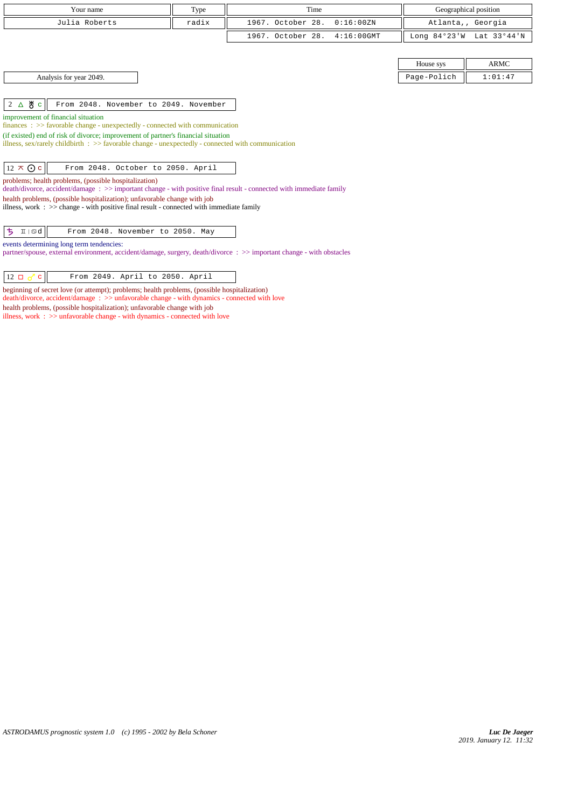|                                                                                                                                                                                      | Your name                                                                                                          | Type  | Time                               | Geographical position |             |  |  |
|--------------------------------------------------------------------------------------------------------------------------------------------------------------------------------------|--------------------------------------------------------------------------------------------------------------------|-------|------------------------------------|-----------------------|-------------|--|--|
|                                                                                                                                                                                      | Julia Roberts                                                                                                      | radix | 1967. October 28.<br>0:16:00 ZN    | Atlanta,, Georgia     |             |  |  |
|                                                                                                                                                                                      |                                                                                                                    |       | 1967. October 28.<br>$4:16:00$ GMT | Long $84°23'W$        | Lat 33°44'N |  |  |
|                                                                                                                                                                                      |                                                                                                                    |       |                                    |                       |             |  |  |
|                                                                                                                                                                                      |                                                                                                                    |       |                                    | House sys             | <b>ARMC</b> |  |  |
|                                                                                                                                                                                      | Analysis for year 2049.                                                                                            |       |                                    | Page-Polich           | 1:01:47     |  |  |
|                                                                                                                                                                                      |                                                                                                                    |       |                                    |                       |             |  |  |
| $2 \triangle$ 8 c                                                                                                                                                                    | From 2048. November to 2049. November                                                                              |       |                                    |                       |             |  |  |
|                                                                                                                                                                                      | improvement of financial situation                                                                                 |       |                                    |                       |             |  |  |
|                                                                                                                                                                                      | $finances : >> favorable change - unexpectedly - connected with communication$                                     |       |                                    |                       |             |  |  |
|                                                                                                                                                                                      | (if existed) end of risk of divorce; improvement of partner's financial situation                                  |       |                                    |                       |             |  |  |
| illness, sex/rarely childbirth $\Rightarrow$ > favorable change - unexpectedly - connected with communication                                                                        |                                                                                                                    |       |                                    |                       |             |  |  |
|                                                                                                                                                                                      |                                                                                                                    |       |                                    |                       |             |  |  |
| $12 \times Qc$                                                                                                                                                                       | From 2048. October to 2050. April                                                                                  |       |                                    |                       |             |  |  |
| problems; health problems, (possible hospitalization)                                                                                                                                |                                                                                                                    |       |                                    |                       |             |  |  |
|                                                                                                                                                                                      | death/divorce, accident/damage: >> important change - with positive final result - connected with immediate family |       |                                    |                       |             |  |  |
| health problems, (possible hospitalization); unfavorable change with job<br>illness, work $\div$ $\Rightarrow$ change - with positive final result - connected with immediate family |                                                                                                                    |       |                                    |                       |             |  |  |
|                                                                                                                                                                                      |                                                                                                                    |       |                                    |                       |             |  |  |
|                                                                                                                                                                                      |                                                                                                                    |       |                                    |                       |             |  |  |
| ち<br>$\text{I} \mid \text{od}$                                                                                                                                                       | From 2048. November to 2050. May                                                                                   |       |                                    |                       |             |  |  |
| events determining long term tendencies:                                                                                                                                             |                                                                                                                    |       |                                    |                       |             |  |  |
| partner/spouse, external environment, accident/damage, surgery, death/divorce: >> important change - with obstacles                                                                  |                                                                                                                    |       |                                    |                       |             |  |  |
|                                                                                                                                                                                      |                                                                                                                    |       |                                    |                       |             |  |  |
| $12 \square \neg \neg$<br>$\mathbf{c}$                                                                                                                                               | From 2049. April to 2050. April                                                                                    |       |                                    |                       |             |  |  |

beginning of secret love (or attempt); problems; health problems, (possible hospitalization) death/divorce, accident/damage : >> unfavorable change - with dynamics - connected with love health problems, (possible hospitalization); unfavorable change with job illness, work : >> unfavorable change - with dynamics - connected with love